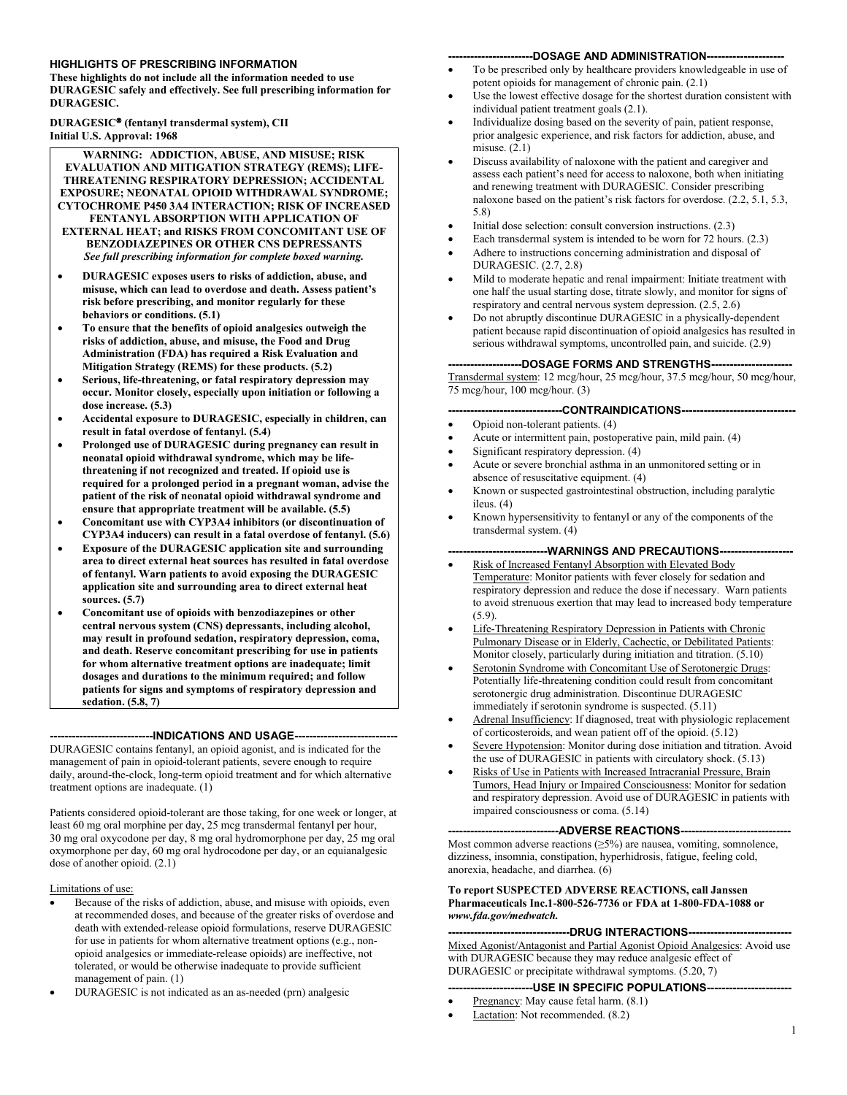#### **HIGHLIGHTS OF PRESCRIBING INFORMATION**

**These highlights do not include all the information needed to use DURAGESIC safely and effectively. See full prescribing information for DURAGESIC.**

**DURAGESIC (fentanyl transdermal system), CII Initial U.S. Approval: 1968**

**WARNING: ADDICTION, ABUSE, AND MISUSE; RISK EVALUATION AND MITIGATION STRATEGY (REMS); LIFE-THREATENING RESPIRATORY DEPRESSION; ACCIDENTAL EXPOSURE; NEONATAL OPIOID WITHDRAWAL SYNDROME; CYTOCHROME P450 3A4 INTERACTION; RISK OF INCREASED FENTANYL ABSORPTION WITH APPLICATION OF** 

- **EXTERNAL HEAT; and RISKS FROM CONCOMITANT USE OF BENZODIAZEPINES OR OTHER CNS DEPRESSANTS** *See full prescribing information for complete boxed warning.*
- **DURAGESIC exposes users to risks of addiction, abuse, and misuse, which can lead to overdose and death. Assess patient's risk before prescribing, and monitor regularly for these behaviors or conditions. (5.1)**
- **To ensure that the benefits of opioid analgesics outweigh the risks of addiction, abuse, and misuse, the Food and Drug Administration (FDA) has required a Risk Evaluation and Mitigation Strategy (REMS) for these products. (5.2)**
- **Serious, life-threatening, or fatal respiratory depression may occur. Monitor closely, especially upon initiation or following a dose increase. (5.3)**
- **Accidental exposure to DURAGESIC, especially in children, can result in fatal overdose of fentanyl. (5.4)**
- **Prolonged use of DURAGESIC during pregnancy can result in neonatal opioid withdrawal syndrome, which may be lifethreatening if not recognized and treated. If opioid use is required for a prolonged period in a pregnant woman, advise the patient of the risk of neonatal opioid withdrawal syndrome and ensure that appropriate treatment will be available. (5.5)**
- **Concomitant use with CYP3A4 inhibitors (or discontinuation of CYP3A4 inducers) can result in a fatal overdose of fentanyl. (5.6)**
- **Exposure of the DURAGESIC application site and surrounding area to direct external heat sources has resulted in fatal overdose of fentanyl. Warn patients to avoid exposing the DURAGESIC application site and surrounding area to direct external heat sources. (5.7)**
- **Concomitant use of opioids with benzodiazepines or other central nervous system (CNS) depressants, including alcohol, may result in profound sedation, respiratory depression, coma, and death. Reserve concomitant prescribing for use in patients for whom alternative treatment options are inadequate; limit dosages and durations to the minimum required; and follow patients for signs and symptoms of respiratory depression and sedation. (5.8, 7)**

#### **----------------------------INDICATIONS AND USAGE----------------------------**

DURAGESIC contains fentanyl, an opioid agonist, and is indicated for the management of pain in opioid-tolerant patients, severe enough to require daily, around-the-clock, long-term opioid treatment and for which alternative treatment options are inadequate. (1)

Patients considered opioid-tolerant are those taking, for one week or longer, at least 60 mg oral morphine per day, 25 mcg transdermal fentanyl per hour, 30 mg oral oxycodone per day, 8 mg oral hydromorphone per day, 25 mg oral oxymorphone per day, 60 mg oral hydrocodone per day, or an equianalgesic dose of another opioid. (2.1)

#### Limitations of use:

- Because of the risks of addiction, abuse, and misuse with opioids, even at recommended doses, and because of the greater risks of overdose and death with extended-release opioid formulations, reserve DURAGESIC for use in patients for whom alternative treatment options (e.g., nonopioid analgesics or immediate-release opioids) are ineffective, not tolerated, or would be otherwise inadequate to provide sufficient management of pain. (1)
- DURAGESIC is not indicated as an as-needed (prn) analgesic

#### **-----------------------DOSAGE AND ADMINISTRATION---------------------**

- To be prescribed only by healthcare providers knowledgeable in use of potent opioids for management of chronic pain. (2.1)
- Use the lowest effective dosage for the shortest duration consistent with individual patient treatment goals (2.1).
- Individualize dosing based on the severity of pain, patient response, prior analgesic experience, and risk factors for addiction, abuse, and misuse. (2.1)
- Discuss availability of naloxone with the patient and caregiver and assess each patient's need for access to naloxone, both when initiating and renewing treatment with DURAGESIC. Consider prescribing naloxone based on the patient's risk factors for overdose. (2.2, 5.1, 5.3, 5.8)
- Initial dose selection: consult conversion instructions. (2.3)
- Each transdermal system is intended to be worn for 72 hours. (2.3) Adhere to instructions concerning administration and disposal of
- DURAGESIC. (2.7, 2.8) Mild to moderate hepatic and renal impairment: Initiate treatment with one half the usual starting dose, titrate slowly, and monitor for signs of respiratory and central nervous system depression. (2.5, 2.6)
- Do not abruptly discontinue DURAGESIC in a physically-dependent patient because rapid discontinuation of opioid analgesics has resulted in serious withdrawal symptoms, uncontrolled pain, and suicide. (2.9)

#### **--------------------DOSAGE FORMS AND STRENGTHS----------------------**

Transdermal system: 12 mcg/hour, 25 mcg/hour, 37.5 mcg/hour, 50 mcg/hour, 75 mcg/hour, 100 mcg/hour. (3)

**-------------------------------CONTRAINDICATIONS-------------------------------**

- Opioid non-tolerant patients. (4)
- Acute or intermittent pain, postoperative pain, mild pain. (4)
- Significant respiratory depression. (4)
- Acute or severe bronchial asthma in an unmonitored setting or in absence of resuscitative equipment. (4)
- Known or suspected gastrointestinal obstruction, including paralytic ileus. (4)
- Known hypersensitivity to fentanyl or any of the components of the transdermal system. (4)

#### **---------------------------WARNINGS AND PRECAUTIONS--------------------**

- Risk of Increased Fentanyl Absorption with Elevated Body Temperature: Monitor patients with fever closely for sedation and respiratory depression and reduce the dose if necessary. Warn patients to avoid strenuous exertion that may lead to increased body temperature (5.9).
- Life-Threatening Respiratory Depression in Patients with Chronic Pulmonary Disease or in Elderly, Cachectic, or Debilitated Patients: Monitor closely, particularly during initiation and titration. (5.10)
- Serotonin Syndrome with Concomitant Use of Serotonergic Drugs: Potentially life-threatening condition could result from concomitant serotonergic drug administration. Discontinue DURAGESIC immediately if serotonin syndrome is suspected. (5.11)
- Adrenal Insufficiency: If diagnosed, treat with physiologic replacement of corticosteroids, and wean patient off of the opioid. (5.12)
- Severe Hypotension: Monitor during dose initiation and titration. Avoid the use of DURAGESIC in patients with circulatory shock. (5.13)
- Risks of Use in Patients with Increased Intracranial Pressure, Brain Tumors, Head Injury or Impaired Consciousness: Monitor for sedation and respiratory depression. Avoid use of DURAGESIC in patients with impaired consciousness or coma. (5.14)

#### **------------------------------ADVERSE REACTIONS------------------------------**

Most common adverse reactions  $(\geq 5\%)$  are nausea, vomiting, somnolence, dizziness, insomnia, constipation, hyperhidrosis, fatigue, feeling cold, anorexia, headache, and diarrhea. (6)

#### **To report SUSPECTED ADVERSE REACTIONS, call Janssen Pharmaceuticals Inc.1-800-526-7736 or FDA at 1-800-FDA-1088 or**  *www.fda.gov/medwatch.*

**---------------------------------DRUG INTERACTIONS----------------------------** Mixed Agonist/Antagonist and Partial Agonist Opioid Analgesics: Avoid use with DURAGESIC because they may reduce analgesic effect of DURAGESIC or precipitate withdrawal symptoms. (5.20, 7)

#### **-----------------------USE IN SPECIFIC POPULATIONS-----------------------**

- Pregnancy: May cause fetal harm.  $(8.1)$
- Lactation: Not recommended. (8.2)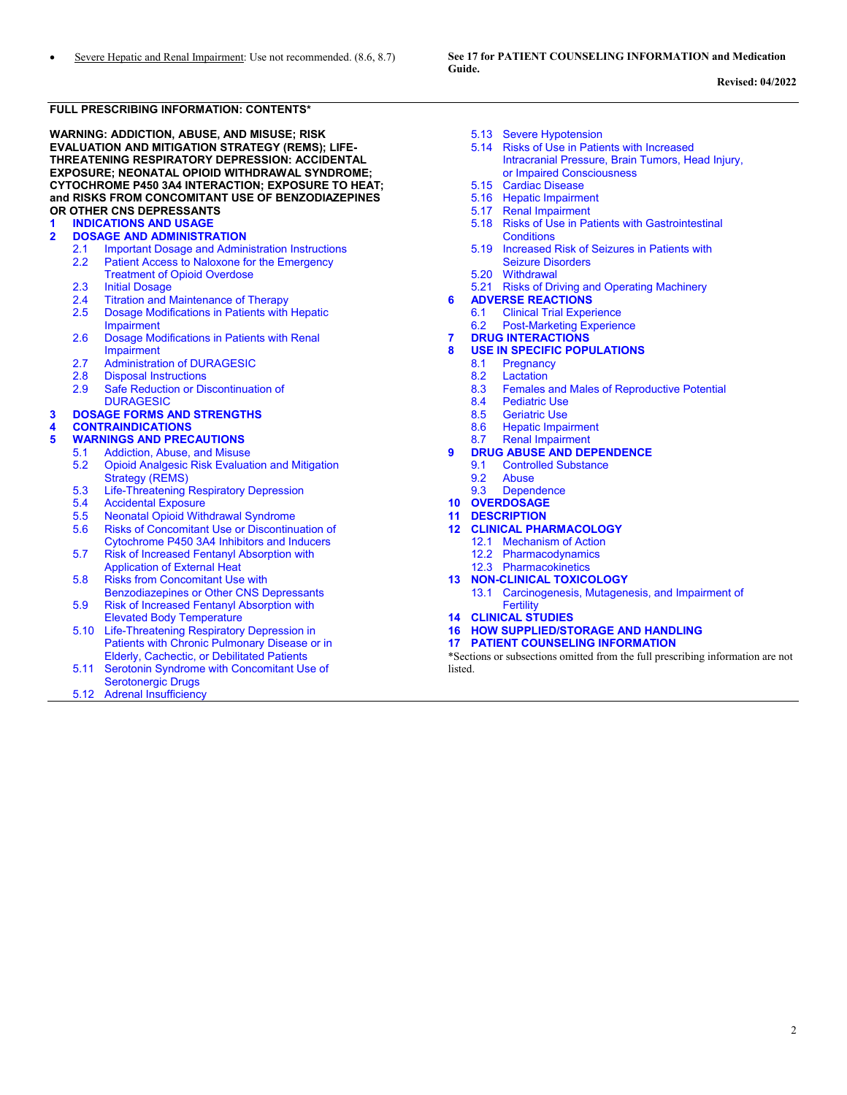#### **FULL PRESCRIBING INFORMATION: CONTENTS\***

**WARNING: ADDICTION, ABUSE, AND MISUSE; RISK EVALUATION AND MITIGATION STRATEGY (REMS); LIFE-THREATENING RESPIRATORY DEPRESSION: ACCIDENTAL EXPOSURE; NEONATAL OPIOID WITHDRAWAL SYNDROME; CYTOCHROME P450 3A4 INTERACTION; EXPOSURE TO HEAT; and RISKS FROM CONCOMITANT USE OF BENZODIAZEPINES OR OTHER CNS DEPRESSANTS**

#### **1 [INDICATIONS AND USAGE](#page-4-2)**

# **2 [DOSAGE AND ADMINISTRATION](#page-4-1)**<br>2.1 **Important Dosage and Admin**

- 2.1 [Important Dosage and Administration Instructions](#page-4-0)<br>
2.2 Patient Access to Naloxone for the Emergency
- Patient Access to Naloxone for the Emergency
- [Treatment of Opioid Overdose](#page-5-1)
- 2.3 [Initial Dosage](#page-5-0)
- 2.4 [Titration and Maintenance of Therapy](#page-7-0)<br>2.5 Dosage Modifications in Patients with
- Dosage Modifications in Patients with Hepatic [Impairment](#page-8-0)
- 2.6 [Dosage Modifications in Patients with Renal](#page-9-1)  [Impairment](#page-9-1)
- 2.7 [Administration of DURAGESIC](#page-9-0)
- 2.8 [Disposal Instructions](#page-10-1)<br>2.9 Safe Reduction or Dis
- Safe Reduction or Discontinuation of **[DURAGESIC](#page-10-0)**

#### **3 [DOSAGE FORMS AND STRENGTHS](#page-12-1)**

# **4 [CONTRAINDICATIONS](#page-12-0)**

#### **5 [WARNINGS AND PRECAUTIONS](#page-13-2)**

- 5.1 [Addiction, Abuse, and Misuse](#page-13-1)<br>5.2 Opioid Analgesic Risk Evaluat
- 5.2 [Opioid Analgesic Risk Evaluation and Mitigation](#page-13-0)  [Strategy \(REMS\)](#page-13-0)
- 5.3 [Life-Threatening Respiratory Depression](#page-14-0)<br>5.4 Accidental Exposure
- 5.4 [Accidental Exposure](#page-15-0)<br>5.5 Neonatal Opioid With
- [Neonatal Opioid Withdrawal Syndrome](#page-16-1)
- 5.6 [Risks of Concomitant Use or Discontinuation of](#page-16-0)  [Cytochrome P450 3A4 Inhibitors and Inducers](#page-16-0)
- 5.7 [Risk of Increased Fentanyl Absorption with](#page-17-1)  [Application of External Heat](#page-17-1)
- 5.8 [Risks from Concomitant Use with](#page-17-0)  [Benzodiazepines or Other CNS Depressants](#page-17-0)
- 5.9 [Risk of Increased Fentanyl Absorption with](#page-18-2)  [Elevated Body Temperature](#page-18-2)
- 5.10 [Life-Threatening Respiratory Depression in](#page-18-1)  [Patients with Chronic Pulmonary Disease or in](#page-18-1)  [Elderly, Cachectic, or Debilitated Patients](#page-18-1)
- 5.11 [Serotonin Syndrome with Concomitant Use of](#page-18-0)  [Serotonergic Drugs](#page-18-0)
- 5.12 [Adrenal Insufficiency](#page-19-1)
- 5.13 [Severe Hypotension](#page-19-0)
- 5.14 [Risks of Use in Patients with Increased](#page-20-3)  [Intracranial Pressure, Brain Tumors, Head Injury,](#page-20-3)  [or Impaired Consciousness](#page-20-3)
- 5.15 [Cardiac Disease](#page-20-2)
- 5.16 [Hepatic Impairment](#page-20-1)<br>5.17 Renal Impairment
- [Renal Impairment](#page-20-0)
- 5.18 [Risks of Use in Patients with Gastrointestinal](#page-21-4)  **[Conditions](#page-21-4)**
- 5.19 [Increased Risk of Seizures in Patients with](#page-21-3)  [Seizure Disorders](#page-21-3)
- 5.20 [Withdrawal](#page-21-2)
- 5.21 [Risks of Driving and Operating Machinery](#page-21-1)
- **6 [ADVERSE REACTIONS](#page-21-0)**
- 6.1 [Clinical Trial Experience](#page-22-0)
	- 6.2 [Post-Marketing Experience](#page-25-0)
- **7 [DRUG INTERACTIONS](#page-26-0)**
- **8 [USE IN SPECIFIC POPULATIONS](#page-29-1)**<br>8.1 **Pregnancy** 
	- **[Pregnancy](#page-29-0)**
	- 8.2 [Lactation](#page-31-2)
	- 8.3 [Females and Males of Reproductive Potential](#page-31-1)<br>8.4 Pediatric Use
	- **[Pediatric Use](#page-31-0)**
	- 8.5 [Geriatric Use](#page-32-0)
	- 8.6 [Hepatic Impairment](#page-33-4)
	- 8.7 [Renal Impairment](#page-33-3)
- **9 [DRUG ABUSE AND DEPENDENCE](#page-33-2)**<br>9.1 Controlled Substance
	- 9.1 [Controlled Substance](#page-33-1)<br>9.2 Abuse
	- 9.2 [Abuse](#page-33-0)<br>9.3 Depen
	- **[Dependence](#page-34-0)**
- **10 [OVERDOSAGE](#page-35-0)**
- **11 [DESCRIPTION](#page-36-0)**
- **12 [CLINICAL PHARMACOLOGY](#page-38-2)**
	- 12.1 [Mechanism of Action](#page-38-1)
	- 12.2 [Pharmacodynamics](#page-38-0)
	- 12.3 [Pharmacokinetics](#page-40-0)
- **13 [NON-CLINICAL TOXICOLOGY](#page-44-1)**
	- 13.1 [Carcinogenesis, Mutagenesis, and Impairment of](#page-44-0)  **[Fertility](#page-44-0)**
- **14 [CLINICAL STUDIES](#page-45-1)**

#### **16 [HOW SUPPLIED/STORAGE AND](#page-45-0) HANDLING**

**17 [PATIENT COUNSELING INFORMATION](#page-46-0)**

\*Sections or subsections omitted from the full prescribing information are not listed.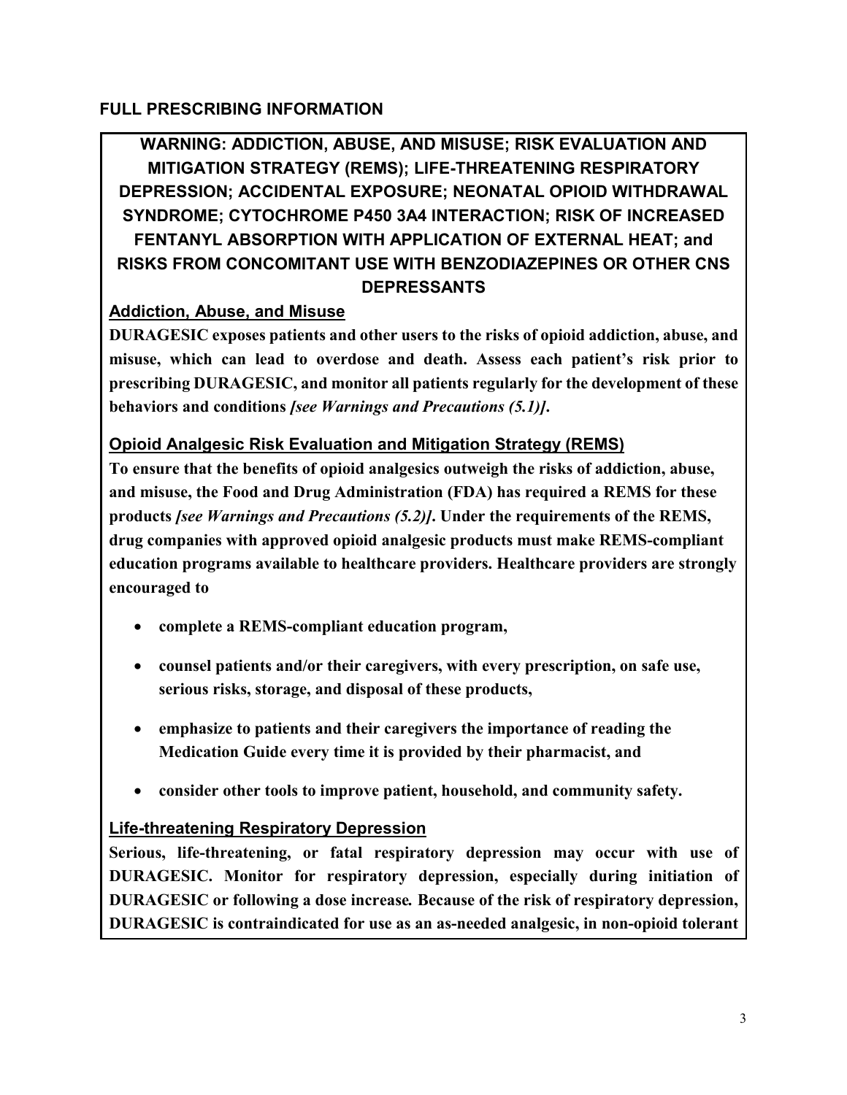# **FULL PRESCRIBING INFORMATION**

# **WARNING: ADDICTION, ABUSE, AND MISUSE; RISK EVALUATION AND MITIGATION STRATEGY (REMS); LIFE-THREATENING RESPIRATORY DEPRESSION; ACCIDENTAL EXPOSURE; NEONATAL OPIOID WITHDRAWAL SYNDROME; CYTOCHROME P450 3A4 INTERACTION; RISK OF INCREASED FENTANYL ABSORPTION WITH APPLICATION OF EXTERNAL HEAT; and RISKS FROM CONCOMITANT USE WITH BENZODIAZEPINES OR OTHER CNS DEPRESSANTS**

## **Addiction, Abuse, and Misuse**

**DURAGESIC exposes patients and other users to the risks of opioid addiction, abuse, and misuse, which can lead to overdose and death. Assess each patient's risk prior to prescribing DURAGESIC, and monitor all patients regularly for the development of these behaviors and conditions** *[see Warnings and Precautions (5.1)]***.**

# **Opioid Analgesic Risk Evaluation and Mitigation Strategy (REMS)**

**To ensure that the benefits of opioid analgesics outweigh the risks of addiction, abuse, and misuse, the Food and Drug Administration (FDA) has required a REMS for these products** *[see Warnings and Precautions (5.2)]***. Under the requirements of the REMS, drug companies with approved opioid analgesic products must make REMS-compliant education programs available to healthcare providers. Healthcare providers are strongly encouraged to**

- **complete a REMS-compliant education program,**
- **counsel patients and/or their caregivers, with every prescription, on safe use, serious risks, storage, and disposal of these products,**
- **emphasize to patients and their caregivers the importance of reading the Medication Guide every time it is provided by their pharmacist, and**
- **consider other tools to improve patient, household, and community safety.**

# **Life-threatening Respiratory Depression**

**Serious, life-threatening, or fatal respiratory depression may occur with use of DURAGESIC. Monitor for respiratory depression, especially during initiation of DURAGESIC or following a dose increase***.* **Because of the risk of respiratory depression, DURAGESIC is contraindicated for use as an as-needed analgesic, in non-opioid tolerant**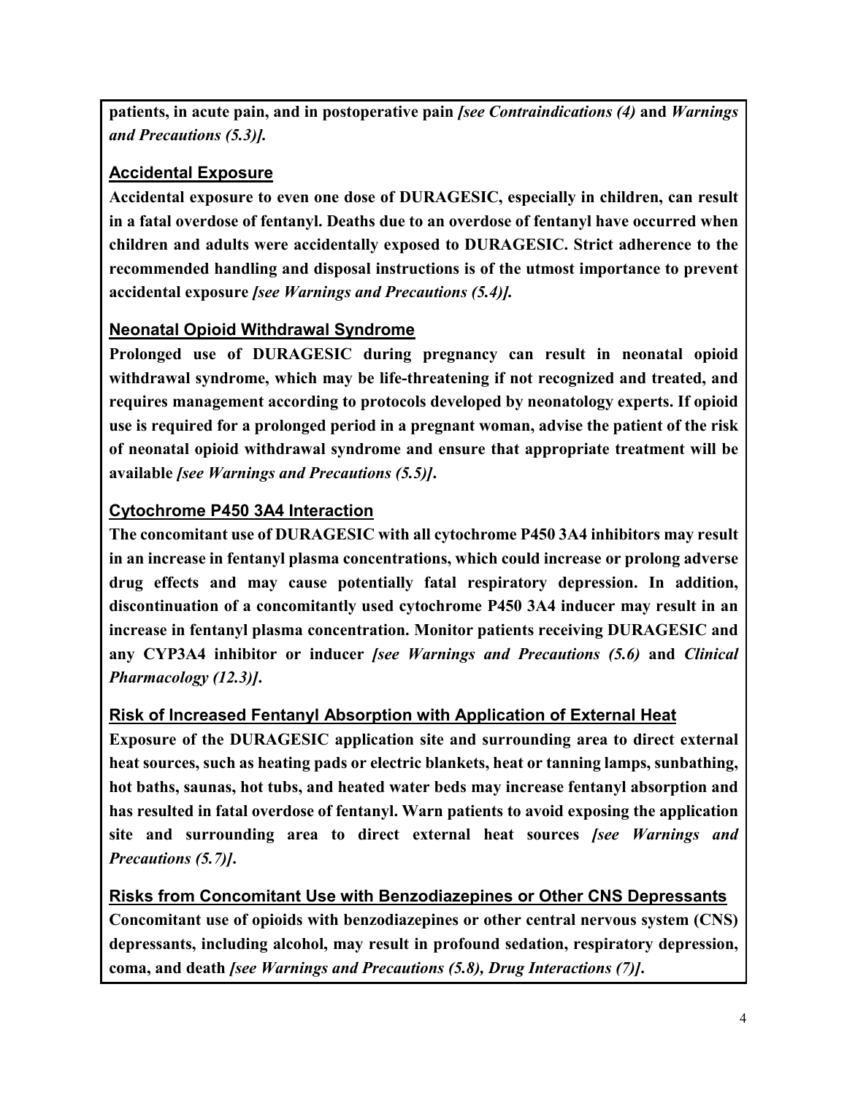**patients, in acute pain, and in postoperative pain** *[see Contraindications (4)* **and** *Warnings and Precautions (5.3)].*

## **Accidental Exposure**

**Accidental exposure to even one dose of DURAGESIC, especially in children, can result in a fatal overdose of fentanyl. Deaths due to an overdose of fentanyl have occurred when children and adults were accidentally exposed to DURAGESIC. Strict adherence to the recommended handling and disposal instructions is of the utmost importance to prevent accidental exposure** *[see Warnings and Precautions (5.4)].*

# **Neonatal Opioid Withdrawal Syndrome**

**Prolonged use of DURAGESIC during pregnancy can result in neonatal opioid withdrawal syndrome, which may be life-threatening if not recognized and treated, and requires management according to protocols developed by neonatology experts. If opioid use is required for a prolonged period in a pregnant woman, advise the patient of the risk of neonatal opioid withdrawal syndrome and ensure that appropriate treatment will be available** *[see Warnings and Precautions (5.5)]***.**

# **Cytochrome P450 3A4 Interaction**

**The concomitant use of DURAGESIC with all cytochrome P450 3A4 inhibitors may result in an increase in fentanyl plasma concentrations, which could increase or prolong adverse drug effects and may cause potentially fatal respiratory depression. In addition, discontinuation of a concomitantly used cytochrome P450 3A4 inducer may result in an increase in fentanyl plasma concentration. Monitor patients receiving DURAGESIC and any CYP3A4 inhibitor or inducer** *[see Warnings and Precautions (5.6)* **and** *Clinical Pharmacology (12.3)]***.**

# **Risk of Increased Fentanyl Absorption with Application of External Heat**

**Exposure of the DURAGESIC application site and surrounding area to direct external heat sources, such as heating pads or electric blankets, heat or tanning lamps, sunbathing, hot baths, saunas, hot tubs, and heated water beds may increase fentanyl absorption and has resulted in fatal overdose of fentanyl. Warn patients to avoid exposing the application site and surrounding area to direct external heat sources** *[see Warnings and Precautions (5.7)]***.**

**Risks from Concomitant Use with Benzodiazepines or Other CNS Depressants Concomitant use of opioids with benzodiazepines or other central nervous system (CNS) depressants, including alcohol, may result in profound sedation, respiratory depression, coma, and death** *[see Warnings and Precautions (5.8), Drug Interactions (7)]***.**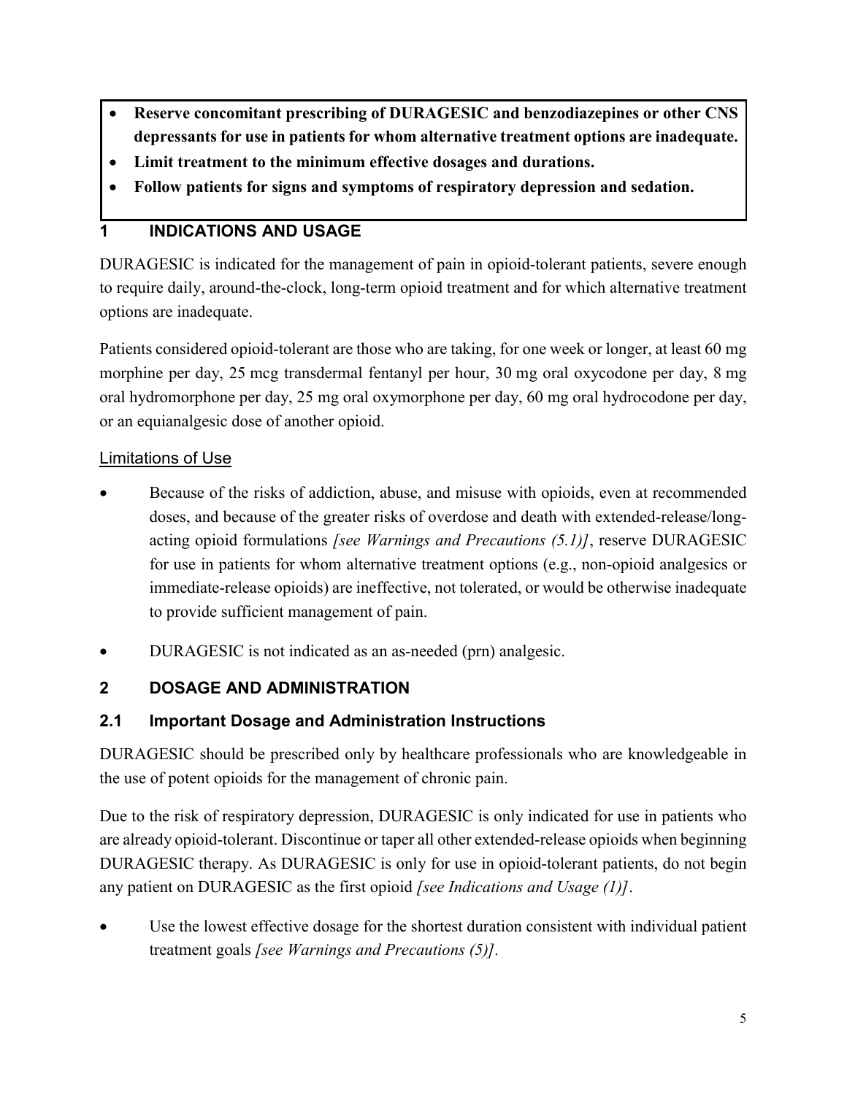- **Reserve concomitant prescribing of DURAGESIC and benzodiazepines or other CNS depressants for use in patients for whom alternative treatment options are inadequate.**
- **Limit treatment to the minimum effective dosages and durations.**
- **Follow patients for signs and symptoms of respiratory depression and sedation.**

# <span id="page-4-2"></span>**1 INDICATIONS AND USAGE**

DURAGESIC is indicated for the management of pain in opioid-tolerant patients, severe enough to require daily, around-the-clock, long-term opioid treatment and for which alternative treatment options are inadequate.

Patients considered opioid-tolerant are those who are taking, for one week or longer, at least 60 mg morphine per day, 25 mcg transdermal fentanyl per hour, 30 mg oral oxycodone per day, 8 mg oral hydromorphone per day, 25 mg oral oxymorphone per day, 60 mg oral hydrocodone per day, or an equianalgesic dose of another opioid.

# Limitations of Use

- Because of the risks of addiction, abuse, and misuse with opioids, even at recommended doses, and because of the greater risks of overdose and death with extended-release/longacting opioid formulations *[see Warnings and Precautions (5.1)]*, reserve DURAGESIC for use in patients for whom alternative treatment options (e.g., non-opioid analgesics or immediate-release opioids) are ineffective, not tolerated, or would be otherwise inadequate to provide sufficient management of pain.
- DURAGESIC is not indicated as an as-needed (prn) analgesic.

# <span id="page-4-1"></span>**2 DOSAGE AND ADMINISTRATION**

# <span id="page-4-0"></span>**2.1 Important Dosage and Administration Instructions**

DURAGESIC should be prescribed only by healthcare professionals who are knowledgeable in the use of potent opioids for the management of chronic pain.

Due to the risk of respiratory depression, DURAGESIC is only indicated for use in patients who are already opioid-tolerant. Discontinue or taper all other extended-release opioids when beginning DURAGESIC therapy. As DURAGESIC is only for use in opioid-tolerant patients, do not begin any patient on DURAGESIC as the first opioid *[see Indications and Usage (1)]*.

 Use the lowest effective dosage for the shortest duration consistent with individual patient treatment goals *[see Warnings and Precautions (5)].*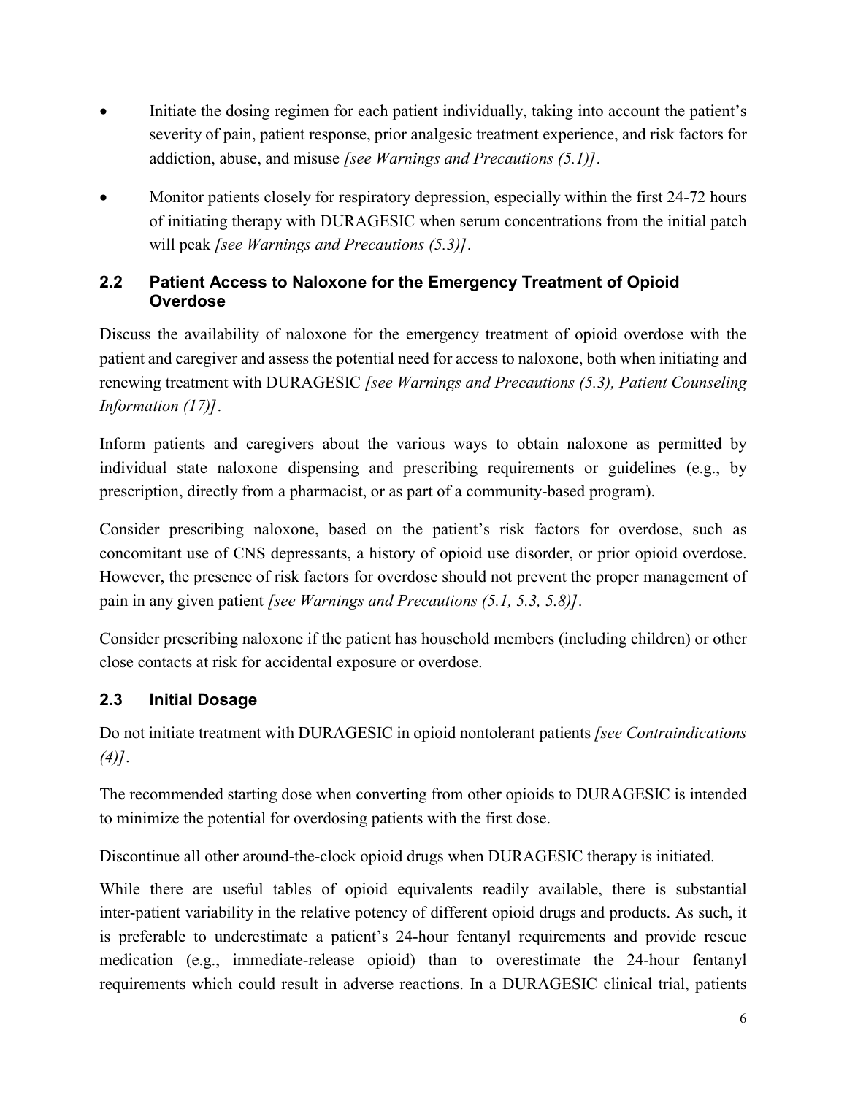- Initiate the dosing regimen for each patient individually, taking into account the patient's severity of pain, patient response, prior analgesic treatment experience, and risk factors for addiction, abuse, and misuse *[see Warnings and Precautions (5.1)]*.
- Monitor patients closely for respiratory depression, especially within the first 24-72 hours of initiating therapy with DURAGESIC when serum concentrations from the initial patch will peak *[see Warnings and Precautions (5.3)]*.

# <span id="page-5-1"></span>**2.2 Patient Access to Naloxone for the Emergency Treatment of Opioid Overdose**

Discuss the availability of naloxone for the emergency treatment of opioid overdose with the patient and caregiver and assess the potential need for access to naloxone, both when initiating and renewing treatment with DURAGESIC *[see Warnings and Precautions (5.3), Patient Counseling Information (17)]*.

Inform patients and caregivers about the various ways to obtain naloxone as permitted by individual state naloxone dispensing and prescribing requirements or guidelines (e.g., by prescription, directly from a pharmacist, or as part of a community-based program).

Consider prescribing naloxone, based on the patient's risk factors for overdose, such as concomitant use of CNS depressants, a history of opioid use disorder, or prior opioid overdose. However, the presence of risk factors for overdose should not prevent the proper management of pain in any given patient *[see Warnings and Precautions (5.1, 5.3, 5.8)]*.

Consider prescribing naloxone if the patient has household members (including children) or other close contacts at risk for accidental exposure or overdose.

# <span id="page-5-0"></span>**2.3 Initial Dosage**

Do not initiate treatment with DURAGESIC in opioid nontolerant patients *[see Contraindications (4)]*.

The recommended starting dose when converting from other opioids to DURAGESIC is intended to minimize the potential for overdosing patients with the first dose.

Discontinue all other around-the-clock opioid drugs when DURAGESIC therapy is initiated.

While there are useful tables of opioid equivalents readily available, there is substantial inter-patient variability in the relative potency of different opioid drugs and products. As such, it is preferable to underestimate a patient's 24-hour fentanyl requirements and provide rescue medication (e.g., immediate-release opioid) than to overestimate the 24-hour fentanyl requirements which could result in adverse reactions. In a DURAGESIC clinical trial, patients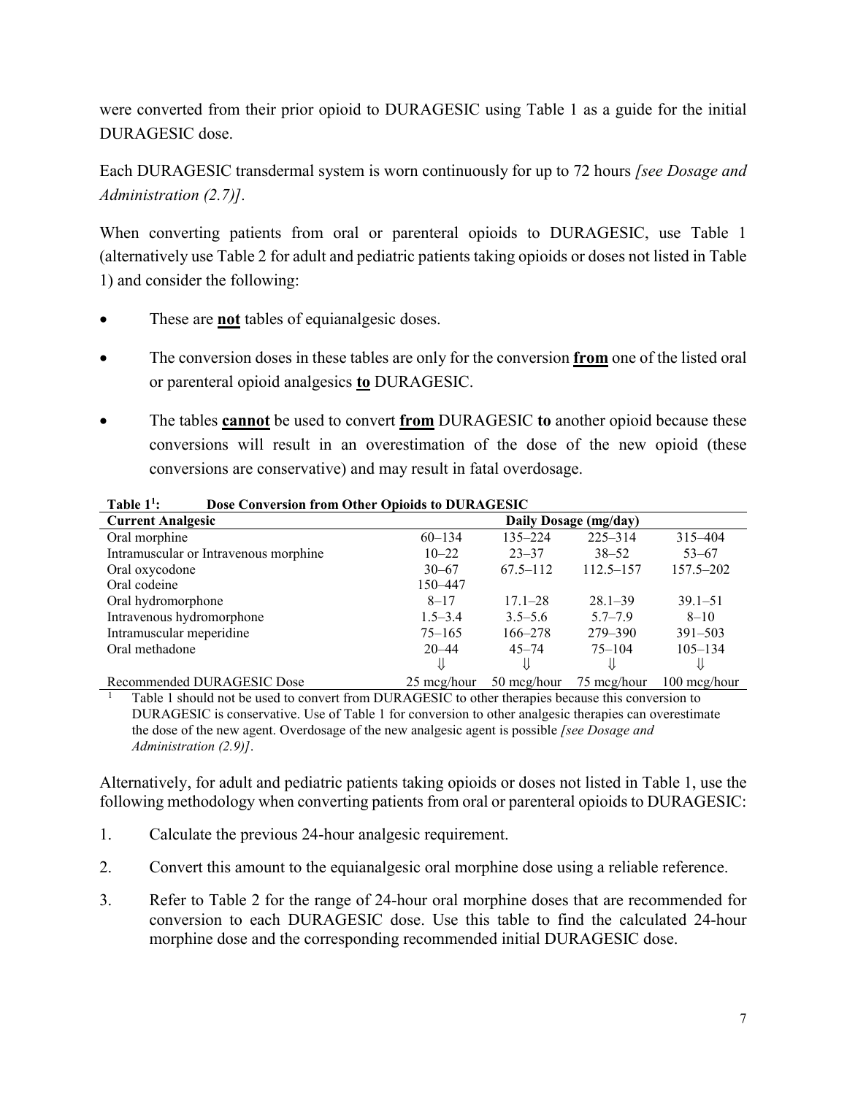were converted from their prior opioid to DURAGESIC using Table 1 as a guide for the initial DURAGESIC dose.

Each DURAGESIC transdermal system is worn continuously for up to 72 hours *[see Dosage and Administration (2.7)].*

When converting patients from oral or parenteral opioids to DURAGESIC, use Table 1 (alternatively use Table 2 for adult and pediatric patients taking opioids or doses not listed in Table 1) and consider the following:

- These are **not** tables of equianalgesic doses.
- The conversion doses in these tables are only for the conversion **from** one of the listed oral or parenteral opioid analgesics **to** DURAGESIC.
- The tables **cannot** be used to convert **from** DURAGESIC **to** another opioid because these conversions will result in an overestimation of the dose of the new opioid (these conversions are conservative) and may result in fatal overdosage.

| <b>Current Analgesic</b>              | Daily Dosage (mg/day) |                       |               |                |
|---------------------------------------|-----------------------|-----------------------|---------------|----------------|
| Oral morphine                         | $60 - 134$            | $135 - 224$           | $225 - 314$   | $315 - 404$    |
| Intramuscular or Intravenous morphine | $10 - 22$             | $23 - 37$             | $38 - 52$     | $53 - 67$      |
| Oral oxycodone                        | $30 - 67$             | $67.5 - 112$          | $112.5 - 157$ | $157.5 - 202$  |
| Oral codeine                          | 150-447               |                       |               |                |
| Oral hydromorphone                    | $8 - 17$              | $17.1 - 28$           | $28.1 - 39$   | $39.1 - 51$    |
| Intravenous hydromorphone             | $1.5 - 3.4$           | $3.5 - 5.6$           | $5.7 - 7.9$   | $8 - 10$       |
| Intramuscular meperidine              | $75 - 165$            | 166–278               | $279 - 390$   | $391 - 503$    |
| Oral methadone                        | $20 - 44$             | $45 - 74$             | $75 - 104$    | $105 - 134$    |
|                                       |                       |                       |               |                |
| Recommended DURAGESIC Dose            | 25 mcg/hour           | $50 \text{~meg/hour}$ | 75 meg/hour   | $100$ mcg/hour |

**Table 1 1 : Dose Conversion from Other Opioids to DURAGESIC**

<sup>1</sup> Table 1 should not be used to convert from DURAGESIC to other therapies because this conversion to DURAGESIC is conservative. Use of Table 1 for conversion to other analgesic therapies can overestimate the dose of the new agent. Overdosage of the new analgesic agent is possible *[see Dosage and Administration (2.9)]*.

Alternatively, for adult and pediatric patients taking opioids or doses not listed in Table 1, use the following methodology when converting patients from oral or parenteral opioids to DURAGESIC:

- 1. Calculate the previous 24-hour analgesic requirement.
- 2. Convert this amount to the equianalgesic oral morphine dose using a reliable reference.
- 3. Refer to Table 2 for the range of 24-hour oral morphine doses that are recommended for conversion to each DURAGESIC dose. Use this table to find the calculated 24-hour morphine dose and the corresponding recommended initial DURAGESIC dose.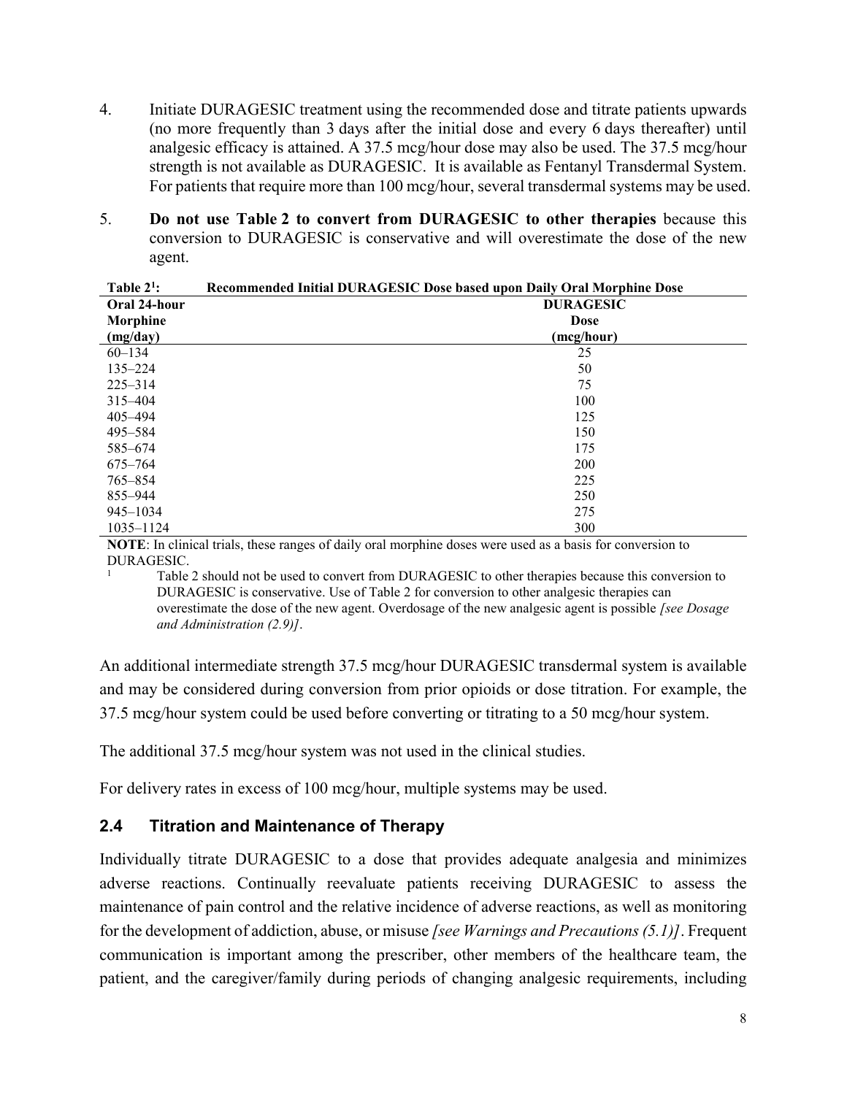- 4. Initiate DURAGESIC treatment using the recommended dose and titrate patients upwards (no more frequently than 3 days after the initial dose and every 6 days thereafter) until analgesic efficacy is attained. A 37.5 mcg/hour dose may also be used. The 37.5 mcg/hour strength is not available as DURAGESIC. It is available as Fentanyl Transdermal System. For patients that require more than 100 mcg/hour, several transdermal systems may be used.
- 5. **Do not use Table 2 to convert from DURAGESIC to other therapies** because this conversion to DURAGESIC is conservative and will overestimate the dose of the new agent.

| Table $2^1$ : | Recommended Initial DURAGESIC Dose based upon Daily Oral Morphine Dose |  |  |
|---------------|------------------------------------------------------------------------|--|--|
| Oral 24-hour  | <b>DURAGESIC</b>                                                       |  |  |
| Morphine      | Dose                                                                   |  |  |
| (mg/day)      | (mcg/hour)                                                             |  |  |
| $60 - 134$    | 25                                                                     |  |  |
| $135 - 224$   | 50                                                                     |  |  |
| $225 - 314$   | 75                                                                     |  |  |
| $315 - 404$   | 100                                                                    |  |  |
| 405-494       | 125                                                                    |  |  |
| 495-584       | 150                                                                    |  |  |
| 585-674       | 175                                                                    |  |  |
| 675–764       | 200                                                                    |  |  |
| 765–854       | 225                                                                    |  |  |
| 855-944       | 250                                                                    |  |  |
| 945-1034      | 275                                                                    |  |  |
| 1035-1124     | 300                                                                    |  |  |

**NOTE**: In clinical trials, these ranges of daily oral morphine doses were used as a basis for conversion to DURAGESIC.

<sup>1</sup> Table 2 should not be used to convert from DURAGESIC to other therapies because this conversion to DURAGESIC is conservative. Use of Table 2 for conversion to other analgesic therapies can overestimate the dose of the new agent. Overdosage of the new analgesic agent is possible *[see Dosage and Administration (2.9)]*.

An additional intermediate strength 37.5 mcg/hour DURAGESIC transdermal system is available and may be considered during conversion from prior opioids or dose titration. For example, the 37.5 mcg/hour system could be used before converting or titrating to a 50 mcg/hour system.

The additional 37.5 mcg/hour system was not used in the clinical studies.

For delivery rates in excess of 100 mcg/hour, multiple systems may be used.

## <span id="page-7-0"></span>**2.4 Titration and Maintenance of Therapy**

Individually titrate DURAGESIC to a dose that provides adequate analgesia and minimizes adverse reactions. Continually reevaluate patients receiving DURAGESIC to assess the maintenance of pain control and the relative incidence of adverse reactions, as well as monitoring for the development of addiction, abuse, or misuse *[see Warnings and Precautions (5.1)]*. Frequent communication is important among the prescriber, other members of the healthcare team, the patient, and the caregiver/family during periods of changing analgesic requirements, including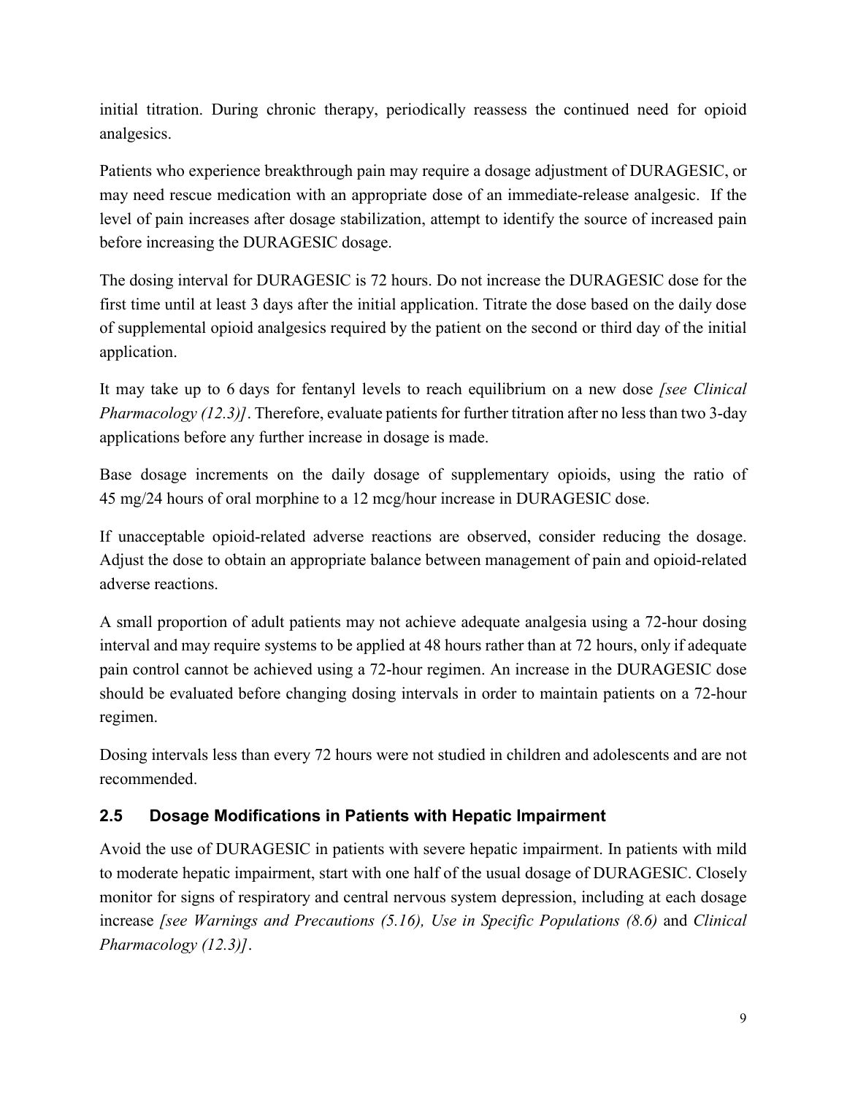initial titration. During chronic therapy, periodically reassess the continued need for opioid analgesics.

Patients who experience breakthrough pain may require a dosage adjustment of DURAGESIC, or may need rescue medication with an appropriate dose of an immediate-release analgesic. If the level of pain increases after dosage stabilization, attempt to identify the source of increased pain before increasing the DURAGESIC dosage.

The dosing interval for DURAGESIC is 72 hours. Do not increase the DURAGESIC dose for the first time until at least 3 days after the initial application. Titrate the dose based on the daily dose of supplemental opioid analgesics required by the patient on the second or third day of the initial application.

It may take up to 6 days for fentanyl levels to reach equilibrium on a new dose *[see Clinical Pharmacology (12.3)]*. Therefore, evaluate patients for further titration after no less than two 3-day applications before any further increase in dosage is made.

Base dosage increments on the daily dosage of supplementary opioids, using the ratio of 45 mg/24 hours of oral morphine to a 12 mcg/hour increase in DURAGESIC dose.

If unacceptable opioid-related adverse reactions are observed, consider reducing the dosage. Adjust the dose to obtain an appropriate balance between management of pain and opioid-related adverse reactions.

A small proportion of adult patients may not achieve adequate analgesia using a 72-hour dosing interval and may require systems to be applied at 48 hours rather than at 72 hours, only if adequate pain control cannot be achieved using a 72-hour regimen. An increase in the DURAGESIC dose should be evaluated before changing dosing intervals in order to maintain patients on a 72-hour regimen.

Dosing intervals less than every 72 hours were not studied in children and adolescents and are not recommended.

## <span id="page-8-0"></span>**2.5 Dosage Modifications in Patients with Hepatic Impairment**

Avoid the use of DURAGESIC in patients with severe hepatic impairment. In patients with mild to moderate hepatic impairment, start with one half of the usual dosage of DURAGESIC. Closely monitor for signs of respiratory and central nervous system depression, including at each dosage increase *[see Warnings and Precautions (5.16), Use in Specific Populations (8.6)* and *Clinical Pharmacology (12.3)]*.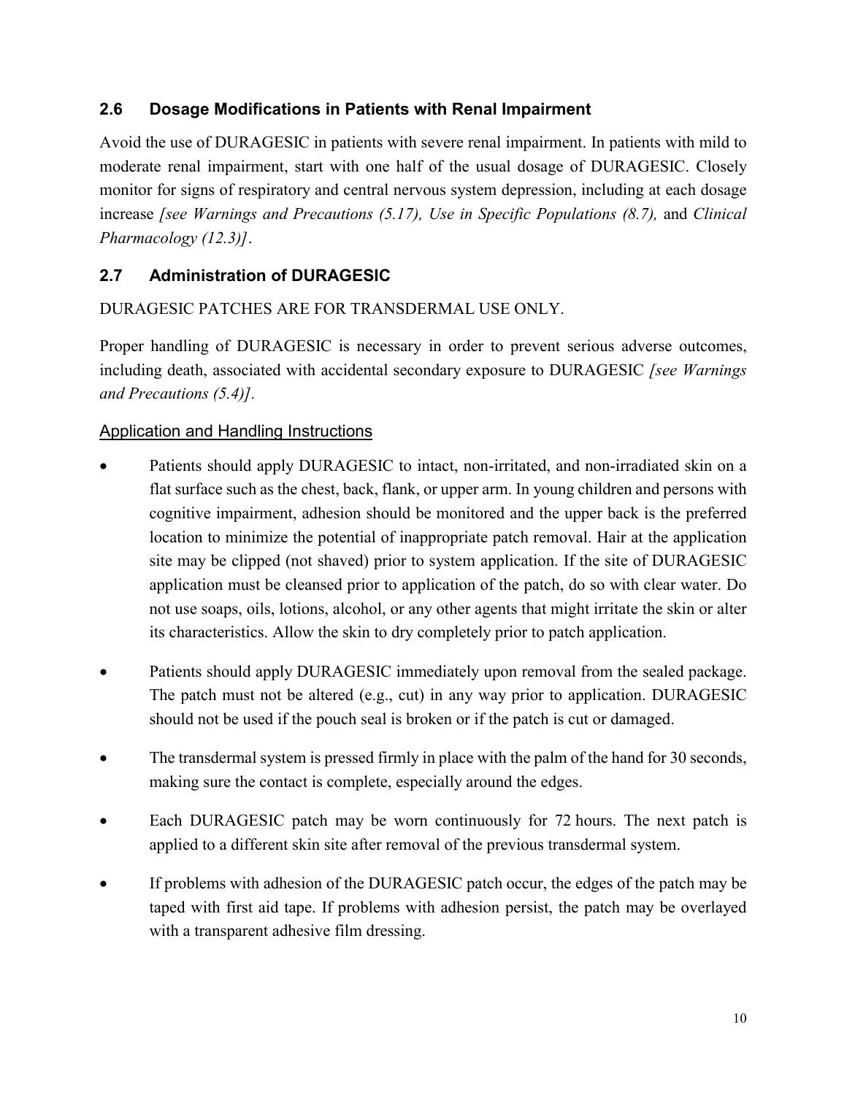# <span id="page-9-1"></span>**2.6 Dosage Modifications in Patients with Renal Impairment**

Avoid the use of DURAGESIC in patients with severe renal impairment. In patients with mild to moderate renal impairment, start with one half of the usual dosage of DURAGESIC. Closely monitor for signs of respiratory and central nervous system depression, including at each dosage increase *[see Warnings and Precautions (5.17), Use in Specific Populations (8.7),* and *Clinical Pharmacology (12.3)]*.

# <span id="page-9-0"></span>**2.7 Administration of DURAGESIC**

## DURAGESIC PATCHES ARE FOR TRANSDERMAL USE ONLY.

Proper handling of DURAGESIC is necessary in order to prevent serious adverse outcomes, including death, associated with accidental secondary exposure to DURAGESIC *[see Warnings and Precautions (5.4)].*

#### Application and Handling Instructions

- Patients should apply DURAGESIC to intact, non-irritated, and non-irradiated skin on a flat surface such as the chest, back, flank, or upper arm. In young children and persons with cognitive impairment, adhesion should be monitored and the upper back is the preferred location to minimize the potential of inappropriate patch removal. Hair at the application site may be clipped (not shaved) prior to system application. If the site of DURAGESIC application must be cleansed prior to application of the patch, do so with clear water. Do not use soaps, oils, lotions, alcohol, or any other agents that might irritate the skin or alter its characteristics. Allow the skin to dry completely prior to patch application.
- Patients should apply DURAGESIC immediately upon removal from the sealed package. The patch must not be altered (e.g., cut) in any way prior to application. DURAGESIC should not be used if the pouch seal is broken or if the patch is cut or damaged.
- The transdermal system is pressed firmly in place with the palm of the hand for 30 seconds, making sure the contact is complete, especially around the edges.
- Each DURAGESIC patch may be worn continuously for 72 hours. The next patch is applied to a different skin site after removal of the previous transdermal system.
- If problems with adhesion of the DURAGESIC patch occur, the edges of the patch may be taped with first aid tape. If problems with adhesion persist, the patch may be overlayed with a transparent adhesive film dressing.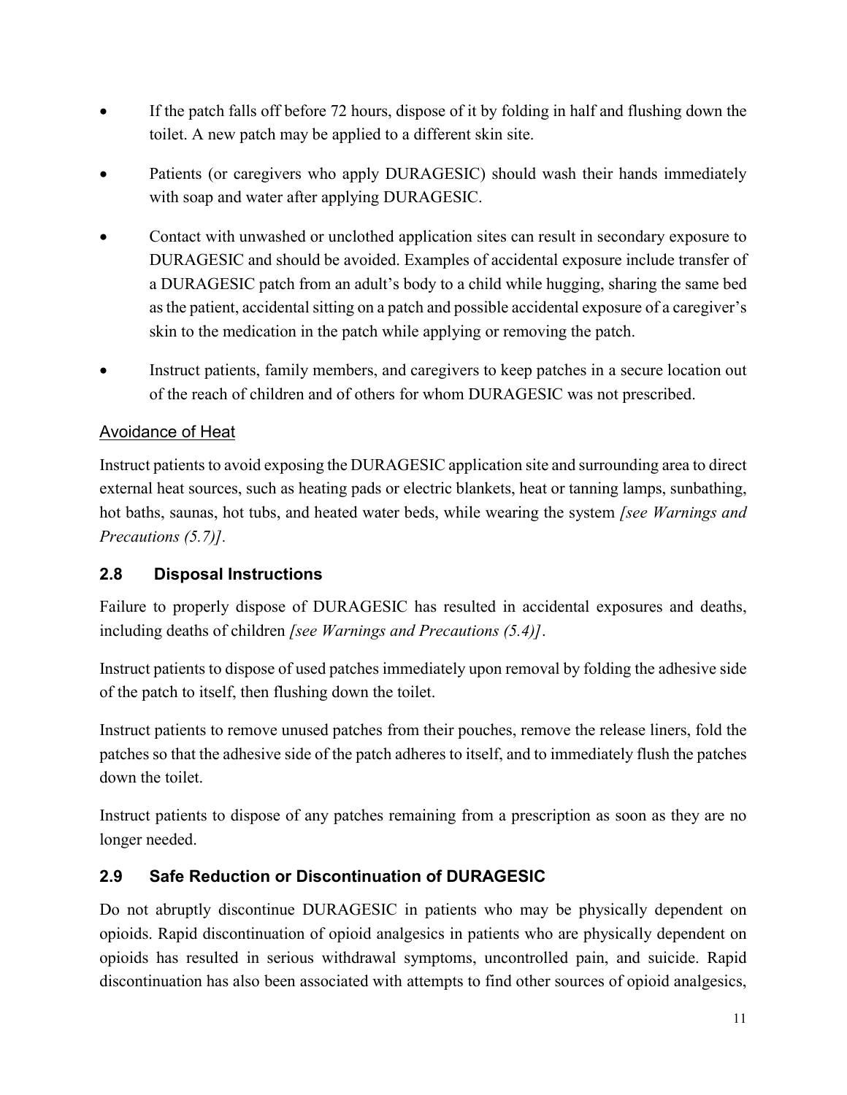- If the patch falls off before 72 hours, dispose of it by folding in half and flushing down the toilet. A new patch may be applied to a different skin site.
- Patients (or caregivers who apply DURAGESIC) should wash their hands immediately with soap and water after applying DURAGESIC.
- Contact with unwashed or unclothed application sites can result in secondary exposure to DURAGESIC and should be avoided. Examples of accidental exposure include transfer of a DURAGESIC patch from an adult's body to a child while hugging, sharing the same bed as the patient, accidental sitting on a patch and possible accidental exposure of a caregiver's skin to the medication in the patch while applying or removing the patch.
- Instruct patients, family members, and caregivers to keep patches in a secure location out of the reach of children and of others for whom DURAGESIC was not prescribed.

# Avoidance of Heat

Instruct patients to avoid exposing the DURAGESIC application site and surrounding area to direct external heat sources, such as heating pads or electric blankets, heat or tanning lamps, sunbathing, hot baths, saunas, hot tubs, and heated water beds, while wearing the system *[see Warnings and Precautions (5.7)].*

## <span id="page-10-1"></span>**2.8 Disposal Instructions**

Failure to properly dispose of DURAGESIC has resulted in accidental exposures and deaths, including deaths of children *[see Warnings and Precautions (5.4)]*.

Instruct patients to dispose of used patches immediately upon removal by folding the adhesive side of the patch to itself, then flushing down the toilet.

Instruct patients to remove unused patches from their pouches, remove the release liners, fold the patches so that the adhesive side of the patch adheres to itself, and to immediately flush the patches down the toilet.

Instruct patients to dispose of any patches remaining from a prescription as soon as they are no longer needed.

## <span id="page-10-0"></span>**2.9 Safe Reduction or Discontinuation of DURAGESIC**

Do not abruptly discontinue DURAGESIC in patients who may be physically dependent on opioids. Rapid discontinuation of opioid analgesics in patients who are physically dependent on opioids has resulted in serious withdrawal symptoms, uncontrolled pain, and suicide. Rapid discontinuation has also been associated with attempts to find other sources of opioid analgesics,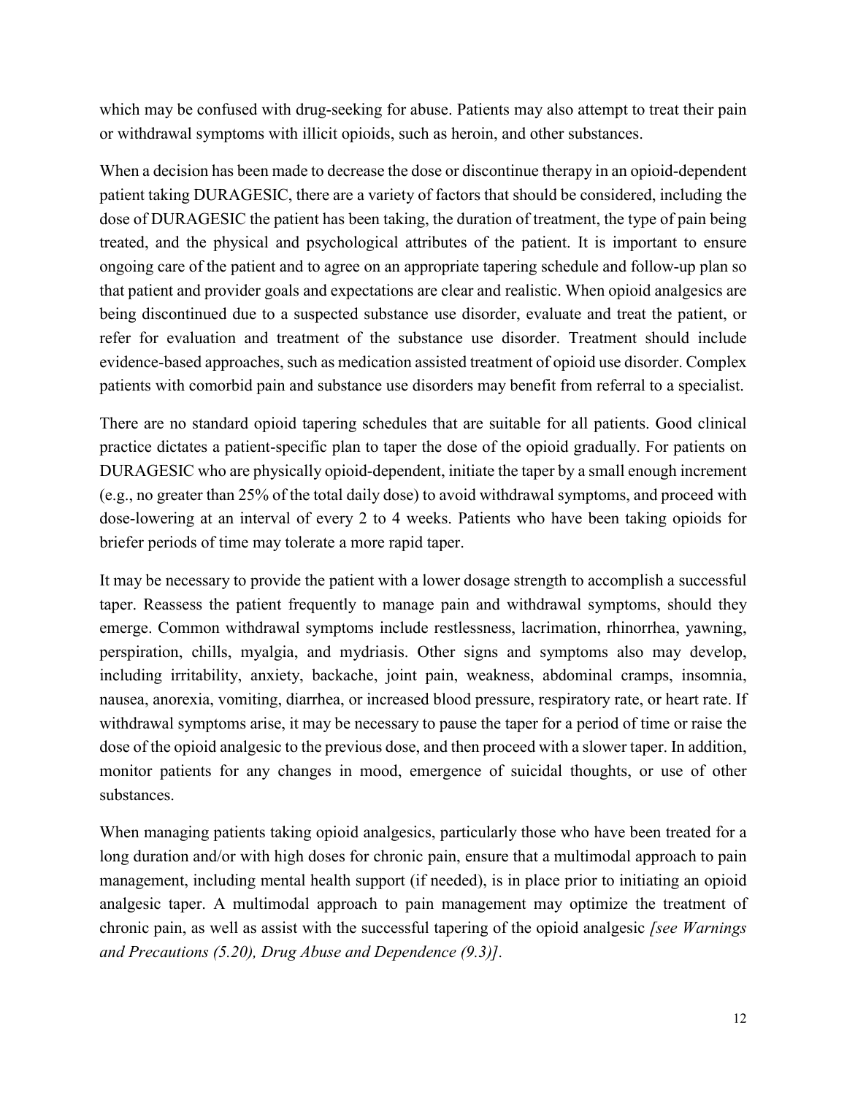which may be confused with drug-seeking for abuse. Patients may also attempt to treat their pain or withdrawal symptoms with illicit opioids, such as heroin, and other substances.

When a decision has been made to decrease the dose or discontinue therapy in an opioid-dependent patient taking DURAGESIC, there are a variety of factors that should be considered, including the dose of DURAGESIC the patient has been taking, the duration of treatment, the type of pain being treated, and the physical and psychological attributes of the patient. It is important to ensure ongoing care of the patient and to agree on an appropriate tapering schedule and follow-up plan so that patient and provider goals and expectations are clear and realistic. When opioid analgesics are being discontinued due to a suspected substance use disorder, evaluate and treat the patient, or refer for evaluation and treatment of the substance use disorder. Treatment should include evidence-based approaches, such as medication assisted treatment of opioid use disorder. Complex patients with comorbid pain and substance use disorders may benefit from referral to a specialist.

There are no standard opioid tapering schedules that are suitable for all patients. Good clinical practice dictates a patient-specific plan to taper the dose of the opioid gradually. For patients on DURAGESIC who are physically opioid-dependent, initiate the taper by a small enough increment (e.g., no greater than 25% of the total daily dose) to avoid withdrawal symptoms, and proceed with dose-lowering at an interval of every 2 to 4 weeks. Patients who have been taking opioids for briefer periods of time may tolerate a more rapid taper.

It may be necessary to provide the patient with a lower dosage strength to accomplish a successful taper. Reassess the patient frequently to manage pain and withdrawal symptoms, should they emerge. Common withdrawal symptoms include restlessness, lacrimation, rhinorrhea, yawning, perspiration, chills, myalgia, and mydriasis. Other signs and symptoms also may develop, including irritability, anxiety, backache, joint pain, weakness, abdominal cramps, insomnia, nausea, anorexia, vomiting, diarrhea, or increased blood pressure, respiratory rate, or heart rate. If withdrawal symptoms arise, it may be necessary to pause the taper for a period of time or raise the dose of the opioid analgesic to the previous dose, and then proceed with a slower taper. In addition, monitor patients for any changes in mood, emergence of suicidal thoughts, or use of other substances.

When managing patients taking opioid analgesics, particularly those who have been treated for a long duration and/or with high doses for chronic pain, ensure that a multimodal approach to pain management, including mental health support (if needed), is in place prior to initiating an opioid analgesic taper. A multimodal approach to pain management may optimize the treatment of chronic pain, as well as assist with the successful tapering of the opioid analgesic *[see Warnings and Precautions (5.20), Drug Abuse and Dependence (9.3)].*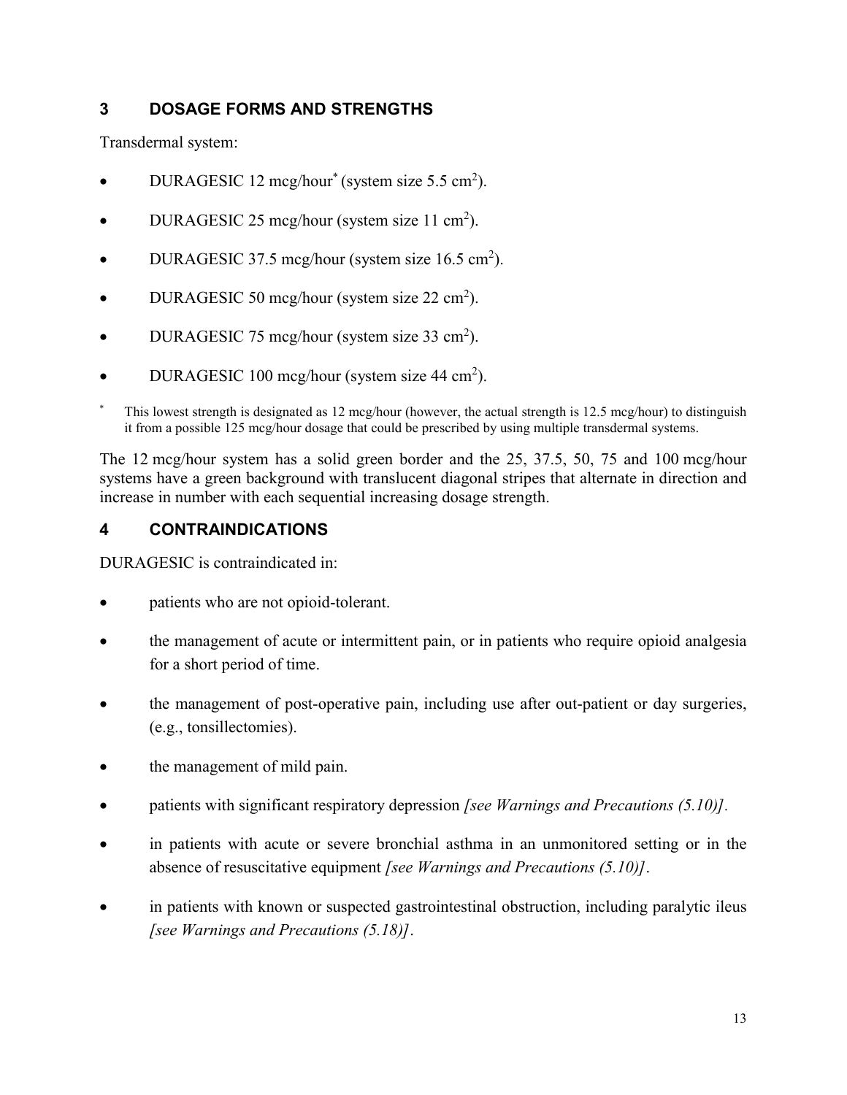# <span id="page-12-1"></span>**3 DOSAGE FORMS AND STRENGTHS**

Transdermal system:

- DURAGESIC 12 mcg/hour<sup>\*</sup> (system size 5.5 cm<sup>2</sup>).
- DURAGESIC 25 mcg/hour (system size 11 cm<sup>2</sup>).
- DURAGESIC 37.5 mcg/hour (system size  $16.5 \text{ cm}^2$ ).
- DURAGESIC 50 mcg/hour (system size 22 cm<sup>2</sup>).
- DURAGESIC 75 mcg/hour (system size 33 cm<sup>2</sup>).
- $\bullet$  DURAGESIC 100 mcg/hour (system size 44 cm<sup>2</sup>).
- This lowest strength is designated as 12 mcg/hour (however, the actual strength is 12.5 mcg/hour) to distinguish it from a possible 125 mcg/hour dosage that could be prescribed by using multiple transdermal systems.

The 12 mcg/hour system has a solid green border and the 25, 37.5, 50, 75 and 100 mcg/hour systems have a green background with translucent diagonal stripes that alternate in direction and increase in number with each sequential increasing dosage strength.

#### <span id="page-12-0"></span>**4 CONTRAINDICATIONS**

DURAGESIC is contraindicated in:

- patients who are not opioid-tolerant.
- the management of acute or intermittent pain, or in patients who require opioid analgesia for a short period of time.
- the management of post-operative pain, including use after out-patient or day surgeries, (e.g., tonsillectomies).
- the management of mild pain.
- patients with significant respiratory depression *[see Warnings and Precautions (5.10)].*
- in patients with acute or severe bronchial asthma in an unmonitored setting or in the absence of resuscitative equipment *[see Warnings and Precautions (5.10)]*.
- in patients with known or suspected gastrointestinal obstruction, including paralytic ileus *[see Warnings and Precautions (5.18)]*.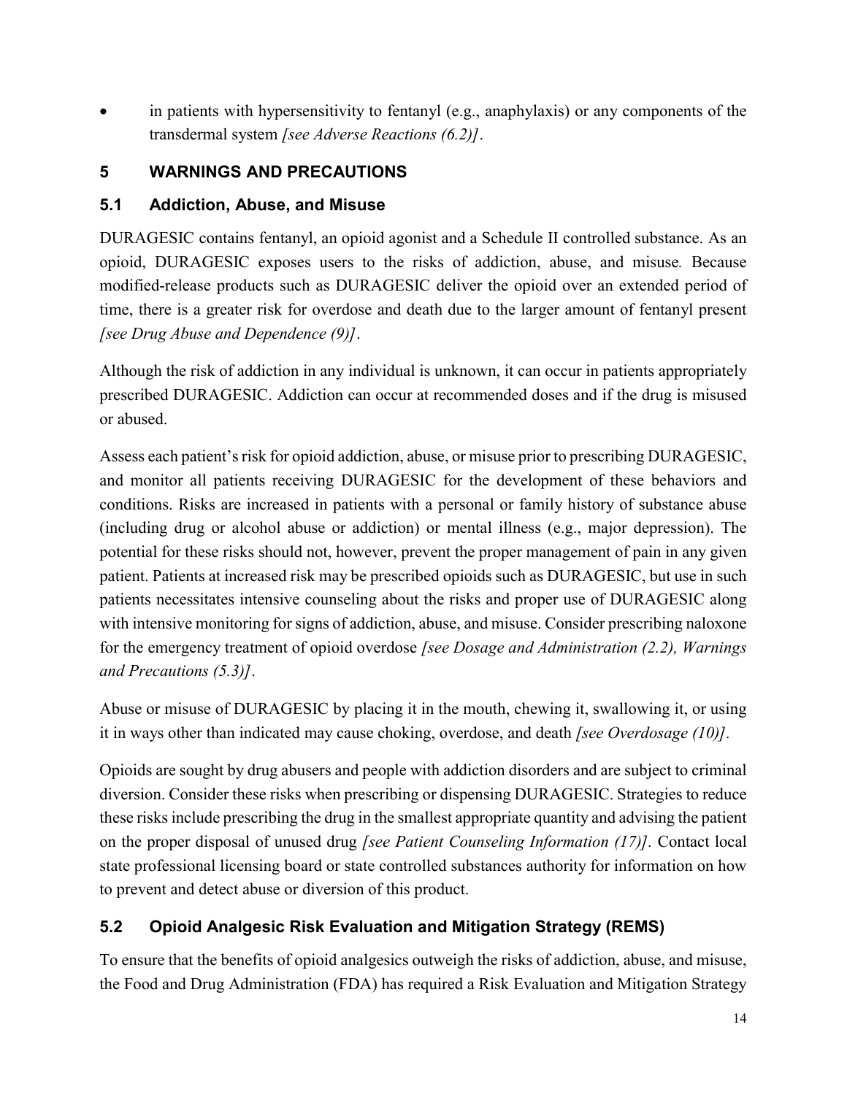in patients with hypersensitivity to fentanyl (e.g., anaphylaxis) or any components of the transdermal system *[see Adverse Reactions (6.2)]*.

# <span id="page-13-2"></span>**5 WARNINGS AND PRECAUTIONS**

#### <span id="page-13-1"></span>**5.1 Addiction, Abuse, and Misuse**

DURAGESIC contains fentanyl, an opioid agonist and a Schedule II controlled substance. As an opioid, DURAGESIC exposes users to the risks of addiction, abuse, and misuse*.* Because modified-release products such as DURAGESIC deliver the opioid over an extended period of time, there is a greater risk for overdose and death due to the larger amount of fentanyl present *[see Drug Abuse and Dependence (9)]*.

Although the risk of addiction in any individual is unknown, it can occur in patients appropriately prescribed DURAGESIC. Addiction can occur at recommended doses and if the drug is misused or abused.

Assess each patient's risk for opioid addiction, abuse, or misuse prior to prescribing DURAGESIC, and monitor all patients receiving DURAGESIC for the development of these behaviors and conditions. Risks are increased in patients with a personal or family history of substance abuse (including drug or alcohol abuse or addiction) or mental illness (e.g., major depression). The potential for these risks should not, however, prevent the proper management of pain in any given patient. Patients at increased risk may be prescribed opioids such as DURAGESIC, but use in such patients necessitates intensive counseling about the risks and proper use of DURAGESIC along with intensive monitoring for signs of addiction, abuse, and misuse. Consider prescribing naloxone for the emergency treatment of opioid overdose *[see Dosage and Administration (2.2), Warnings and Precautions (5.3)]*.

Abuse or misuse of DURAGESIC by placing it in the mouth, chewing it, swallowing it, or using it in ways other than indicated may cause choking, overdose, and death *[see Overdosage (10)].*

Opioids are sought by drug abusers and people with addiction disorders and are subject to criminal diversion. Consider these risks when prescribing or dispensing DURAGESIC. Strategies to reduce these risks include prescribing the drug in the smallest appropriate quantity and advising the patient on the proper disposal of unused drug *[see Patient Counseling Information (17)].* Contact local state professional licensing board or state controlled substances authority for information on how to prevent and detect abuse or diversion of this product.

# <span id="page-13-0"></span>**5.2 Opioid Analgesic Risk Evaluation and Mitigation Strategy (REMS)**

To ensure that the benefits of opioid analgesics outweigh the risks of addiction, abuse, and misuse, the Food and Drug Administration (FDA) has required a Risk Evaluation and Mitigation Strategy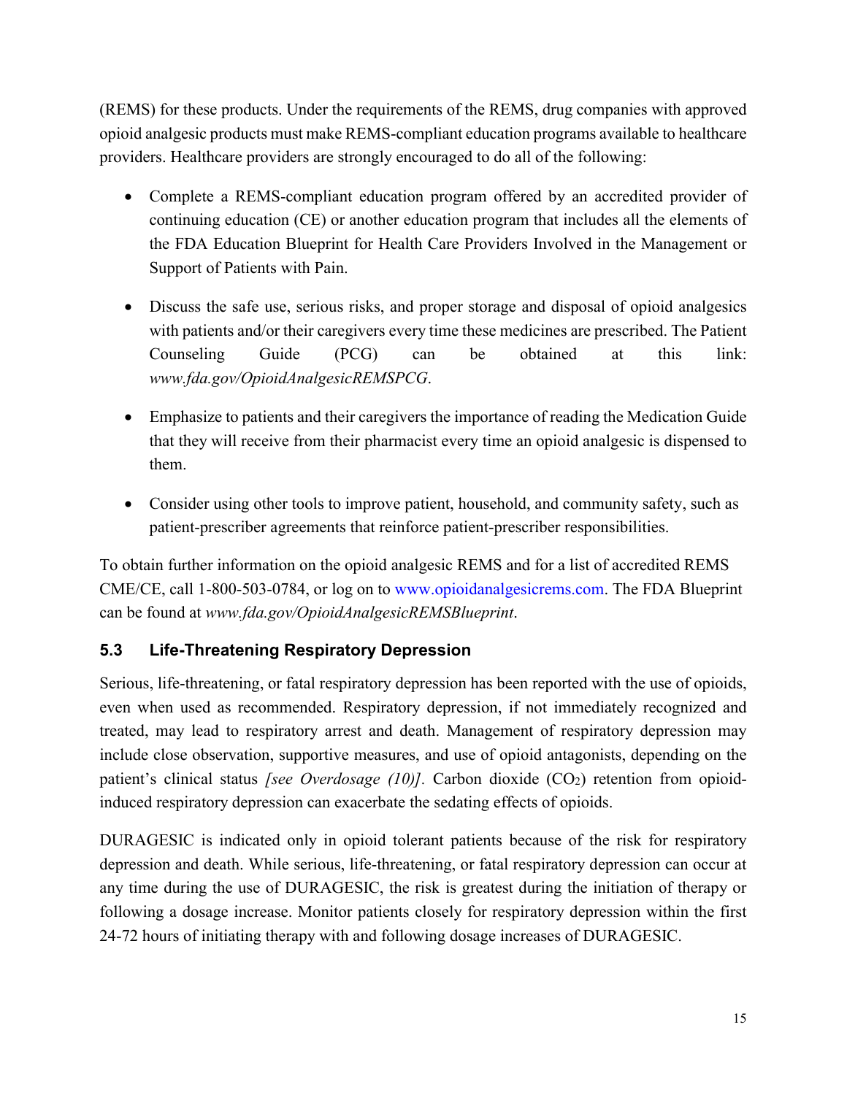(REMS) for these products. Under the requirements of the REMS, drug companies with approved opioid analgesic products must make REMS-compliant education programs available to healthcare providers. Healthcare providers are strongly encouraged to do all of the following:

- Complete a REMS-compliant education program offered by an accredited provider of continuing education (CE) or another education program that includes all the elements of the FDA Education Blueprint for Health Care Providers Involved in the Management or Support of Patients with Pain.
- Discuss the safe use, serious risks, and proper storage and disposal of opioid analgesics with patients and/or their caregivers every time these medicines are prescribed. The Patient Counseling Guide (PCG) can be obtained at this link: *www.fda.gov/OpioidAnalgesicREMSPCG*.
- Emphasize to patients and their caregivers the importance of reading the Medication Guide that they will receive from their pharmacist every time an opioid analgesic is dispensed to them.
- Consider using other tools to improve patient, household, and community safety, such as patient-prescriber agreements that reinforce patient-prescriber responsibilities.

To obtain further information on the opioid analgesic REMS and for a list of accredited REMS CME/CE, call 1-800-503-0784, or log on to www.opioidanalgesicrems.com. The FDA Blueprint can be found at *www.fda.gov/OpioidAnalgesicREMSBlueprint*.

# <span id="page-14-0"></span>**5.3 Life-Threatening Respiratory Depression**

Serious, life-threatening, or fatal respiratory depression has been reported with the use of opioids, even when used as recommended. Respiratory depression, if not immediately recognized and treated, may lead to respiratory arrest and death. Management of respiratory depression may include close observation, supportive measures, and use of opioid antagonists, depending on the patient's clinical status *[see Overdosage (10)]*. Carbon dioxide (CO<sub>2</sub>) retention from opioidinduced respiratory depression can exacerbate the sedating effects of opioids.

DURAGESIC is indicated only in opioid tolerant patients because of the risk for respiratory depression and death. While serious, life-threatening, or fatal respiratory depression can occur at any time during the use of DURAGESIC, the risk is greatest during the initiation of therapy or following a dosage increase. Monitor patients closely for respiratory depression within the first 24-72 hours of initiating therapy with and following dosage increases of DURAGESIC.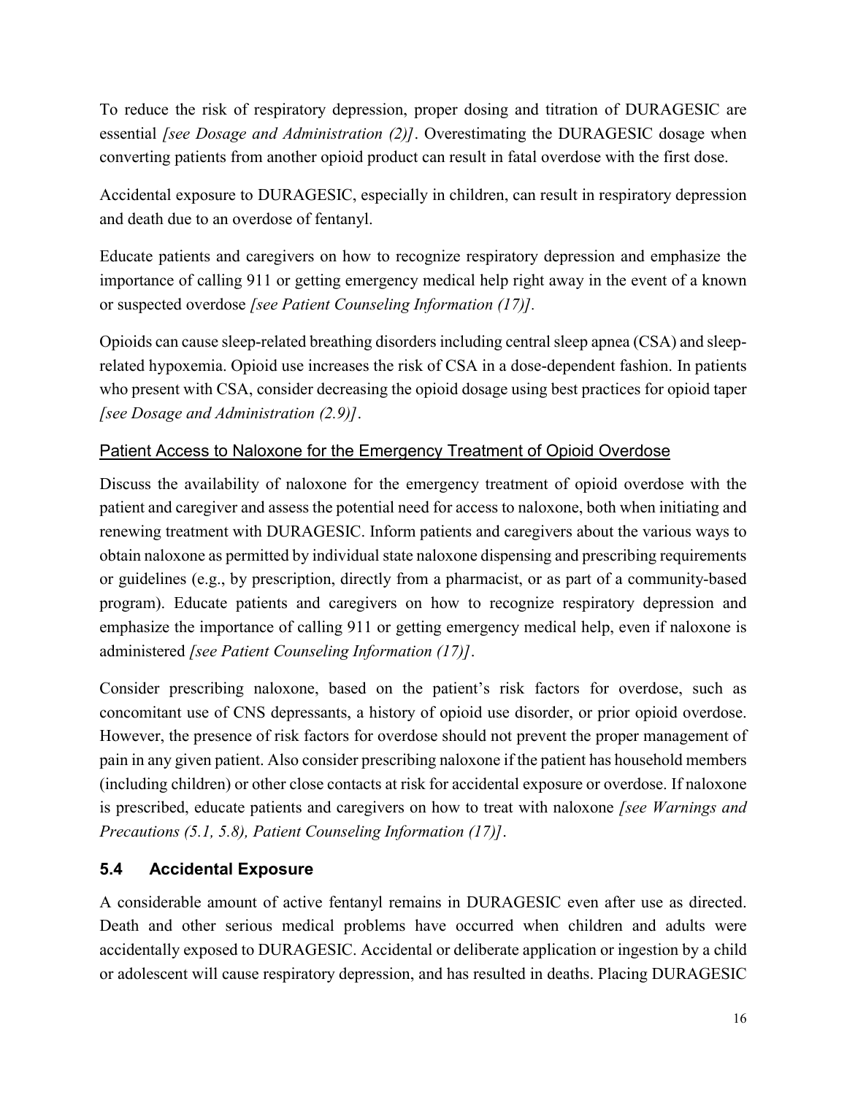To reduce the risk of respiratory depression, proper dosing and titration of DURAGESIC are essential *[see Dosage and Administration (2)]*. Overestimating the DURAGESIC dosage when converting patients from another opioid product can result in fatal overdose with the first dose.

Accidental exposure to DURAGESIC, especially in children, can result in respiratory depression and death due to an overdose of fentanyl.

Educate patients and caregivers on how to recognize respiratory depression and emphasize the importance of calling 911 or getting emergency medical help right away in the event of a known or suspected overdose *[see Patient Counseling Information (17)].*

Opioids can cause sleep-related breathing disorders including central sleep apnea (CSA) and sleeprelated hypoxemia. Opioid use increases the risk of CSA in a dose-dependent fashion. In patients who present with CSA, consider decreasing the opioid dosage using best practices for opioid taper *[see Dosage and Administration (2.9)]*.

# Patient Access to Naloxone for the Emergency Treatment of Opioid Overdose

Discuss the availability of naloxone for the emergency treatment of opioid overdose with the patient and caregiver and assess the potential need for access to naloxone, both when initiating and renewing treatment with DURAGESIC. Inform patients and caregivers about the various ways to obtain naloxone as permitted by individual state naloxone dispensing and prescribing requirements or guidelines (e.g., by prescription, directly from a pharmacist, or as part of a community-based program). Educate patients and caregivers on how to recognize respiratory depression and emphasize the importance of calling 911 or getting emergency medical help, even if naloxone is administered *[see Patient Counseling Information (17)]*.

Consider prescribing naloxone, based on the patient's risk factors for overdose, such as concomitant use of CNS depressants, a history of opioid use disorder, or prior opioid overdose. However, the presence of risk factors for overdose should not prevent the proper management of pain in any given patient. Also consider prescribing naloxone if the patient has household members (including children) or other close contacts at risk for accidental exposure or overdose. If naloxone is prescribed, educate patients and caregivers on how to treat with naloxone *[see Warnings and Precautions (5.1, 5.8), Patient Counseling Information (17)]*.

## <span id="page-15-0"></span>**5.4 Accidental Exposure**

A considerable amount of active fentanyl remains in DURAGESIC even after use as directed. Death and other serious medical problems have occurred when children and adults were accidentally exposed to DURAGESIC. Accidental or deliberate application or ingestion by a child or adolescent will cause respiratory depression, and has resulted in deaths. Placing DURAGESIC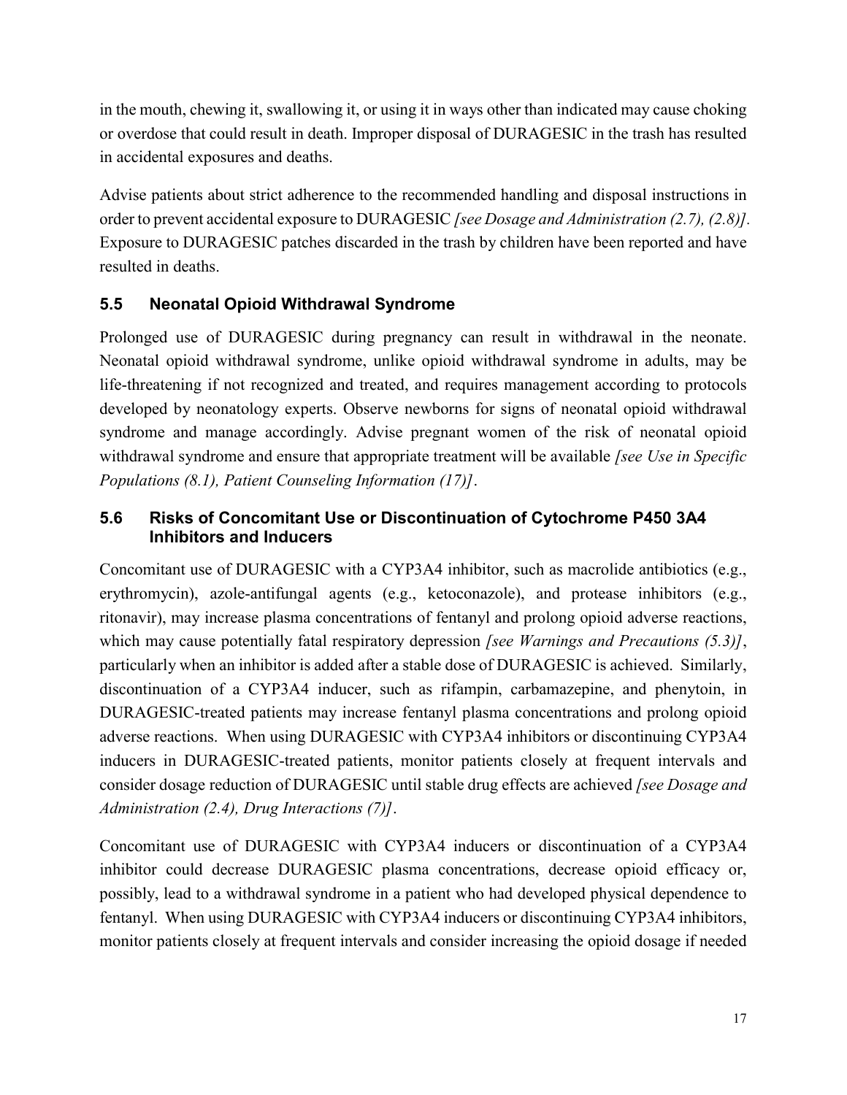in the mouth, chewing it, swallowing it, or using it in ways other than indicated may cause choking or overdose that could result in death. Improper disposal of DURAGESIC in the trash has resulted in accidental exposures and deaths.

Advise patients about strict adherence to the recommended handling and disposal instructions in order to prevent accidental exposure to DURAGESIC *[see Dosage and Administration (2.7), (2.8)].* Exposure to DURAGESIC patches discarded in the trash by children have been reported and have resulted in deaths.

# <span id="page-16-1"></span>**5.5 Neonatal Opioid Withdrawal Syndrome**

Prolonged use of DURAGESIC during pregnancy can result in withdrawal in the neonate. Neonatal opioid withdrawal syndrome, unlike opioid withdrawal syndrome in adults, may be life-threatening if not recognized and treated, and requires management according to protocols developed by neonatology experts. Observe newborns for signs of neonatal opioid withdrawal syndrome and manage accordingly. Advise pregnant women of the risk of neonatal opioid withdrawal syndrome and ensure that appropriate treatment will be available *[see Use in Specific Populations (8.1), Patient Counseling Information (17)]*.

## <span id="page-16-0"></span>**5.6 Risks of Concomitant Use or Discontinuation of Cytochrome P450 3A4 Inhibitors and Inducers**

Concomitant use of DURAGESIC with a CYP3A4 inhibitor, such as macrolide antibiotics (e.g., erythromycin), azole-antifungal agents (e.g., ketoconazole), and protease inhibitors (e.g., ritonavir), may increase plasma concentrations of fentanyl and prolong opioid adverse reactions, which may cause potentially fatal respiratory depression *[see Warnings and Precautions (5.3)]*, particularly when an inhibitor is added after a stable dose of DURAGESIC is achieved. Similarly, discontinuation of a CYP3A4 inducer, such as rifampin, carbamazepine, and phenytoin, in DURAGESIC-treated patients may increase fentanyl plasma concentrations and prolong opioid adverse reactions. When using DURAGESIC with CYP3A4 inhibitors or discontinuing CYP3A4 inducers in DURAGESIC-treated patients, monitor patients closely at frequent intervals and consider dosage reduction of DURAGESIC until stable drug effects are achieved *[see Dosage and Administration (2.4), Drug Interactions (7)]*.

Concomitant use of DURAGESIC with CYP3A4 inducers or discontinuation of a CYP3A4 inhibitor could decrease DURAGESIC plasma concentrations, decrease opioid efficacy or, possibly, lead to a withdrawal syndrome in a patient who had developed physical dependence to fentanyl. When using DURAGESIC with CYP3A4 inducers or discontinuing CYP3A4 inhibitors, monitor patients closely at frequent intervals and consider increasing the opioid dosage if needed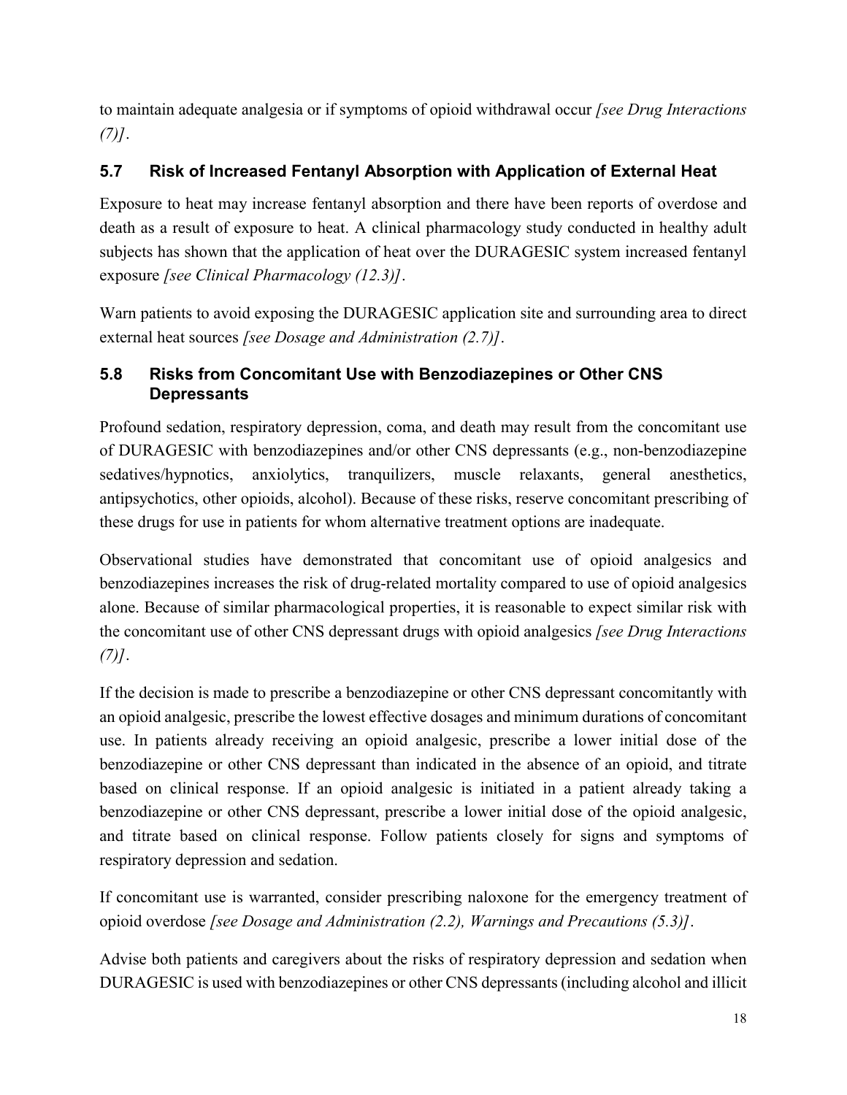to maintain adequate analgesia or if symptoms of opioid withdrawal occur *[see Drug Interactions (7)]*.

# <span id="page-17-1"></span>**5.7 Risk of Increased Fentanyl Absorption with Application of External Heat**

Exposure to heat may increase fentanyl absorption and there have been reports of overdose and death as a result of exposure to heat. A clinical pharmacology study conducted in healthy adult subjects has shown that the application of heat over the DURAGESIC system increased fentanyl exposure *[see Clinical Pharmacology (12.3)]*.

Warn patients to avoid exposing the DURAGESIC application site and surrounding area to direct external heat sources *[see Dosage and Administration (2.7)]*.

# <span id="page-17-0"></span>**5.8 Risks from Concomitant Use with Benzodiazepines or Other CNS Depressants**

Profound sedation, respiratory depression, coma, and death may result from the concomitant use of DURAGESIC with benzodiazepines and/or other CNS depressants (e.g., non-benzodiazepine sedatives/hypnotics, anxiolytics, tranquilizers, muscle relaxants, general anesthetics, antipsychotics, other opioids, alcohol). Because of these risks, reserve concomitant prescribing of these drugs for use in patients for whom alternative treatment options are inadequate.

Observational studies have demonstrated that concomitant use of opioid analgesics and benzodiazepines increases the risk of drug-related mortality compared to use of opioid analgesics alone. Because of similar pharmacological properties, it is reasonable to expect similar risk with the concomitant use of other CNS depressant drugs with opioid analgesics *[see Drug Interactions (7)]*.

If the decision is made to prescribe a benzodiazepine or other CNS depressant concomitantly with an opioid analgesic, prescribe the lowest effective dosages and minimum durations of concomitant use. In patients already receiving an opioid analgesic, prescribe a lower initial dose of the benzodiazepine or other CNS depressant than indicated in the absence of an opioid, and titrate based on clinical response. If an opioid analgesic is initiated in a patient already taking a benzodiazepine or other CNS depressant, prescribe a lower initial dose of the opioid analgesic, and titrate based on clinical response. Follow patients closely for signs and symptoms of respiratory depression and sedation.

If concomitant use is warranted, consider prescribing naloxone for the emergency treatment of opioid overdose *[see Dosage and Administration (2.2), Warnings and Precautions (5.3)]*.

Advise both patients and caregivers about the risks of respiratory depression and sedation when DURAGESIC is used with benzodiazepines or other CNS depressants (including alcohol and illicit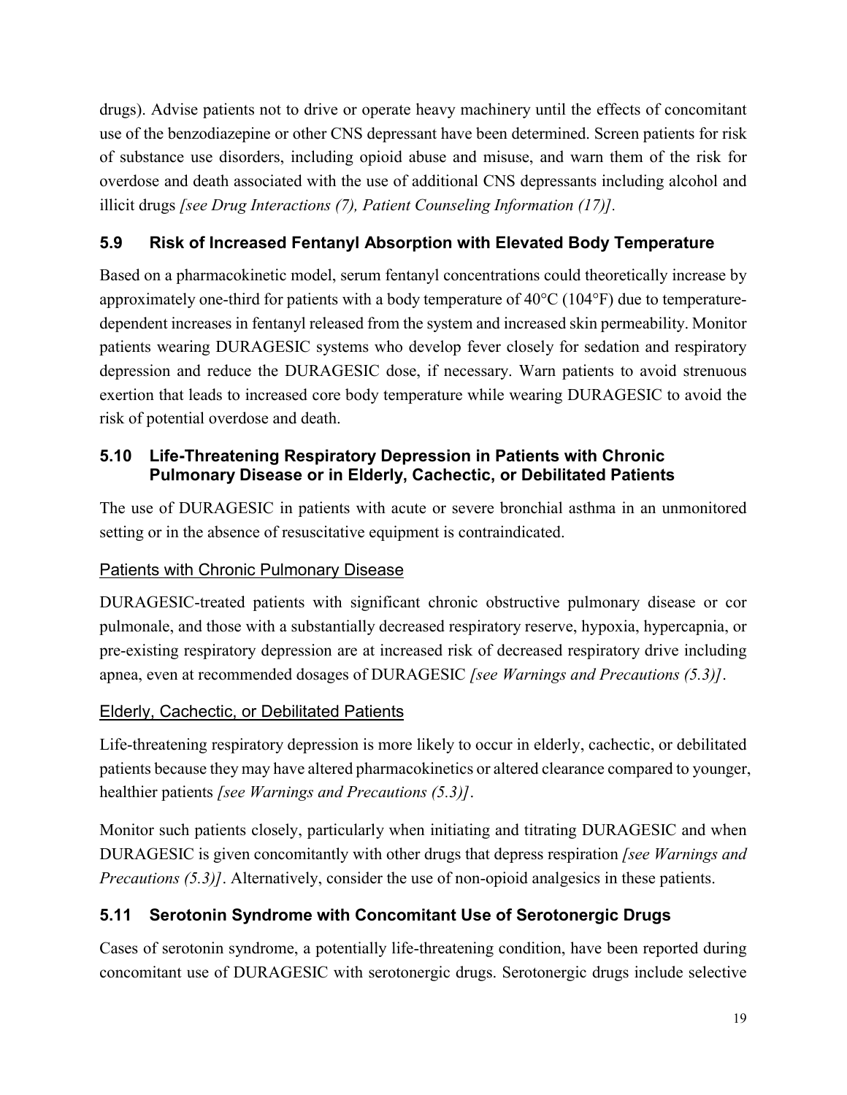drugs). Advise patients not to drive or operate heavy machinery until the effects of concomitant use of the benzodiazepine or other CNS depressant have been determined. Screen patients for risk of substance use disorders, including opioid abuse and misuse, and warn them of the risk for overdose and death associated with the use of additional CNS depressants including alcohol and illicit drugs *[see Drug Interactions (7), Patient Counseling Information (17)].*

# <span id="page-18-2"></span>**5.9 Risk of Increased Fentanyl Absorption with Elevated Body Temperature**

Based on a pharmacokinetic model, serum fentanyl concentrations could theoretically increase by approximately one-third for patients with a body temperature of  $40^{\circ}$ C (104 $^{\circ}$ F) due to temperaturedependent increases in fentanyl released from the system and increased skin permeability. Monitor patients wearing DURAGESIC systems who develop fever closely for sedation and respiratory depression and reduce the DURAGESIC dose, if necessary. Warn patients to avoid strenuous exertion that leads to increased core body temperature while wearing DURAGESIC to avoid the risk of potential overdose and death.

# <span id="page-18-1"></span>**5.10 Life-Threatening Respiratory Depression in Patients with Chronic Pulmonary Disease or in Elderly, Cachectic, or Debilitated Patients**

The use of DURAGESIC in patients with acute or severe bronchial asthma in an unmonitored setting or in the absence of resuscitative equipment is contraindicated.

## Patients with Chronic Pulmonary Disease

DURAGESIC-treated patients with significant chronic obstructive pulmonary disease or cor pulmonale, and those with a substantially decreased respiratory reserve, hypoxia, hypercapnia, or pre-existing respiratory depression are at increased risk of decreased respiratory drive including apnea, even at recommended dosages of DURAGESIC *[see Warnings and Precautions (5.3)]*.

## Elderly, Cachectic, or Debilitated Patients

Life-threatening respiratory depression is more likely to occur in elderly, cachectic, or debilitated patients because they may have altered pharmacokinetics or altered clearance compared to younger, healthier patients *[see Warnings and Precautions (5.3)]*.

Monitor such patients closely, particularly when initiating and titrating DURAGESIC and when DURAGESIC is given concomitantly with other drugs that depress respiration *[see Warnings and Precautions (5.3)]*. Alternatively, consider the use of non-opioid analgesics in these patients.

# <span id="page-18-0"></span>**5.11 Serotonin Syndrome with Concomitant Use of Serotonergic Drugs**

Cases of serotonin syndrome, a potentially life-threatening condition, have been reported during concomitant use of DURAGESIC with serotonergic drugs. Serotonergic drugs include selective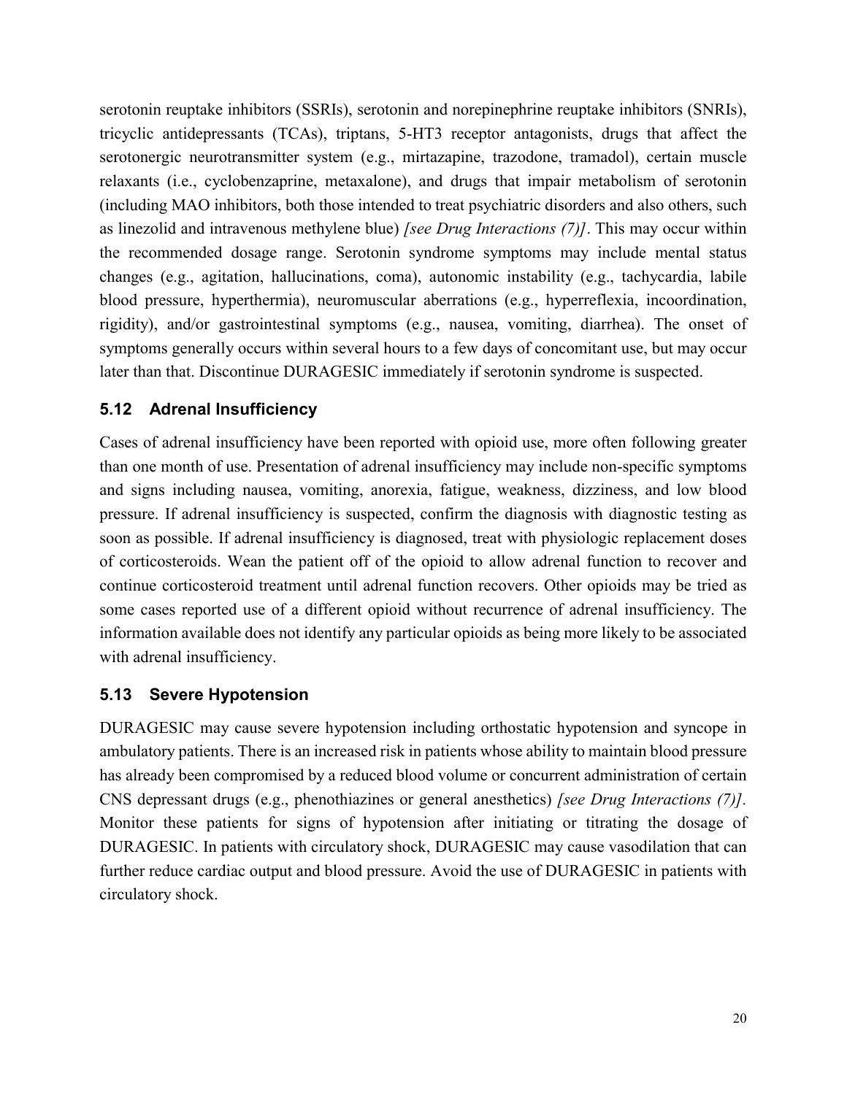serotonin reuptake inhibitors (SSRIs), serotonin and norepinephrine reuptake inhibitors (SNRIs), tricyclic antidepressants (TCAs), triptans, 5-HT3 receptor antagonists, drugs that affect the serotonergic neurotransmitter system (e.g., mirtazapine, trazodone, tramadol), certain muscle relaxants (i.e., cyclobenzaprine, metaxalone), and drugs that impair metabolism of serotonin (including MAO inhibitors, both those intended to treat psychiatric disorders and also others, such as linezolid and intravenous methylene blue) *[see Drug Interactions (7)]*. This may occur within the recommended dosage range. Serotonin syndrome symptoms may include mental status changes (e.g., agitation, hallucinations, coma), autonomic instability (e.g., tachycardia, labile blood pressure, hyperthermia), neuromuscular aberrations (e.g., hyperreflexia, incoordination, rigidity), and/or gastrointestinal symptoms (e.g., nausea, vomiting, diarrhea). The onset of symptoms generally occurs within several hours to a few days of concomitant use, but may occur later than that. Discontinue DURAGESIC immediately if serotonin syndrome is suspected.

#### <span id="page-19-1"></span>**5.12 Adrenal Insufficiency**

Cases of adrenal insufficiency have been reported with opioid use, more often following greater than one month of use. Presentation of adrenal insufficiency may include non-specific symptoms and signs including nausea, vomiting, anorexia, fatigue, weakness, dizziness, and low blood pressure. If adrenal insufficiency is suspected, confirm the diagnosis with diagnostic testing as soon as possible. If adrenal insufficiency is diagnosed, treat with physiologic replacement doses of corticosteroids. Wean the patient off of the opioid to allow adrenal function to recover and continue corticosteroid treatment until adrenal function recovers. Other opioids may be tried as some cases reported use of a different opioid without recurrence of adrenal insufficiency. The information available does not identify any particular opioids as being more likely to be associated with adrenal insufficiency.

#### <span id="page-19-0"></span>**5.13 Severe Hypotension**

DURAGESIC may cause severe hypotension including orthostatic hypotension and syncope in ambulatory patients. There is an increased risk in patients whose ability to maintain blood pressure has already been compromised by a reduced blood volume or concurrent administration of certain CNS depressant drugs (e.g., phenothiazines or general anesthetics) *[see Drug Interactions (7)].*  Monitor these patients for signs of hypotension after initiating or titrating the dosage of DURAGESIC. In patients with circulatory shock, DURAGESIC may cause vasodilation that can further reduce cardiac output and blood pressure. Avoid the use of DURAGESIC in patients with circulatory shock.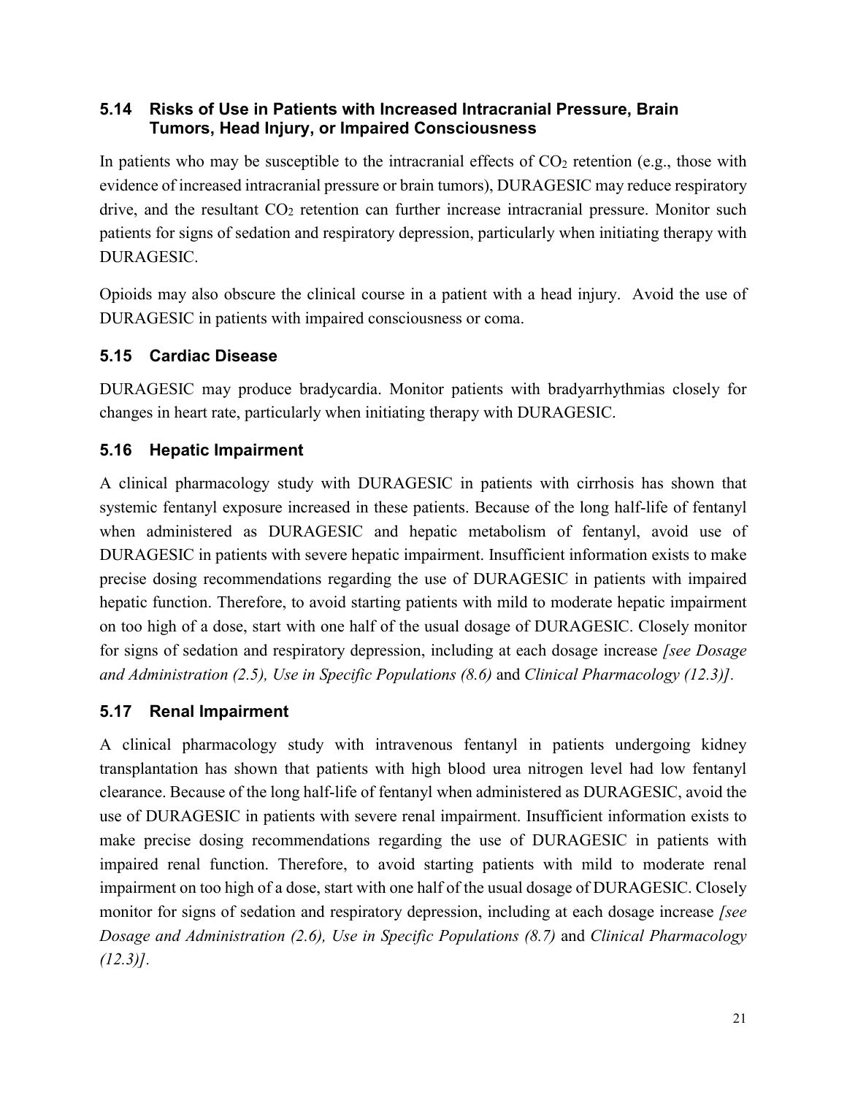#### <span id="page-20-3"></span>**5.14 Risks of Use in Patients with Increased Intracranial Pressure, Brain Tumors, Head Injury, or Impaired Consciousness**

In patients who may be susceptible to the intracranial effects of  $CO<sub>2</sub>$  retention (e.g., those with evidence of increased intracranial pressure or brain tumors), DURAGESIC may reduce respiratory drive, and the resultant  $CO<sub>2</sub>$  retention can further increase intracranial pressure. Monitor such patients for signs of sedation and respiratory depression, particularly when initiating therapy with DURAGESIC.

Opioids may also obscure the clinical course in a patient with a head injury. Avoid the use of DURAGESIC in patients with impaired consciousness or coma.

## <span id="page-20-2"></span>**5.15 Cardiac Disease**

DURAGESIC may produce bradycardia. Monitor patients with bradyarrhythmias closely for changes in heart rate, particularly when initiating therapy with DURAGESIC.

## <span id="page-20-1"></span>**5.16 Hepatic Impairment**

A clinical pharmacology study with DURAGESIC in patients with cirrhosis has shown that systemic fentanyl exposure increased in these patients. Because of the long half-life of fentanyl when administered as DURAGESIC and hepatic metabolism of fentanyl, avoid use of DURAGESIC in patients with severe hepatic impairment. Insufficient information exists to make precise dosing recommendations regarding the use of DURAGESIC in patients with impaired hepatic function. Therefore, to avoid starting patients with mild to moderate hepatic impairment on too high of a dose, start with one half of the usual dosage of DURAGESIC. Closely monitor for signs of sedation and respiratory depression, including at each dosage increase *[see Dosage and Administration (2.5), Use in Specific Populations (8.6)* and *Clinical Pharmacology (12.3)].*

## <span id="page-20-0"></span>**5.17 Renal Impairment**

A clinical pharmacology study with intravenous fentanyl in patients undergoing kidney transplantation has shown that patients with high blood urea nitrogen level had low fentanyl clearance. Because of the long half-life of fentanyl when administered as DURAGESIC, avoid the use of DURAGESIC in patients with severe renal impairment. Insufficient information exists to make precise dosing recommendations regarding the use of DURAGESIC in patients with impaired renal function. Therefore, to avoid starting patients with mild to moderate renal impairment on too high of a dose, start with one half of the usual dosage of DURAGESIC. Closely monitor for signs of sedation and respiratory depression, including at each dosage increase *[see Dosage and Administration (2.6), Use in Specific Populations (8.7)* and *Clinical Pharmacology (12.3)].*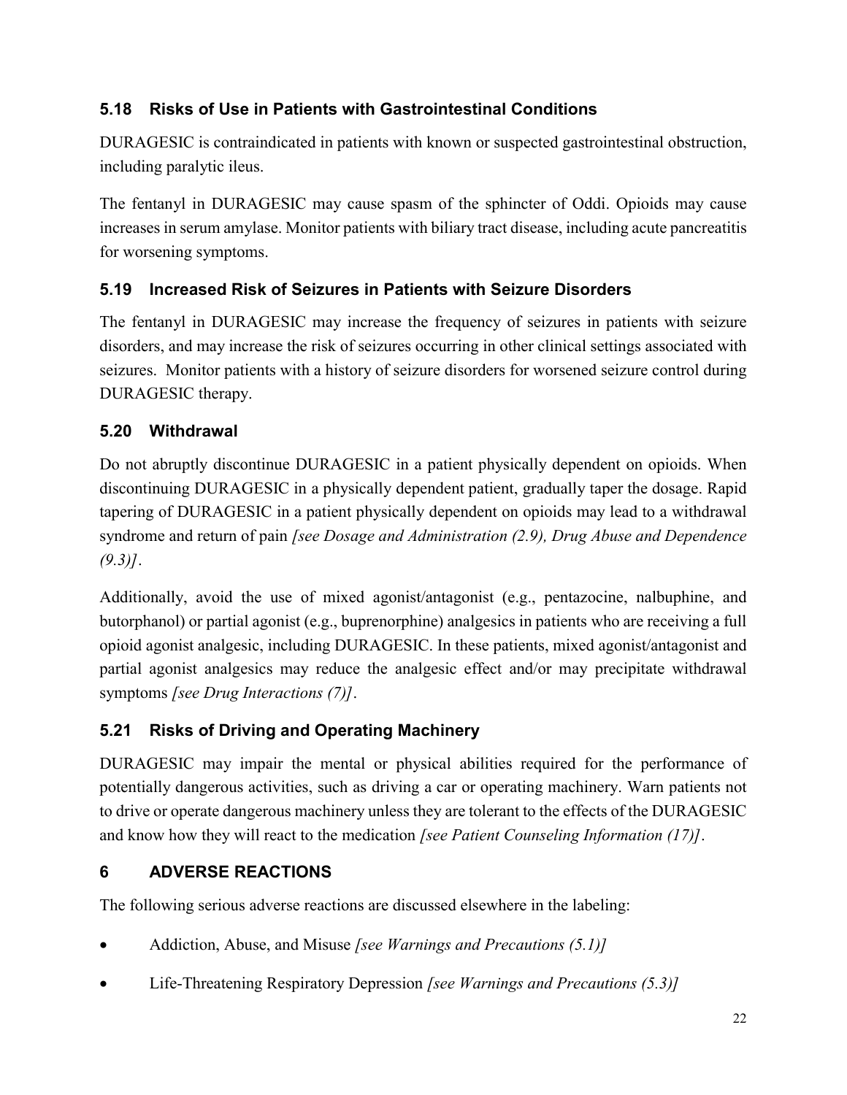# <span id="page-21-4"></span>**5.18 Risks of Use in Patients with Gastrointestinal Conditions**

DURAGESIC is contraindicated in patients with known or suspected gastrointestinal obstruction, including paralytic ileus.

The fentanyl in DURAGESIC may cause spasm of the sphincter of Oddi. Opioids may cause increases in serum amylase. Monitor patients with biliary tract disease, including acute pancreatitis for worsening symptoms.

# <span id="page-21-3"></span>**5.19 Increased Risk of Seizures in Patients with Seizure Disorders**

The fentanyl in DURAGESIC may increase the frequency of seizures in patients with seizure disorders, and may increase the risk of seizures occurring in other clinical settings associated with seizures. Monitor patients with a history of seizure disorders for worsened seizure control during DURAGESIC therapy.

# <span id="page-21-2"></span>**5.20 Withdrawal**

Do not abruptly discontinue DURAGESIC in a patient physically dependent on opioids. When discontinuing DURAGESIC in a physically dependent patient, gradually taper the dosage. Rapid tapering of DURAGESIC in a patient physically dependent on opioids may lead to a withdrawal syndrome and return of pain *[see Dosage and Administration (2.9), Drug Abuse and Dependence (9.3)]*.

Additionally, avoid the use of mixed agonist/antagonist (e.g., pentazocine, nalbuphine, and butorphanol) or partial agonist (e.g., buprenorphine) analgesics in patients who are receiving a full opioid agonist analgesic, including DURAGESIC. In these patients, mixed agonist/antagonist and partial agonist analgesics may reduce the analgesic effect and/or may precipitate withdrawal symptoms *[see Drug Interactions (7)]*.

# <span id="page-21-1"></span>**5.21 Risks of Driving and Operating Machinery**

DURAGESIC may impair the mental or physical abilities required for the performance of potentially dangerous activities, such as driving a car or operating machinery. Warn patients not to drive or operate dangerous machinery unless they are tolerant to the effects of the DURAGESIC and know how they will react to the medication *[see Patient Counseling Information (17)]*.

# <span id="page-21-0"></span>**6 ADVERSE REACTIONS**

The following serious adverse reactions are discussed elsewhere in the labeling:

- Addiction, Abuse, and Misuse *[see Warnings and Precautions (5.1)]*
- Life-Threatening Respiratory Depression *[see Warnings and Precautions (5.3)]*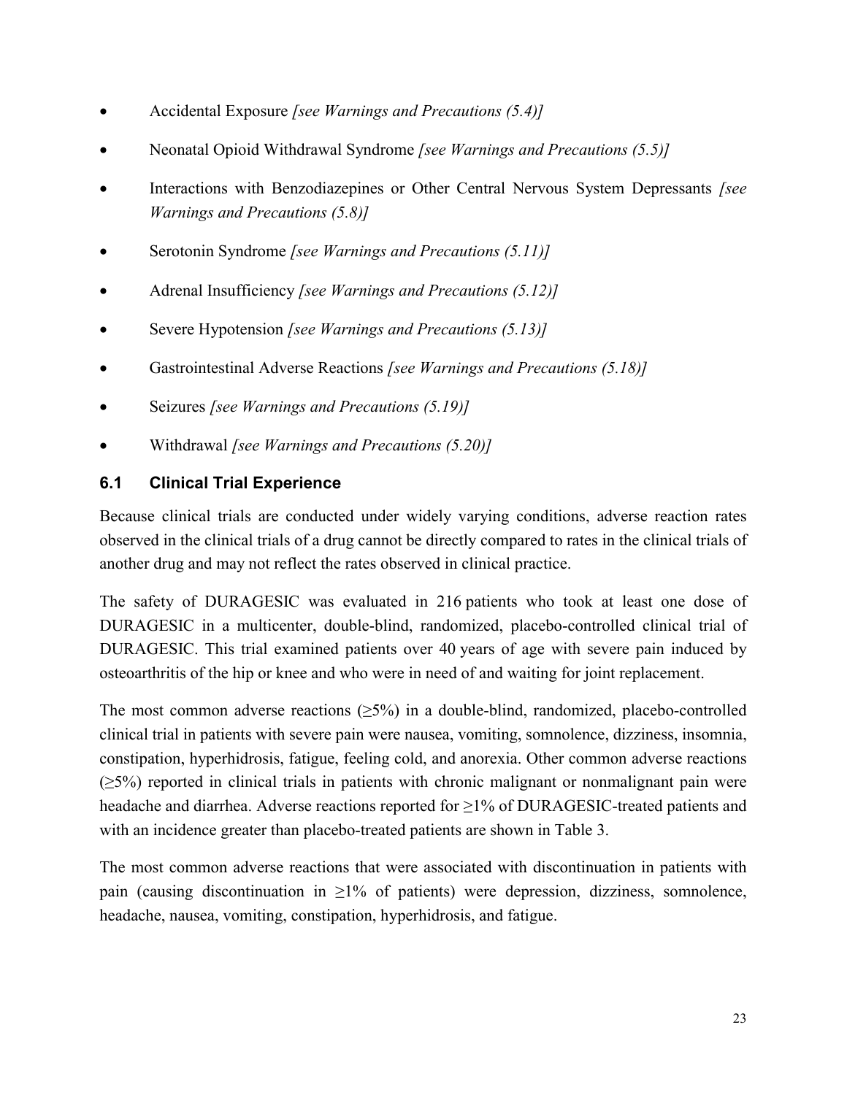- Accidental Exposure *[see Warnings and Precautions (5.4)]*
- Neonatal Opioid Withdrawal Syndrome *[see Warnings and Precautions (5.5)]*
- Interactions with Benzodiazepines or Other Central Nervous System Depressants *[see Warnings and Precautions (5.8)]*
- Serotonin Syndrome *[see Warnings and Precautions (5.11)]*
- Adrenal Insufficiency *[see Warnings and Precautions (5.12)]*
- Severe Hypotension *[see Warnings and Precautions (5.13)]*
- Gastrointestinal Adverse Reactions *[see Warnings and Precautions (5.18)]*
- Seizures *[see Warnings and Precautions (5.19)]*
- Withdrawal *[see Warnings and Precautions (5.20)]*

#### <span id="page-22-0"></span>**6.1 Clinical Trial Experience**

Because clinical trials are conducted under widely varying conditions, adverse reaction rates observed in the clinical trials of a drug cannot be directly compared to rates in the clinical trials of another drug and may not reflect the rates observed in clinical practice.

The safety of DURAGESIC was evaluated in 216 patients who took at least one dose of DURAGESIC in a multicenter, double-blind, randomized, placebo-controlled clinical trial of DURAGESIC. This trial examined patients over 40 years of age with severe pain induced by osteoarthritis of the hip or knee and who were in need of and waiting for joint replacement.

The most common adverse reactions  $(\geq 5\%)$  in a double-blind, randomized, placebo-controlled clinical trial in patients with severe pain were nausea, vomiting, somnolence, dizziness, insomnia, constipation, hyperhidrosis, fatigue, feeling cold, and anorexia. Other common adverse reactions  $(\geq 5\%)$  reported in clinical trials in patients with chronic malignant or nonmalignant pain were headache and diarrhea. Adverse reactions reported for ≥1% of DURAGESIC-treated patients and with an incidence greater than placebo-treated patients are shown in Table 3.

The most common adverse reactions that were associated with discontinuation in patients with pain (causing discontinuation in  $\geq$ 1% of patients) were depression, dizziness, somnolence, headache, nausea, vomiting, constipation, hyperhidrosis, and fatigue.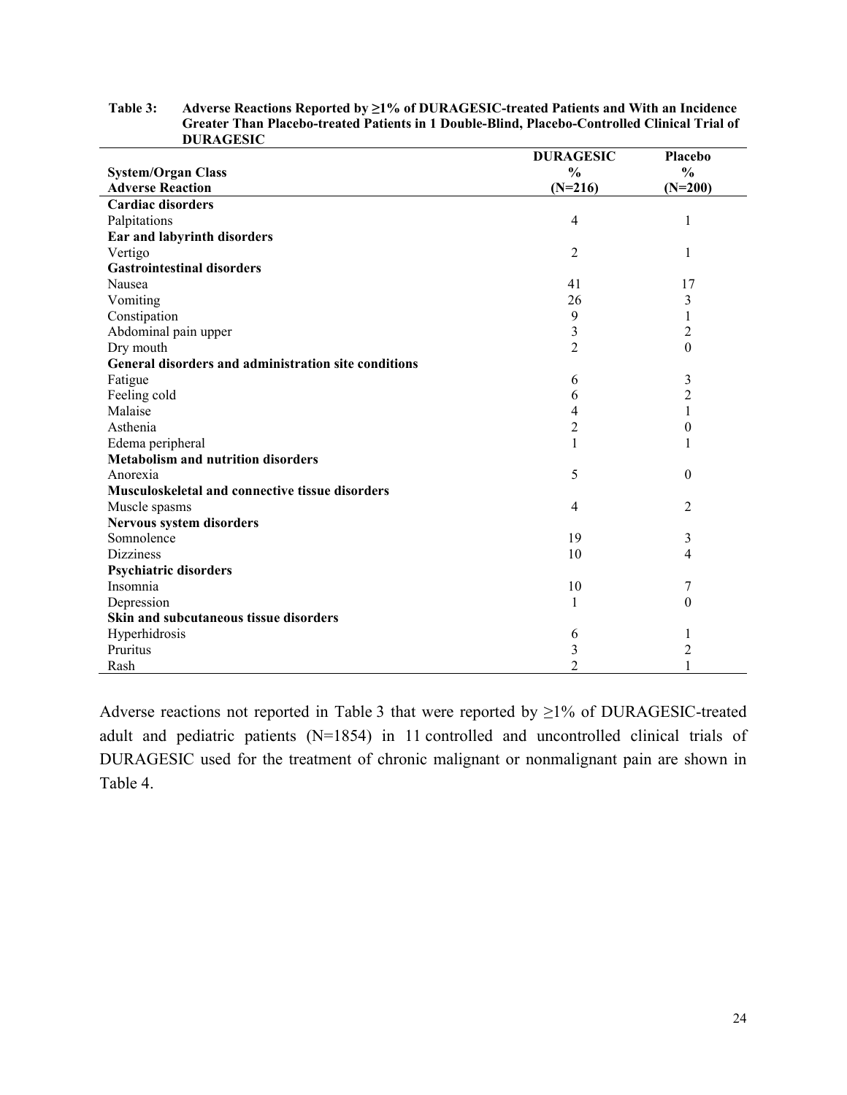|                                                      | <b>DURAGESIC</b> | Placebo          |
|------------------------------------------------------|------------------|------------------|
| <b>System/Organ Class</b>                            | $\frac{0}{0}$    | $\frac{0}{0}$    |
| <b>Adverse Reaction</b>                              | $(N=216)$        | $(N=200)$        |
| <b>Cardiac disorders</b>                             |                  |                  |
| Palpitations                                         | $\overline{4}$   | 1                |
| Ear and labyrinth disorders                          |                  |                  |
| Vertigo                                              | $\overline{2}$   | 1                |
| <b>Gastrointestinal disorders</b>                    |                  |                  |
| Nausea                                               | 41               | 17               |
| Vomiting                                             | 26               | 3                |
| Constipation                                         | 9                | 1                |
| Abdominal pain upper                                 | 3                | $\overline{c}$   |
| Dry mouth                                            | $\overline{2}$   | $\theta$         |
| General disorders and administration site conditions |                  |                  |
| Fatigue                                              | 6                | 3                |
| Feeling cold                                         | 6                | $\overline{c}$   |
| Malaise                                              | 4                |                  |
| Asthenia                                             | $\overline{c}$   | $\boldsymbol{0}$ |
| Edema peripheral                                     | $\mathbf{1}$     | 1                |
| <b>Metabolism and nutrition disorders</b>            |                  |                  |
| Anorexia                                             | 5                | $\boldsymbol{0}$ |
| Musculoskeletal and connective tissue disorders      |                  |                  |
| Muscle spasms                                        | $\overline{4}$   | $\overline{2}$   |
| <b>Nervous system disorders</b>                      |                  |                  |
| Somnolence                                           | 19               | 3                |
| <b>Dizziness</b>                                     | 10               | 4                |
| <b>Psychiatric disorders</b>                         |                  |                  |
| Insomnia                                             | 10               | 7                |
| Depression                                           | 1                | $\Omega$         |
| Skin and subcutaneous tissue disorders               |                  |                  |
| Hyperhidrosis                                        | 6                | 1                |
| Pruritus                                             | 3                | 2                |
| Rash                                                 | $\overline{c}$   |                  |

| <b>Table 3:</b> | Adverse Reactions Reported by $\geq 1\%$ of DURAGESIC-treated Patients and With an Incidence  |
|-----------------|-----------------------------------------------------------------------------------------------|
|                 | Greater Than Placebo-treated Patients in 1 Double-Blind, Placebo-Controlled Clinical Trial of |
|                 | <b>DURAGESIC</b>                                                                              |

Adverse reactions not reported in Table 3 that were reported by ≥1% of DURAGESIC-treated adult and pediatric patients (N=1854) in 11 controlled and uncontrolled clinical trials of DURAGESIC used for the treatment of chronic malignant or nonmalignant pain are shown in Table 4.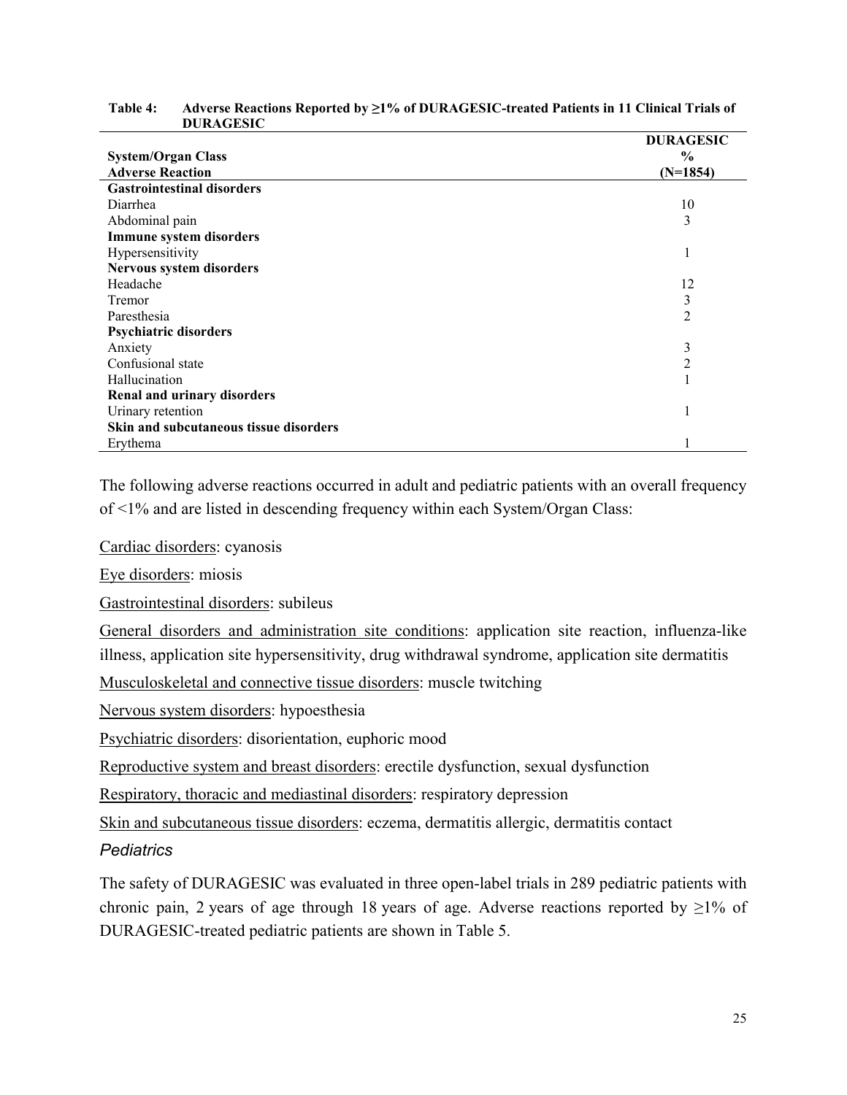|                                        | <b>DURAGESIC</b> |
|----------------------------------------|------------------|
| <b>System/Organ Class</b>              | $\frac{0}{0}$    |
| <b>Adverse Reaction</b>                | $(N=1854)$       |
| <b>Gastrointestinal disorders</b>      |                  |
| Diarrhea                               | 10               |
| Abdominal pain                         | 3                |
| <b>Immune system disorders</b>         |                  |
| Hypersensitivity                       | 1                |
| Nervous system disorders               |                  |
| Headache                               | 12               |
| Tremor                                 | 3                |
| Paresthesia                            | $\overline{2}$   |
| <b>Psychiatric disorders</b>           |                  |
| Anxiety                                | 3                |
| Confusional state                      | 2                |
| Hallucination                          |                  |
| <b>Renal and urinary disorders</b>     |                  |
| Urinary retention                      |                  |
| Skin and subcutaneous tissue disorders |                  |
| Erythema                               |                  |

#### **Table 4: Adverse Reactions Reported by ≥1% of DURAGESIC-treated Patients in 11 Clinical Trials of DURAGESIC**

The following adverse reactions occurred in adult and pediatric patients with an overall frequency of <1% and are listed in descending frequency within each System/Organ Class:

Cardiac disorders: cyanosis

Eye disorders: miosis

Gastrointestinal disorders: subileus

General disorders and administration site conditions: application site reaction, influenza-like illness, application site hypersensitivity, drug withdrawal syndrome, application site dermatitis

Musculoskeletal and connective tissue disorders: muscle twitching

Nervous system disorders: hypoesthesia

Psychiatric disorders: disorientation, euphoric mood

Reproductive system and breast disorders: erectile dysfunction, sexual dysfunction

Respiratory, thoracic and mediastinal disorders: respiratory depression

Skin and subcutaneous tissue disorders: eczema, dermatitis allergic, dermatitis contact

## *Pediatrics*

The safety of DURAGESIC was evaluated in three open-label trials in 289 pediatric patients with chronic pain, 2 years of age through 18 years of age. Adverse reactions reported by  $\geq$ 1% of DURAGESIC-treated pediatric patients are shown in Table 5.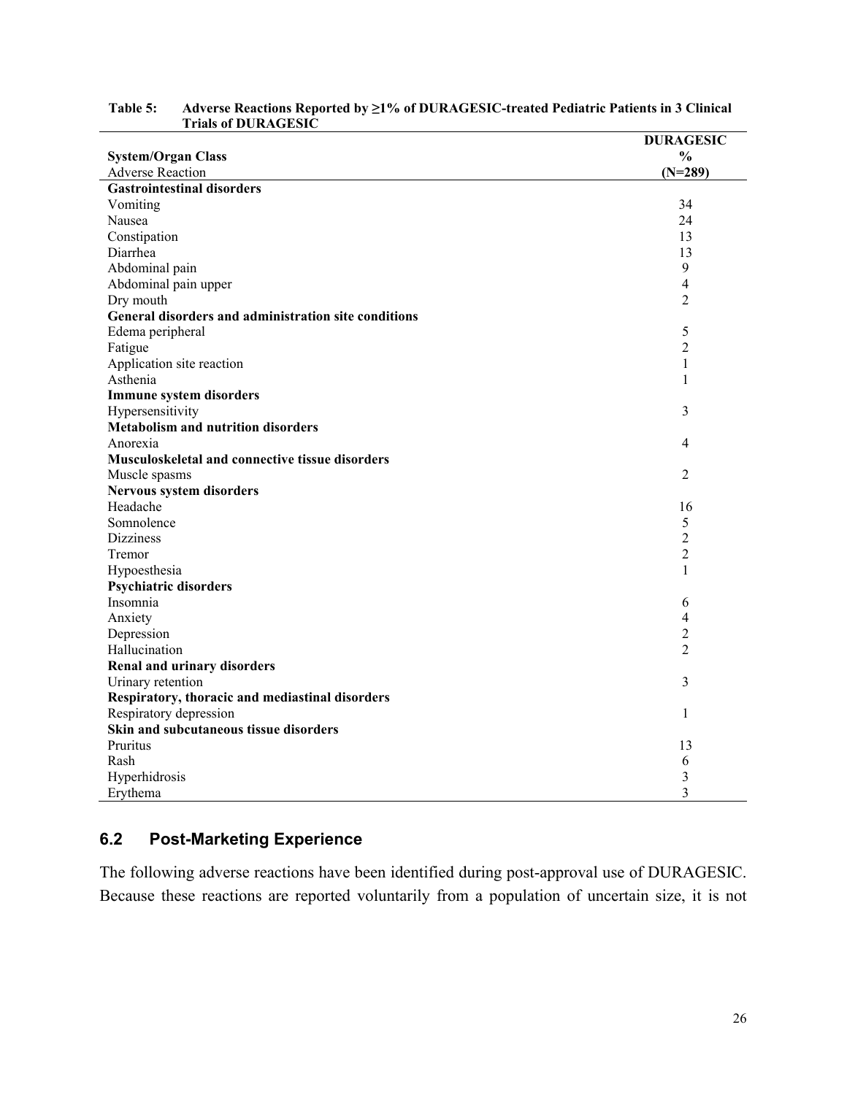|                                                      | <b>DURAGESIC</b>        |
|------------------------------------------------------|-------------------------|
| <b>System/Organ Class</b>                            | $\frac{0}{0}$           |
| <b>Adverse Reaction</b>                              | $(N=289)$               |
| <b>Gastrointestinal disorders</b>                    |                         |
| Vomiting                                             | 34                      |
| Nausea                                               | 24                      |
| Constipation                                         | 13                      |
| Diarrhea                                             | 13                      |
| Abdominal pain                                       | 9                       |
| Abdominal pain upper                                 | $\overline{4}$          |
| Dry mouth                                            | $\overline{2}$          |
| General disorders and administration site conditions |                         |
| Edema peripheral                                     | 5                       |
| Fatigue                                              | $\overline{2}$          |
| Application site reaction                            | $\mathbf{1}$            |
| Asthenia                                             | $\mathbf{1}$            |
| Immune system disorders                              |                         |
| Hypersensitivity                                     | 3                       |
| <b>Metabolism and nutrition disorders</b>            |                         |
| Anorexia                                             | 4                       |
| Musculoskeletal and connective tissue disorders      |                         |
| Muscle spasms                                        | $\overline{2}$          |
| Nervous system disorders                             |                         |
| Headache                                             | 16                      |
| Somnolence                                           | 5                       |
| <b>Dizziness</b>                                     | $\overline{2}$          |
| Tremor                                               | $\overline{c}$          |
| Hypoesthesia                                         | $\mathbf{1}$            |
| <b>Psychiatric disorders</b>                         |                         |
| Insomnia                                             | 6                       |
| Anxiety                                              | $\overline{\mathbf{4}}$ |
| Depression                                           | $\overline{c}$          |
| Hallucination                                        | $\overline{2}$          |
| Renal and urinary disorders                          |                         |
| Urinary retention                                    | $\overline{3}$          |
| Respiratory, thoracic and mediastinal disorders      |                         |
| Respiratory depression                               | 1                       |
| Skin and subcutaneous tissue disorders               |                         |
| Pruritus                                             | 13                      |
| Rash                                                 | 6                       |
| Hyperhidrosis                                        | 3                       |
|                                                      | 3                       |
| Erythema                                             |                         |

#### **Table 5: Adverse Reactions Reported by ≥1% of DURAGESIC-treated Pediatric Patients in 3 Clinical Trials of DURAGESIC**

# <span id="page-25-0"></span>**6.2 Post-Marketing Experience**

The following adverse reactions have been identified during post-approval use of DURAGESIC. Because these reactions are reported voluntarily from a population of uncertain size, it is not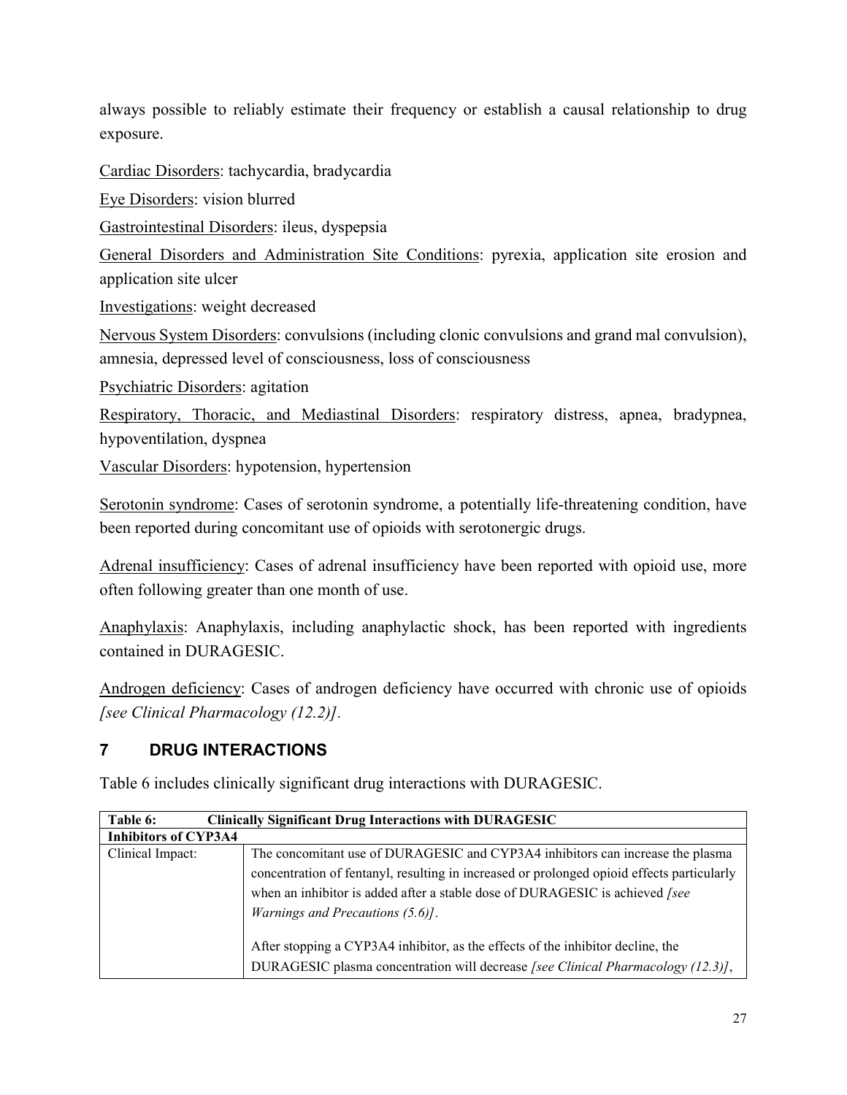always possible to reliably estimate their frequency or establish a causal relationship to drug exposure.

Cardiac Disorders: tachycardia, bradycardia

Eye Disorders: vision blurred

Gastrointestinal Disorders: ileus, dyspepsia

General Disorders and Administration Site Conditions: pyrexia, application site erosion and application site ulcer

Investigations: weight decreased

Nervous System Disorders: convulsions (including clonic convulsions and grand mal convulsion), amnesia, depressed level of consciousness, loss of consciousness

Psychiatric Disorders: agitation

Respiratory, Thoracic, and Mediastinal Disorders: respiratory distress, apnea, bradypnea, hypoventilation, dyspnea

Vascular Disorders: hypotension, hypertension

Serotonin syndrome: Cases of serotonin syndrome, a potentially life-threatening condition, have been reported during concomitant use of opioids with serotonergic drugs.

Adrenal insufficiency: Cases of adrenal insufficiency have been reported with opioid use, more often following greater than one month of use.

Anaphylaxis: Anaphylaxis, including anaphylactic shock, has been reported with ingredients contained in DURAGESIC.

Androgen deficiency: Cases of androgen deficiency have occurred with chronic use of opioids *[see Clinical Pharmacology (12.2)].*

# <span id="page-26-0"></span>**7 DRUG INTERACTIONS**

Table 6 includes clinically significant drug interactions with DURAGESIC.

| Table 6:                    | <b>Clinically Significant Drug Interactions with DURAGESIC</b>                             |  |  |
|-----------------------------|--------------------------------------------------------------------------------------------|--|--|
| <b>Inhibitors of CYP3A4</b> |                                                                                            |  |  |
| Clinical Impact:            | The concomitant use of DURAGESIC and CYP3A4 inhibitors can increase the plasma             |  |  |
|                             | concentration of fentanyl, resulting in increased or prolonged opioid effects particularly |  |  |
|                             | when an inhibitor is added after a stable dose of DURAGESIC is achieved [see               |  |  |
|                             | <i>Warnings and Precautions (5.6)].</i>                                                    |  |  |
|                             | After stopping a CYP3A4 inhibitor, as the effects of the inhibitor decline, the            |  |  |
|                             | DURAGESIC plasma concentration will decrease [see Clinical Pharmacology (12.3)],           |  |  |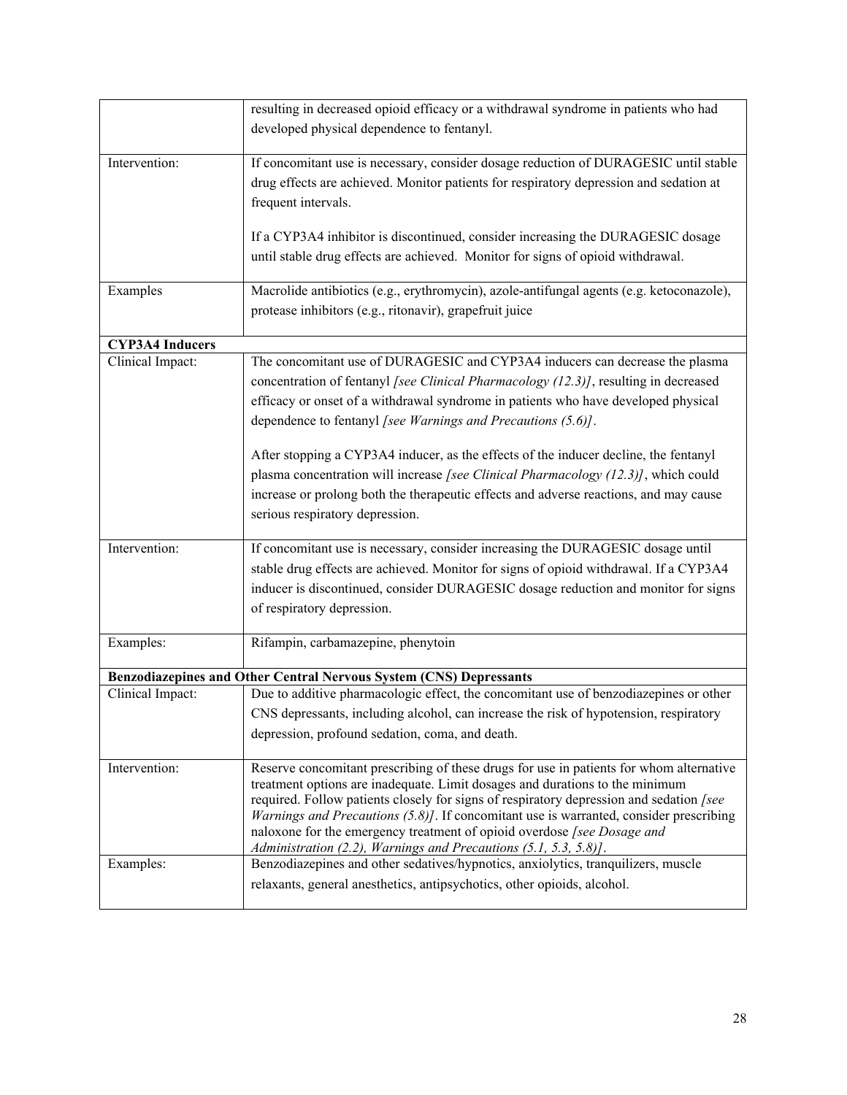|                        | resulting in decreased opioid efficacy or a withdrawal syndrome in patients who had                                                                               |  |  |
|------------------------|-------------------------------------------------------------------------------------------------------------------------------------------------------------------|--|--|
|                        | developed physical dependence to fentanyl.                                                                                                                        |  |  |
|                        |                                                                                                                                                                   |  |  |
| Intervention:          | If concomitant use is necessary, consider dosage reduction of DURAGESIC until stable                                                                              |  |  |
|                        | drug effects are achieved. Monitor patients for respiratory depression and sedation at                                                                            |  |  |
|                        | frequent intervals.                                                                                                                                               |  |  |
|                        |                                                                                                                                                                   |  |  |
|                        | If a CYP3A4 inhibitor is discontinued, consider increasing the DURAGESIC dosage                                                                                   |  |  |
|                        | until stable drug effects are achieved. Monitor for signs of opioid withdrawal.                                                                                   |  |  |
|                        |                                                                                                                                                                   |  |  |
| Examples               | Macrolide antibiotics (e.g., erythromycin), azole-antifungal agents (e.g. ketoconazole),                                                                          |  |  |
|                        | protease inhibitors (e.g., ritonavir), grapefruit juice                                                                                                           |  |  |
| <b>CYP3A4 Inducers</b> |                                                                                                                                                                   |  |  |
| Clinical Impact:       | The concomitant use of DURAGESIC and CYP3A4 inducers can decrease the plasma                                                                                      |  |  |
|                        | concentration of fentanyl [see Clinical Pharmacology (12.3)], resulting in decreased                                                                              |  |  |
|                        | efficacy or onset of a withdrawal syndrome in patients who have developed physical                                                                                |  |  |
|                        | dependence to fentanyl [see Warnings and Precautions (5.6)].                                                                                                      |  |  |
|                        |                                                                                                                                                                   |  |  |
|                        | After stopping a CYP3A4 inducer, as the effects of the inducer decline, the fentanyl                                                                              |  |  |
|                        | plasma concentration will increase [see Clinical Pharmacology (12.3)], which could                                                                                |  |  |
|                        | increase or prolong both the therapeutic effects and adverse reactions, and may cause                                                                             |  |  |
|                        | serious respiratory depression.                                                                                                                                   |  |  |
|                        |                                                                                                                                                                   |  |  |
| Intervention:          | If concomitant use is necessary, consider increasing the DURAGESIC dosage until                                                                                   |  |  |
|                        | stable drug effects are achieved. Monitor for signs of opioid withdrawal. If a CYP3A4                                                                             |  |  |
|                        | inducer is discontinued, consider DURAGESIC dosage reduction and monitor for signs                                                                                |  |  |
|                        | of respiratory depression.                                                                                                                                        |  |  |
|                        |                                                                                                                                                                   |  |  |
| Examples:              | Rifampin, carbamazepine, phenytoin                                                                                                                                |  |  |
|                        | <b>Benzodiazepines and Other Central Nervous System (CNS) Depressants</b>                                                                                         |  |  |
| Clinical Impact:       | Due to additive pharmacologic effect, the concomitant use of benzodiazepines or other                                                                             |  |  |
|                        | CNS depressants, including alcohol, can increase the risk of hypotension, respiratory                                                                             |  |  |
|                        | depression, profound sedation, coma, and death.                                                                                                                   |  |  |
|                        |                                                                                                                                                                   |  |  |
| Intervention:          | Reserve concomitant prescribing of these drugs for use in patients for whom alternative                                                                           |  |  |
|                        | treatment options are inadequate. Limit dosages and durations to the minimum                                                                                      |  |  |
|                        | required. Follow patients closely for signs of respiratory depression and sedation [see                                                                           |  |  |
|                        | Warnings and Precautions (5.8)]. If concomitant use is warranted, consider prescribing<br>naloxone for the emergency treatment of opioid overdose [see Dosage and |  |  |
|                        | Administration (2.2), Warnings and Precautions (5.1, 5.3, 5.8)].                                                                                                  |  |  |
| Examples:              | Benzodiazepines and other sedatives/hypnotics, anxiolytics, tranquilizers, muscle                                                                                 |  |  |
|                        | relaxants, general anesthetics, antipsychotics, other opioids, alcohol.                                                                                           |  |  |
|                        |                                                                                                                                                                   |  |  |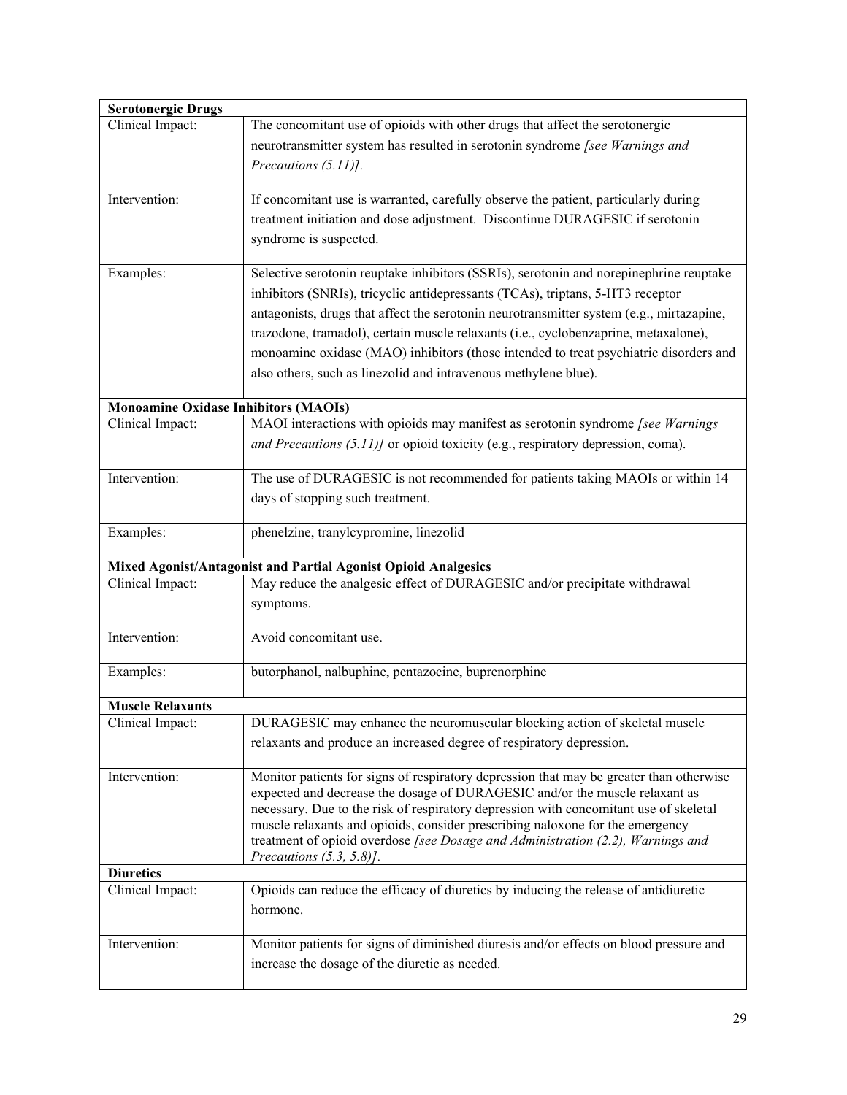| <b>Serotonergic Drugs</b>                   |                                                                                                                                                                        |  |  |
|---------------------------------------------|------------------------------------------------------------------------------------------------------------------------------------------------------------------------|--|--|
| Clinical Impact:                            | The concomitant use of opioids with other drugs that affect the serotonergic                                                                                           |  |  |
|                                             | neurotransmitter system has resulted in serotonin syndrome [see Warnings and                                                                                           |  |  |
|                                             | Precautions (5.11)].                                                                                                                                                   |  |  |
|                                             |                                                                                                                                                                        |  |  |
| Intervention:                               | If concomitant use is warranted, carefully observe the patient, particularly during                                                                                    |  |  |
|                                             | treatment initiation and dose adjustment. Discontinue DURAGESIC if serotonin                                                                                           |  |  |
|                                             | syndrome is suspected.                                                                                                                                                 |  |  |
|                                             |                                                                                                                                                                        |  |  |
| Examples:                                   | Selective serotonin reuptake inhibitors (SSRIs), serotonin and norepinephrine reuptake                                                                                 |  |  |
|                                             | inhibitors (SNRIs), tricyclic antidepressants (TCAs), triptans, 5-HT3 receptor                                                                                         |  |  |
|                                             | antagonists, drugs that affect the serotonin neurotransmitter system (e.g., mirtazapine,                                                                               |  |  |
|                                             | trazodone, tramadol), certain muscle relaxants (i.e., cyclobenzaprine, metaxalone),                                                                                    |  |  |
|                                             | monoamine oxidase (MAO) inhibitors (those intended to treat psychiatric disorders and                                                                                  |  |  |
|                                             | also others, such as linezolid and intravenous methylene blue).                                                                                                        |  |  |
|                                             |                                                                                                                                                                        |  |  |
| <b>Monoamine Oxidase Inhibitors (MAOIs)</b> |                                                                                                                                                                        |  |  |
| Clinical Impact:                            | MAOI interactions with opioids may manifest as serotonin syndrome [see Warnings                                                                                        |  |  |
|                                             | and Precautions $(5.11)$ or opioid toxicity (e.g., respiratory depression, coma).                                                                                      |  |  |
|                                             |                                                                                                                                                                        |  |  |
| Intervention:                               | The use of DURAGESIC is not recommended for patients taking MAOIs or within 14                                                                                         |  |  |
|                                             | days of stopping such treatment.                                                                                                                                       |  |  |
|                                             |                                                                                                                                                                        |  |  |
| Examples:                                   | phenelzine, tranylcypromine, linezolid                                                                                                                                 |  |  |
|                                             | Mixed Agonist/Antagonist and Partial Agonist Opioid Analgesics                                                                                                         |  |  |
| Clinical Impact:                            | May reduce the analgesic effect of DURAGESIC and/or precipitate withdrawal                                                                                             |  |  |
|                                             | symptoms.                                                                                                                                                              |  |  |
|                                             |                                                                                                                                                                        |  |  |
| Intervention:                               | Avoid concomitant use.                                                                                                                                                 |  |  |
|                                             |                                                                                                                                                                        |  |  |
| Examples:                                   | butorphanol, nalbuphine, pentazocine, buprenorphine                                                                                                                    |  |  |
|                                             |                                                                                                                                                                        |  |  |
| <b>Muscle Relaxants</b>                     |                                                                                                                                                                        |  |  |
| Clinical Impact:                            | DURAGESIC may enhance the neuromuscular blocking action of skeletal muscle                                                                                             |  |  |
|                                             | relaxants and produce an increased degree of respiratory depression.                                                                                                   |  |  |
|                                             |                                                                                                                                                                        |  |  |
| Intervention:                               | Monitor patients for signs of respiratory depression that may be greater than otherwise<br>expected and decrease the dosage of DURAGESIC and/or the muscle relaxant as |  |  |
|                                             | necessary. Due to the risk of respiratory depression with concomitant use of skeletal                                                                                  |  |  |
|                                             | muscle relaxants and opioids, consider prescribing naloxone for the emergency                                                                                          |  |  |
|                                             | treatment of opioid overdose [see Dosage and Administration (2.2), Warnings and                                                                                        |  |  |
|                                             | Precautions $(5.3, 5.8)$ ].                                                                                                                                            |  |  |
| <b>Diuretics</b>                            |                                                                                                                                                                        |  |  |
| Clinical Impact:                            | Opioids can reduce the efficacy of diuretics by inducing the release of antidiuretic                                                                                   |  |  |
|                                             | hormone.                                                                                                                                                               |  |  |
| Intervention:                               | Monitor patients for signs of diminished diuresis and/or effects on blood pressure and                                                                                 |  |  |
|                                             | increase the dosage of the diuretic as needed.                                                                                                                         |  |  |
|                                             |                                                                                                                                                                        |  |  |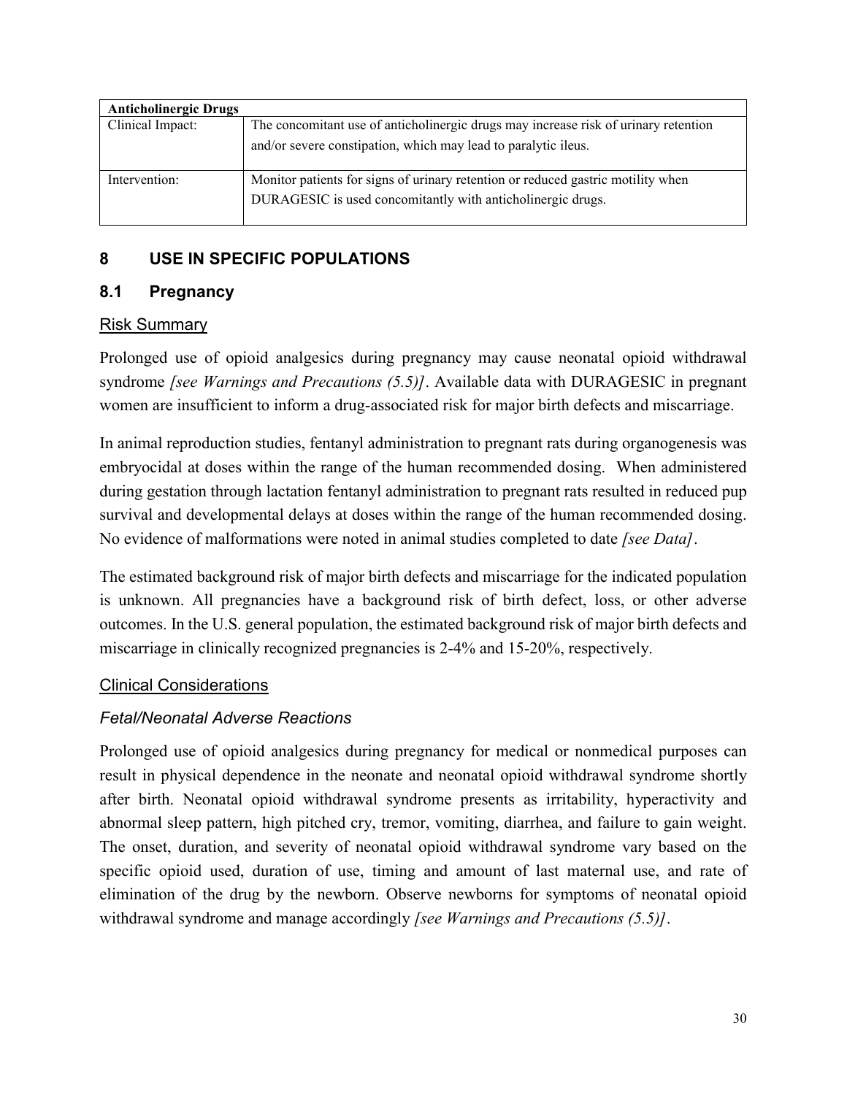| <b>Anticholinergic Drugs</b> |                                                                                                                                                 |
|------------------------------|-------------------------------------------------------------------------------------------------------------------------------------------------|
| Clinical Impact:             | The concomitant use of anticholinergic drugs may increase risk of urinary retention                                                             |
|                              | and/or severe constipation, which may lead to paralytic ileus.                                                                                  |
| Intervention:                | Monitor patients for signs of urinary retention or reduced gastric motility when<br>DURAGESIC is used concomitantly with anticholinergic drugs. |

# <span id="page-29-1"></span>**8 USE IN SPECIFIC POPULATIONS**

# <span id="page-29-0"></span>**8.1 Pregnancy**

## Risk Summary

Prolonged use of opioid analgesics during pregnancy may cause neonatal opioid withdrawal syndrome *[see Warnings and Precautions (5.5)]*. Available data with DURAGESIC in pregnant women are insufficient to inform a drug-associated risk for major birth defects and miscarriage.

In animal reproduction studies, fentanyl administration to pregnant rats during organogenesis was embryocidal at doses within the range of the human recommended dosing. When administered during gestation through lactation fentanyl administration to pregnant rats resulted in reduced pup survival and developmental delays at doses within the range of the human recommended dosing. No evidence of malformations were noted in animal studies completed to date *[see Data]*.

The estimated background risk of major birth defects and miscarriage for the indicated population is unknown. All pregnancies have a background risk of birth defect, loss, or other adverse outcomes. In the U.S. general population, the estimated background risk of major birth defects and miscarriage in clinically recognized pregnancies is 2-4% and 15-20%, respectively.

#### Clinical Considerations

## *Fetal/Neonatal Adverse Reactions*

Prolonged use of opioid analgesics during pregnancy for medical or nonmedical purposes can result in physical dependence in the neonate and neonatal opioid withdrawal syndrome shortly after birth. Neonatal opioid withdrawal syndrome presents as irritability, hyperactivity and abnormal sleep pattern, high pitched cry, tremor, vomiting, diarrhea, and failure to gain weight. The onset, duration, and severity of neonatal opioid withdrawal syndrome vary based on the specific opioid used, duration of use, timing and amount of last maternal use, and rate of elimination of the drug by the newborn. Observe newborns for symptoms of neonatal opioid withdrawal syndrome and manage accordingly *[see Warnings and Precautions (5.5)]*.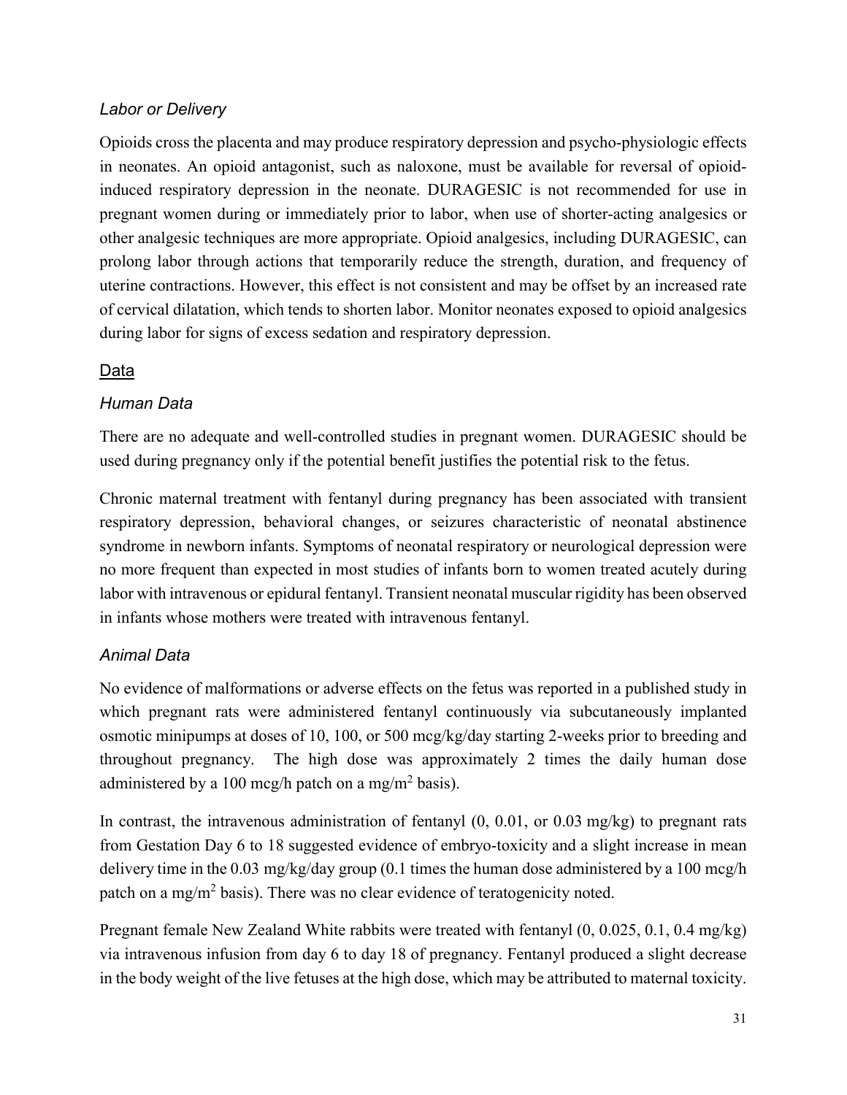#### *Labor or Delivery*

Opioids cross the placenta and may produce respiratory depression and psycho-physiologic effects in neonates. An opioid antagonist, such as naloxone, must be available for reversal of opioidinduced respiratory depression in the neonate. DURAGESIC is not recommended for use in pregnant women during or immediately prior to labor, when use of shorter-acting analgesics or other analgesic techniques are more appropriate. Opioid analgesics, including DURAGESIC, can prolong labor through actions that temporarily reduce the strength, duration, and frequency of uterine contractions. However, this effect is not consistent and may be offset by an increased rate of cervical dilatation, which tends to shorten labor. Monitor neonates exposed to opioid analgesics during labor for signs of excess sedation and respiratory depression.

## Data

## *Human Data*

There are no adequate and well-controlled studies in pregnant women. DURAGESIC should be used during pregnancy only if the potential benefit justifies the potential risk to the fetus.

Chronic maternal treatment with fentanyl during pregnancy has been associated with transient respiratory depression, behavioral changes, or seizures characteristic of neonatal abstinence syndrome in newborn infants. Symptoms of neonatal respiratory or neurological depression were no more frequent than expected in most studies of infants born to women treated acutely during labor with intravenous or epidural fentanyl. Transient neonatal muscular rigidity has been observed in infants whose mothers were treated with intravenous fentanyl.

## *Animal Data*

No evidence of malformations or adverse effects on the fetus was reported in a published study in which pregnant rats were administered fentanyl continuously via subcutaneously implanted osmotic minipumps at doses of 10, 100, or 500 mcg/kg/day starting 2-weeks prior to breeding and throughout pregnancy. The high dose was approximately 2 times the daily human dose administered by a 100 mcg/h patch on a mg/m<sup>2</sup> basis).

In contrast, the intravenous administration of fentanyl  $(0, 0.01, \text{ or } 0.03 \text{ mg/kg})$  to pregnant rats from Gestation Day 6 to 18 suggested evidence of embryo-toxicity and a slight increase in mean delivery time in the 0.03 mg/kg/day group (0.1 times the human dose administered by a 100 mcg/h patch on a mg/m<sup>2</sup> basis). There was no clear evidence of teratogenicity noted.

Pregnant female New Zealand White rabbits were treated with fentanyl (0, 0.025, 0.1, 0.4 mg/kg) via intravenous infusion from day 6 to day 18 of pregnancy. Fentanyl produced a slight decrease in the body weight of the live fetuses at the high dose, which may be attributed to maternal toxicity.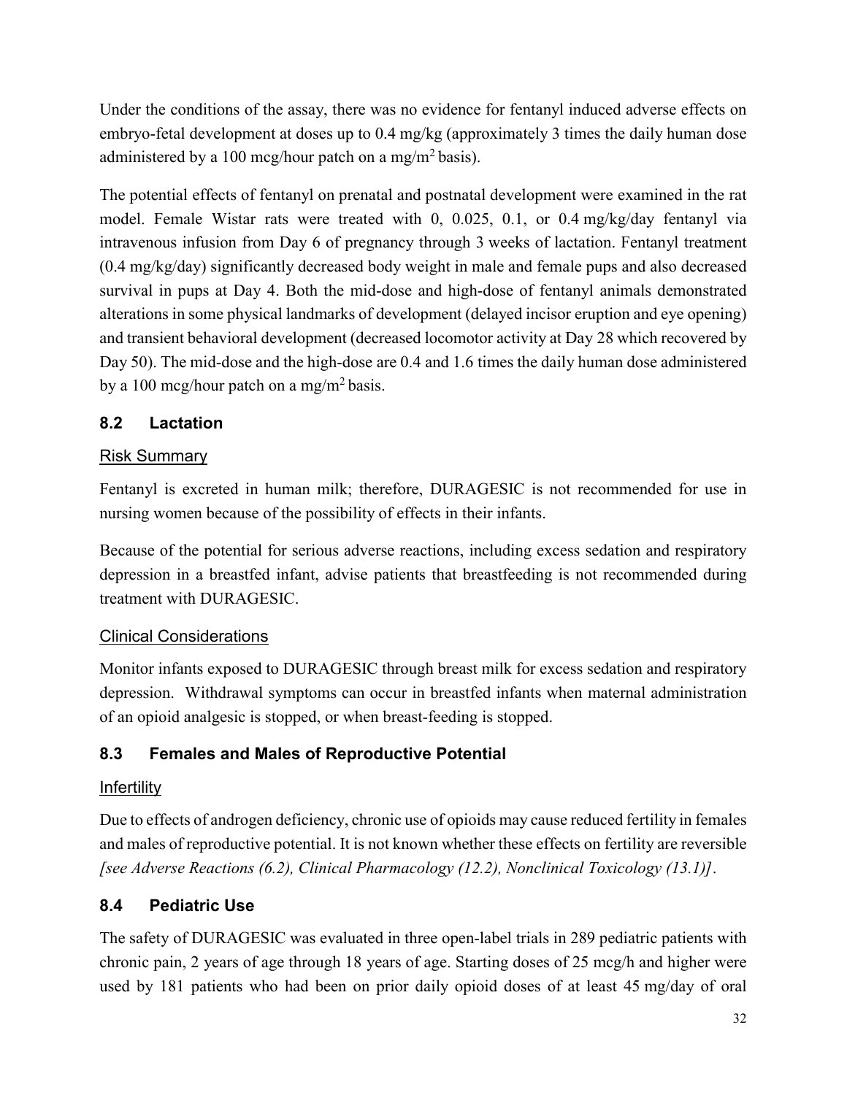Under the conditions of the assay, there was no evidence for fentanyl induced adverse effects on embryo-fetal development at doses up to 0.4 mg/kg (approximately 3 times the daily human dose administered by a 100 mcg/hour patch on a mg/m<sup>2</sup> basis).

The potential effects of fentanyl on prenatal and postnatal development were examined in the rat model. Female Wistar rats were treated with 0, 0.025, 0.1, or 0.4 mg/kg/day fentanyl via intravenous infusion from Day 6 of pregnancy through 3 weeks of lactation. Fentanyl treatment (0.4 mg/kg/day) significantly decreased body weight in male and female pups and also decreased survival in pups at Day 4. Both the mid-dose and high-dose of fentanyl animals demonstrated alterations in some physical landmarks of development (delayed incisor eruption and eye opening) and transient behavioral development (decreased locomotor activity at Day 28 which recovered by Day 50). The mid-dose and the high-dose are 0.4 and 1.6 times the daily human dose administered by a 100 mcg/hour patch on a mg/m<sup>2</sup> basis.

# <span id="page-31-2"></span>**8.2 Lactation**

## Risk Summary

Fentanyl is excreted in human milk; therefore, DURAGESIC is not recommended for use in nursing women because of the possibility of effects in their infants.

Because of the potential for serious adverse reactions, including excess sedation and respiratory depression in a breastfed infant, advise patients that breastfeeding is not recommended during treatment with DURAGESIC.

## Clinical Considerations

Monitor infants exposed to DURAGESIC through breast milk for excess sedation and respiratory depression. Withdrawal symptoms can occur in breastfed infants when maternal administration of an opioid analgesic is stopped, or when breast-feeding is stopped.

## <span id="page-31-1"></span>**8.3 Females and Males of Reproductive Potential**

## Infertility

Due to effects of androgen deficiency, chronic use of opioids may cause reduced fertility in females and males of reproductive potential. It is not known whether these effects on fertility are reversible *[see Adverse Reactions (6.2), Clinical Pharmacology (12.2), Nonclinical Toxicology (13.1)]*.

## <span id="page-31-0"></span>**8.4 Pediatric Use**

The safety of DURAGESIC was evaluated in three open-label trials in 289 pediatric patients with chronic pain, 2 years of age through 18 years of age. Starting doses of 25 mcg/h and higher were used by 181 patients who had been on prior daily opioid doses of at least 45 mg/day of oral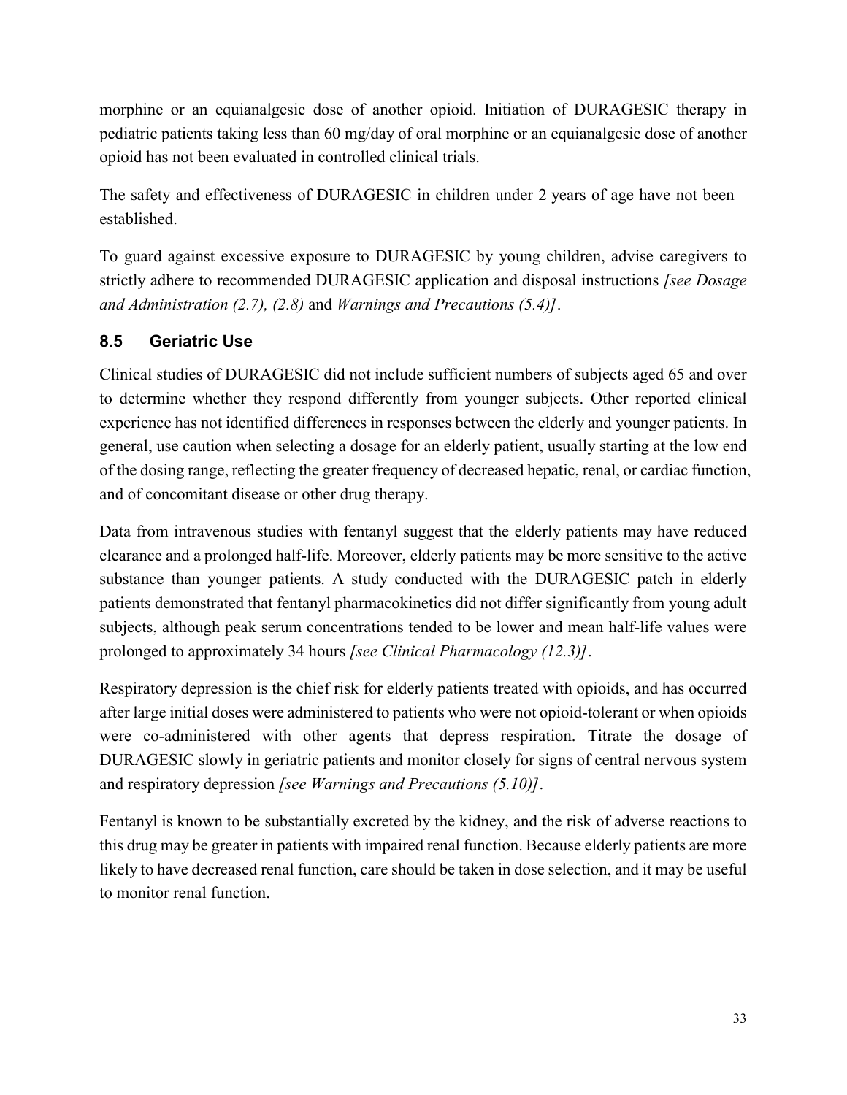morphine or an equianalgesic dose of another opioid. Initiation of DURAGESIC therapy in pediatric patients taking less than 60 mg/day of oral morphine or an equianalgesic dose of another opioid has not been evaluated in controlled clinical trials.

The safety and effectiveness of DURAGESIC in children under 2 years of age have not been established.

To guard against excessive exposure to DURAGESIC by young children, advise caregivers to strictly adhere to recommended DURAGESIC application and disposal instructions *[see Dosage and Administration (2.7), (2.8)* and *Warnings and Precautions (5.4)]*.

# <span id="page-32-0"></span>**8.5 Geriatric Use**

Clinical studies of DURAGESIC did not include sufficient numbers of subjects aged 65 and over to determine whether they respond differently from younger subjects. Other reported clinical experience has not identified differences in responses between the elderly and younger patients. In general, use caution when selecting a dosage for an elderly patient, usually starting at the low end of the dosing range, reflecting the greater frequency of decreased hepatic, renal, or cardiac function, and of concomitant disease or other drug therapy.

Data from intravenous studies with fentanyl suggest that the elderly patients may have reduced clearance and a prolonged half-life. Moreover, elderly patients may be more sensitive to the active substance than younger patients. A study conducted with the DURAGESIC patch in elderly patients demonstrated that fentanyl pharmacokinetics did not differ significantly from young adult subjects, although peak serum concentrations tended to be lower and mean half-life values were prolonged to approximately 34 hours *[see Clinical Pharmacology (12.3)]*.

Respiratory depression is the chief risk for elderly patients treated with opioids, and has occurred after large initial doses were administered to patients who were not opioid-tolerant or when opioids were co-administered with other agents that depress respiration. Titrate the dosage of DURAGESIC slowly in geriatric patients and monitor closely for signs of central nervous system and respiratory depression *[see Warnings and Precautions (5.10)]*.

Fentanyl is known to be substantially excreted by the kidney, and the risk of adverse reactions to this drug may be greater in patients with impaired renal function. Because elderly patients are more likely to have decreased renal function, care should be taken in dose selection, and it may be useful to monitor renal function.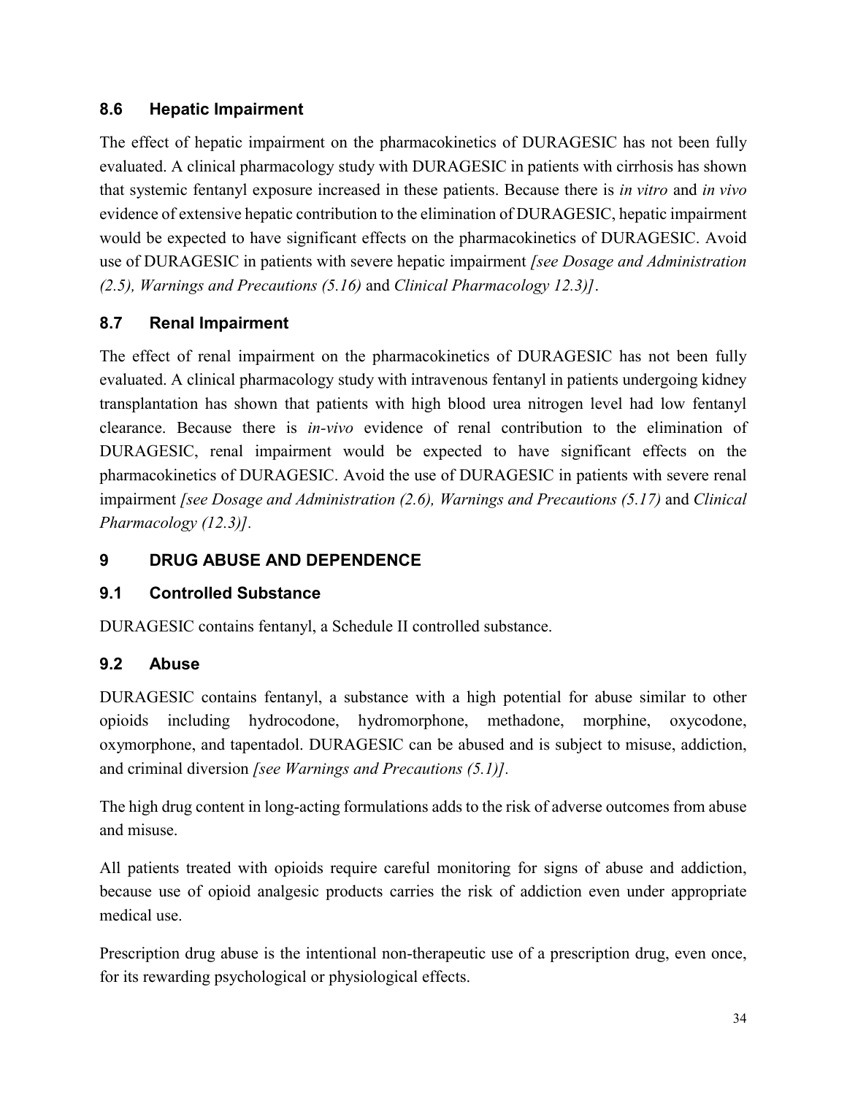## <span id="page-33-4"></span>**8.6 Hepatic Impairment**

The effect of hepatic impairment on the pharmacokinetics of DURAGESIC has not been fully evaluated. A clinical pharmacology study with DURAGESIC in patients with cirrhosis has shown that systemic fentanyl exposure increased in these patients. Because there is *in vitro* and *in vivo* evidence of extensive hepatic contribution to the elimination of DURAGESIC, hepatic impairment would be expected to have significant effects on the pharmacokinetics of DURAGESIC. Avoid use of DURAGESIC in patients with severe hepatic impairment *[see Dosage and Administration (2.5), Warnings and Precautions (5.16)* and *Clinical Pharmacology 12.3)]*.

# <span id="page-33-3"></span>**8.7 Renal Impairment**

The effect of renal impairment on the pharmacokinetics of DURAGESIC has not been fully evaluated. A clinical pharmacology study with intravenous fentanyl in patients undergoing kidney transplantation has shown that patients with high blood urea nitrogen level had low fentanyl clearance. Because there is *in-vivo* evidence of renal contribution to the elimination of DURAGESIC, renal impairment would be expected to have significant effects on the pharmacokinetics of DURAGESIC. Avoid the use of DURAGESIC in patients with severe renal impairment *[see Dosage and Administration (2.6), Warnings and Precautions (5.17)* and *Clinical Pharmacology (12.3)].*

# <span id="page-33-2"></span>**9 DRUG ABUSE AND DEPENDENCE**

## <span id="page-33-1"></span>**9.1 Controlled Substance**

DURAGESIC contains fentanyl, a Schedule II controlled substance.

## <span id="page-33-0"></span>**9.2 Abuse**

DURAGESIC contains fentanyl, a substance with a high potential for abuse similar to other opioids including hydrocodone, hydromorphone, methadone, morphine, oxycodone, oxymorphone, and tapentadol. DURAGESIC can be abused and is subject to misuse, addiction, and criminal diversion *[see Warnings and Precautions (5.1)].*

The high drug content in long-acting formulations adds to the risk of adverse outcomes from abuse and misuse.

All patients treated with opioids require careful monitoring for signs of abuse and addiction, because use of opioid analgesic products carries the risk of addiction even under appropriate medical use.

Prescription drug abuse is the intentional non-therapeutic use of a prescription drug, even once, for its rewarding psychological or physiological effects.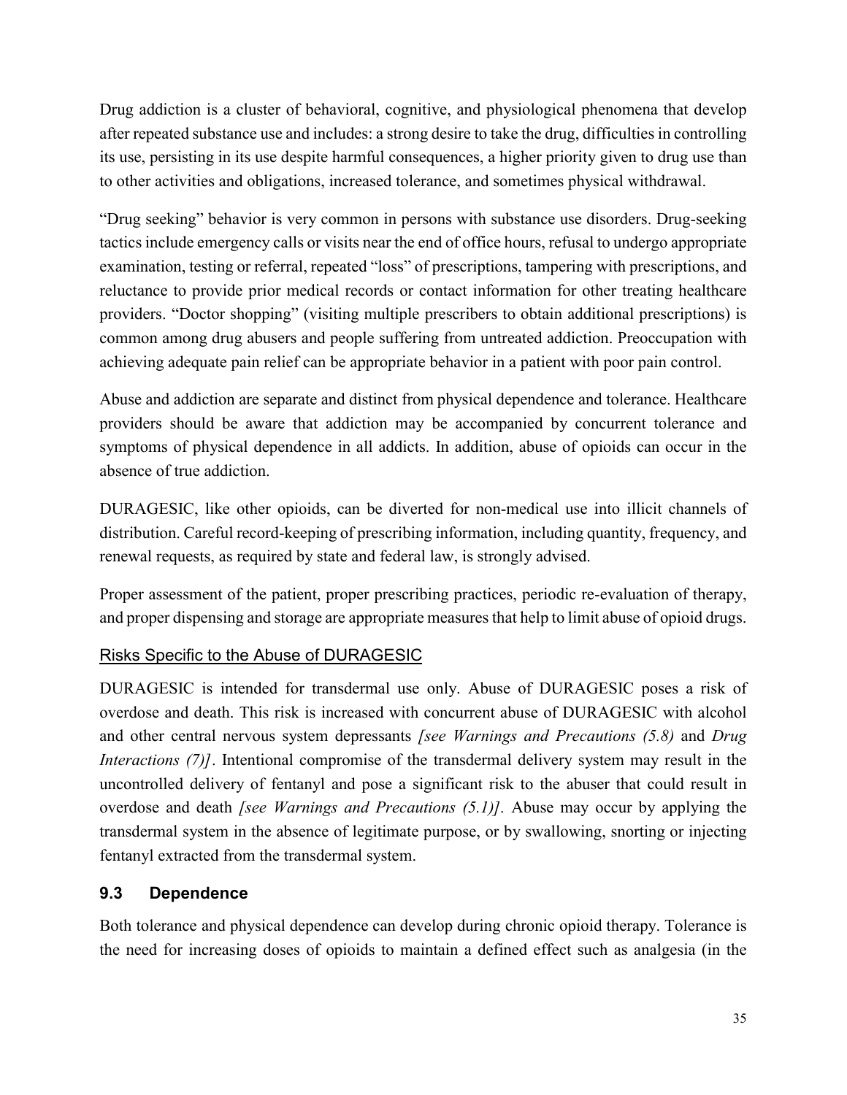Drug addiction is a cluster of behavioral, cognitive, and physiological phenomena that develop after repeated substance use and includes: a strong desire to take the drug, difficulties in controlling its use, persisting in its use despite harmful consequences, a higher priority given to drug use than to other activities and obligations, increased tolerance, and sometimes physical withdrawal.

"Drug seeking" behavior is very common in persons with substance use disorders. Drug-seeking tactics include emergency calls or visits near the end of office hours, refusal to undergo appropriate examination, testing or referral, repeated "loss" of prescriptions, tampering with prescriptions, and reluctance to provide prior medical records or contact information for other treating healthcare providers. "Doctor shopping" (visiting multiple prescribers to obtain additional prescriptions) is common among drug abusers and people suffering from untreated addiction. Preoccupation with achieving adequate pain relief can be appropriate behavior in a patient with poor pain control.

Abuse and addiction are separate and distinct from physical dependence and tolerance. Healthcare providers should be aware that addiction may be accompanied by concurrent tolerance and symptoms of physical dependence in all addicts. In addition, abuse of opioids can occur in the absence of true addiction.

DURAGESIC, like other opioids, can be diverted for non-medical use into illicit channels of distribution. Careful record-keeping of prescribing information, including quantity, frequency, and renewal requests, as required by state and federal law, is strongly advised.

Proper assessment of the patient, proper prescribing practices, periodic re-evaluation of therapy, and proper dispensing and storage are appropriate measures that help to limit abuse of opioid drugs.

## Risks Specific to the Abuse of DURAGESIC

DURAGESIC is intended for transdermal use only. Abuse of DURAGESIC poses a risk of overdose and death. This risk is increased with concurrent abuse of DURAGESIC with alcohol and other central nervous system depressants *[see Warnings and Precautions (5.8)* and *Drug Interactions (7)]*. Intentional compromise of the transdermal delivery system may result in the uncontrolled delivery of fentanyl and pose a significant risk to the abuser that could result in overdose and death *[see Warnings and Precautions (5.1)].* Abuse may occur by applying the transdermal system in the absence of legitimate purpose, or by swallowing, snorting or injecting fentanyl extracted from the transdermal system.

## <span id="page-34-0"></span>**9.3 Dependence**

Both tolerance and physical dependence can develop during chronic opioid therapy. Tolerance is the need for increasing doses of opioids to maintain a defined effect such as analgesia (in the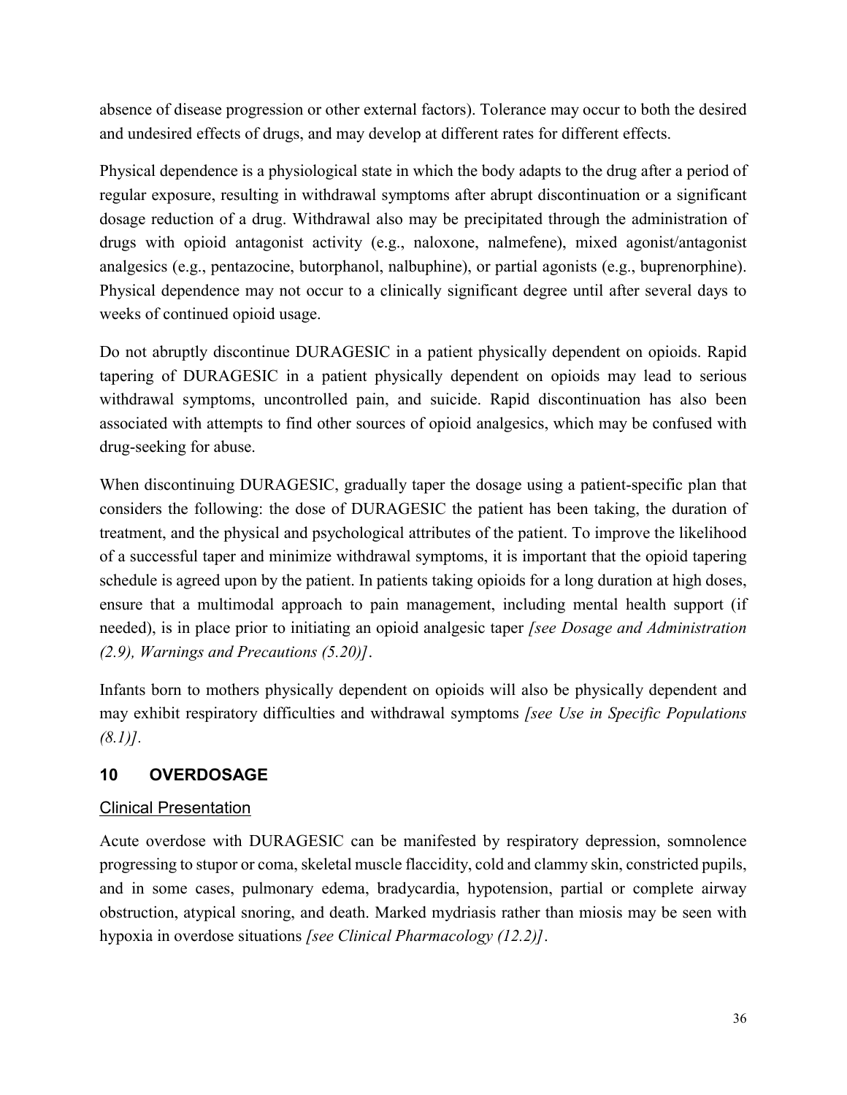absence of disease progression or other external factors). Tolerance may occur to both the desired and undesired effects of drugs, and may develop at different rates for different effects.

Physical dependence is a physiological state in which the body adapts to the drug after a period of regular exposure, resulting in withdrawal symptoms after abrupt discontinuation or a significant dosage reduction of a drug. Withdrawal also may be precipitated through the administration of drugs with opioid antagonist activity (e.g., naloxone, nalmefene), mixed agonist/antagonist analgesics (e.g., pentazocine, butorphanol, nalbuphine), or partial agonists (e.g., buprenorphine). Physical dependence may not occur to a clinically significant degree until after several days to weeks of continued opioid usage.

Do not abruptly discontinue DURAGESIC in a patient physically dependent on opioids. Rapid tapering of DURAGESIC in a patient physically dependent on opioids may lead to serious withdrawal symptoms, uncontrolled pain, and suicide. Rapid discontinuation has also been associated with attempts to find other sources of opioid analgesics, which may be confused with drug-seeking for abuse.

When discontinuing DURAGESIC, gradually taper the dosage using a patient-specific plan that considers the following: the dose of DURAGESIC the patient has been taking, the duration of treatment, and the physical and psychological attributes of the patient. To improve the likelihood of a successful taper and minimize withdrawal symptoms, it is important that the opioid tapering schedule is agreed upon by the patient. In patients taking opioids for a long duration at high doses, ensure that a multimodal approach to pain management, including mental health support (if needed), is in place prior to initiating an opioid analgesic taper *[see Dosage and Administration (2.9), Warnings and Precautions (5.20)]*.

Infants born to mothers physically dependent on opioids will also be physically dependent and may exhibit respiratory difficulties and withdrawal symptoms *[see Use in Specific Populations (8.1)].*

## <span id="page-35-0"></span>**10 OVERDOSAGE**

#### Clinical Presentation

Acute overdose with DURAGESIC can be manifested by respiratory depression, somnolence progressing to stupor or coma, skeletal muscle flaccidity, cold and clammy skin, constricted pupils, and in some cases, pulmonary edema, bradycardia, hypotension, partial or complete airway obstruction, atypical snoring, and death. Marked mydriasis rather than miosis may be seen with hypoxia in overdose situations *[see Clinical Pharmacology (12.2)]*.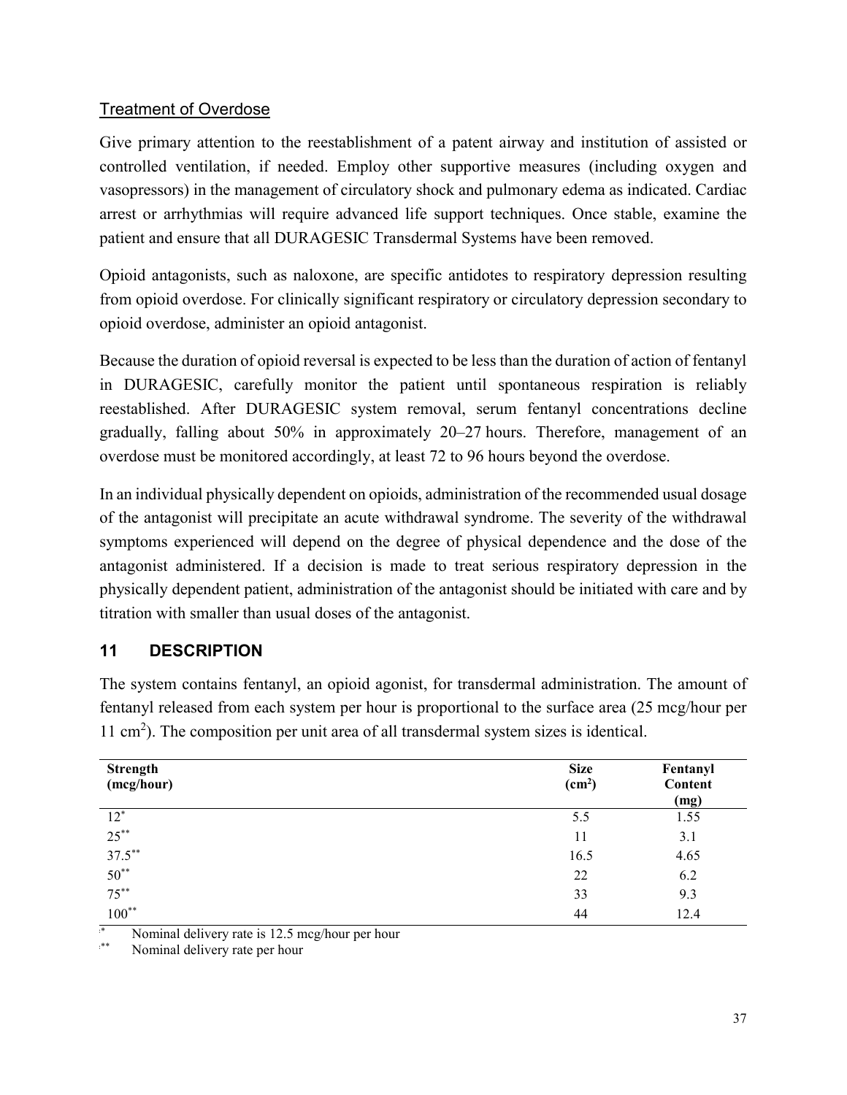#### Treatment of Overdose

Give primary attention to the reestablishment of a patent airway and institution of assisted or controlled ventilation, if needed. Employ other supportive measures (including oxygen and vasopressors) in the management of circulatory shock and pulmonary edema as indicated. Cardiac arrest or arrhythmias will require advanced life support techniques. Once stable, examine the patient and ensure that all DURAGESIC Transdermal Systems have been removed.

Opioid antagonists, such as naloxone, are specific antidotes to respiratory depression resulting from opioid overdose. For clinically significant respiratory or circulatory depression secondary to opioid overdose, administer an opioid antagonist.

Because the duration of opioid reversal is expected to be less than the duration of action of fentanyl in DURAGESIC, carefully monitor the patient until spontaneous respiration is reliably reestablished. After DURAGESIC system removal, serum fentanyl concentrations decline gradually, falling about 50% in approximately 20–27 hours. Therefore, management of an overdose must be monitored accordingly, at least 72 to 96 hours beyond the overdose.

In an individual physically dependent on opioids, administration of the recommended usual dosage of the antagonist will precipitate an acute withdrawal syndrome. The severity of the withdrawal symptoms experienced will depend on the degree of physical dependence and the dose of the antagonist administered. If a decision is made to treat serious respiratory depression in the physically dependent patient, administration of the antagonist should be initiated with care and by titration with smaller than usual doses of the antagonist.

## <span id="page-36-0"></span>**11 DESCRIPTION**

The system contains fentanyl, an opioid agonist, for transdermal administration. The amount of fentanyl released from each system per hour is proportional to the surface area (25 mcg/hour per 11 cm<sup>2</sup>). The composition per unit area of all transdermal system sizes is identical.

| <b>Strength</b><br>(mcg/hour) | <b>Size</b><br>(cm <sup>2</sup> ) | Fentanyl<br>Content<br>(mg) |
|-------------------------------|-----------------------------------|-----------------------------|
| $12^*$                        | 5.5                               | 1.55                        |
| $25***$                       | 11                                | 3.1                         |
| $37.5***$<br>$50***$          | 16.5                              | 4.65                        |
|                               | 22                                | 6.2                         |
| $75***$                       | 33                                | 9.3                         |
| $100**$                       | 44                                | 12.4                        |

\* Nominal delivery rate is 12.5 mcg/hour per hour

\* Nominal delivery rate per hour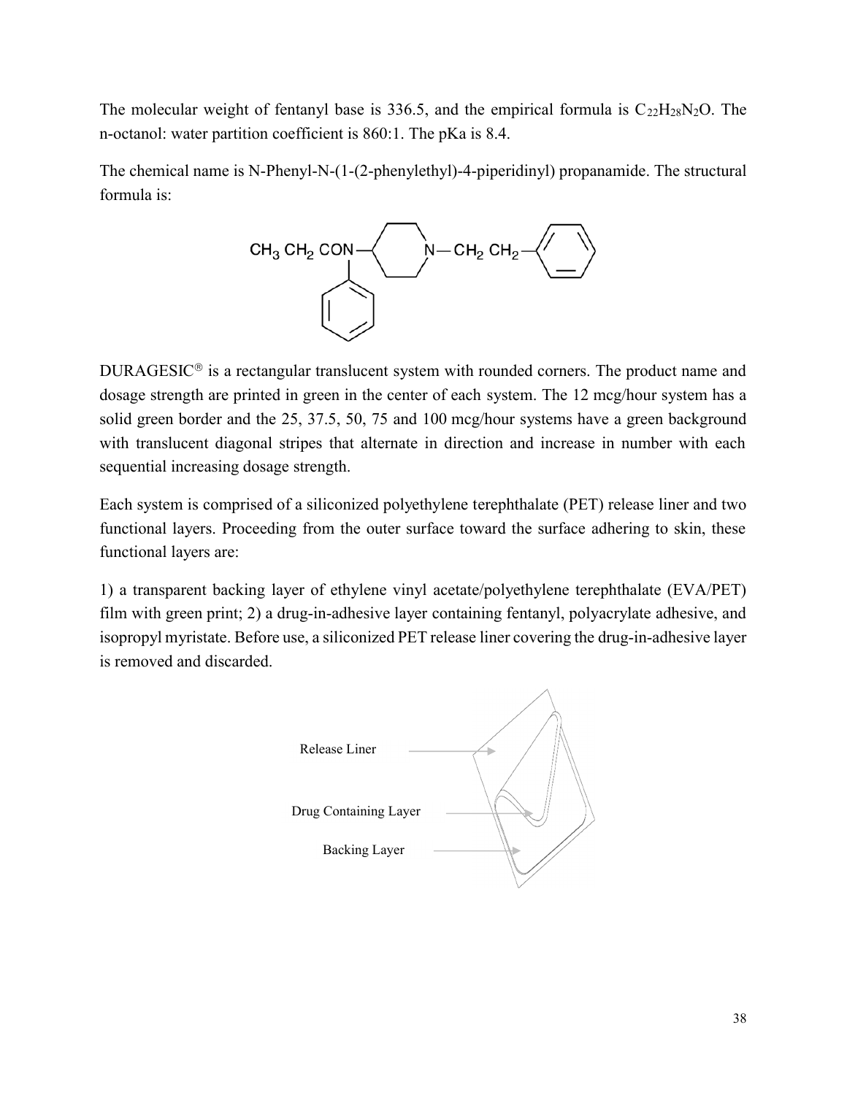The molecular weight of fentanyl base is 336.5, and the empirical formula is  $C_{22}H_{28}N_2O$ . The n-octanol: water partition coefficient is 860:1. The pKa is 8.4.

The chemical name is N-Phenyl-N-(1-(2-phenylethyl)-4-piperidinyl) propanamide. The structural formula is:



 $DURAGESIC<sup>®</sup>$  is a rectangular translucent system with rounded corners. The product name and dosage strength are printed in green in the center of each system. The 12 mcg/hour system has a solid green border and the 25, 37.5, 50, 75 and 100 mcg/hour systems have a green background with translucent diagonal stripes that alternate in direction and increase in number with each sequential increasing dosage strength.

Each system is comprised of a siliconized polyethylene terephthalate (PET) release liner and two functional layers. Proceeding from the outer surface toward the surface adhering to skin, these functional layers are:

1) a transparent backing layer of ethylene vinyl acetate/polyethylene terephthalate (EVA/PET) film with green print; 2) a drug-in-adhesive layer containing fentanyl, polyacrylate adhesive, and isopropyl myristate. Before use, a siliconized PET release liner covering the drug-in-adhesive layer is removed and discarded.

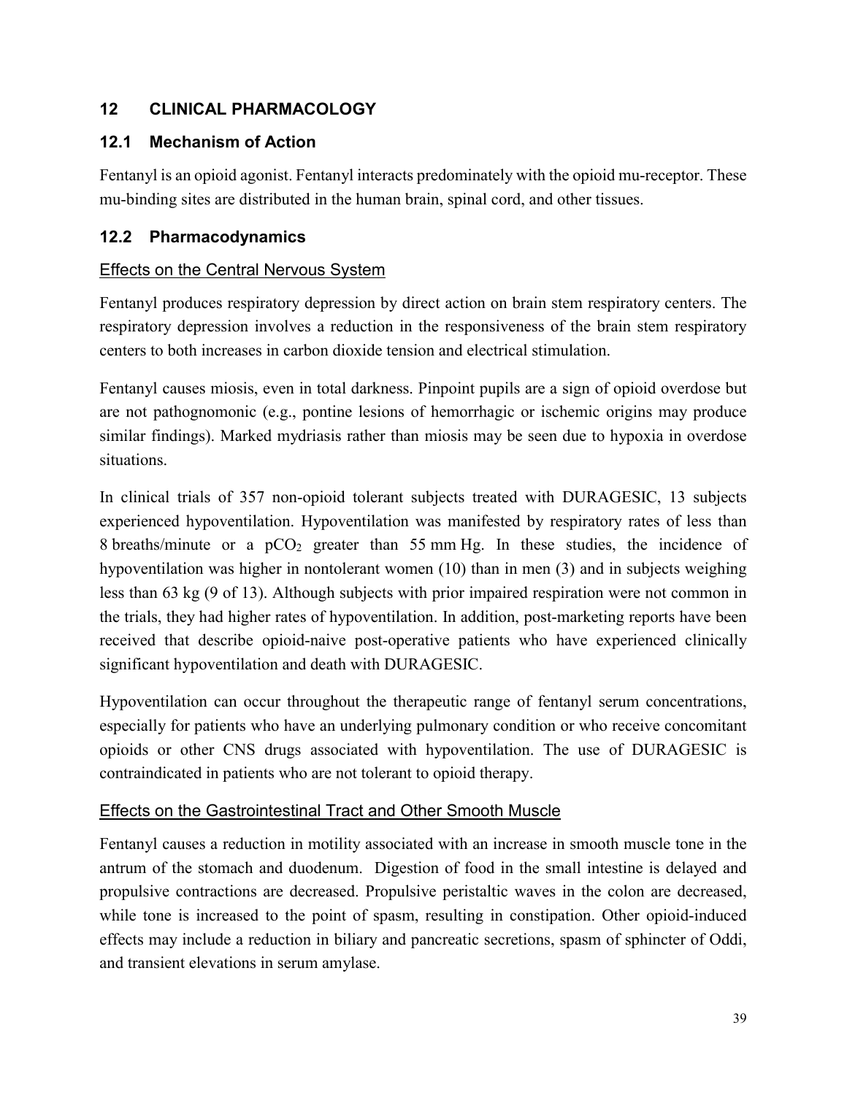# <span id="page-38-2"></span>**12 CLINICAL PHARMACOLOGY**

## <span id="page-38-1"></span>**12.1 Mechanism of Action**

Fentanyl is an opioid agonist. Fentanyl interacts predominately with the opioid mu-receptor. These mu-binding sites are distributed in the human brain, spinal cord, and other tissues.

## <span id="page-38-0"></span>**12.2 Pharmacodynamics**

## Effects on the Central Nervous System

Fentanyl produces respiratory depression by direct action on brain stem respiratory centers. The respiratory depression involves a reduction in the responsiveness of the brain stem respiratory centers to both increases in carbon dioxide tension and electrical stimulation.

Fentanyl causes miosis, even in total darkness. Pinpoint pupils are a sign of opioid overdose but are not pathognomonic (e.g., pontine lesions of hemorrhagic or ischemic origins may produce similar findings). Marked mydriasis rather than miosis may be seen due to hypoxia in overdose situations.

In clinical trials of 357 non-opioid tolerant subjects treated with DURAGESIC, 13 subjects experienced hypoventilation. Hypoventilation was manifested by respiratory rates of less than 8 breaths/minute or a  $pCO<sub>2</sub>$  greater than 55 mm Hg. In these studies, the incidence of hypoventilation was higher in nontolerant women (10) than in men (3) and in subjects weighing less than 63 kg (9 of 13). Although subjects with prior impaired respiration were not common in the trials, they had higher rates of hypoventilation. In addition, post-marketing reports have been received that describe opioid-naive post-operative patients who have experienced clinically significant hypoventilation and death with DURAGESIC.

Hypoventilation can occur throughout the therapeutic range of fentanyl serum concentrations, especially for patients who have an underlying pulmonary condition or who receive concomitant opioids or other CNS drugs associated with hypoventilation. The use of DURAGESIC is contraindicated in patients who are not tolerant to opioid therapy.

## Effects on the Gastrointestinal Tract and Other Smooth Muscle

Fentanyl causes a reduction in motility associated with an increase in smooth muscle tone in the antrum of the stomach and duodenum. Digestion of food in the small intestine is delayed and propulsive contractions are decreased. Propulsive peristaltic waves in the colon are decreased, while tone is increased to the point of spasm, resulting in constipation. Other opioid-induced effects may include a reduction in biliary and pancreatic secretions, spasm of sphincter of Oddi, and transient elevations in serum amylase.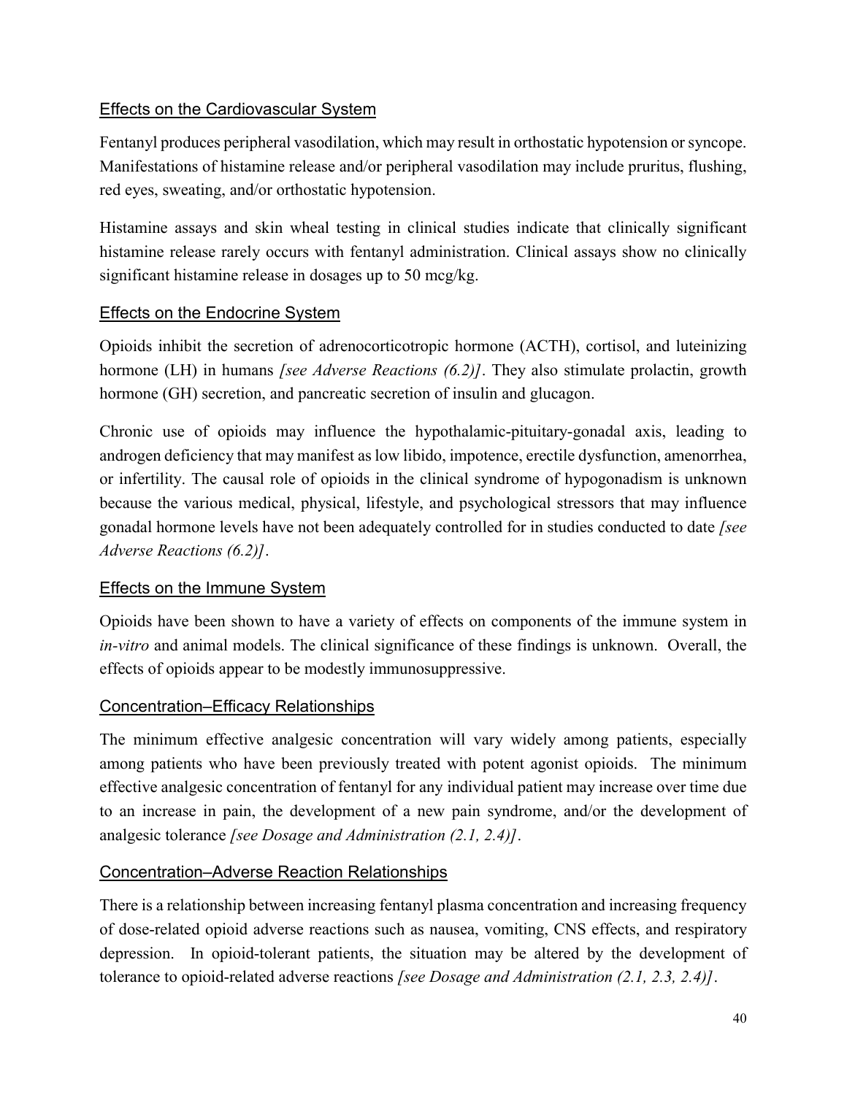## Effects on the Cardiovascular System

Fentanyl produces peripheral vasodilation, which may result in orthostatic hypotension or syncope. Manifestations of histamine release and/or peripheral vasodilation may include pruritus, flushing, red eyes, sweating, and/or orthostatic hypotension.

Histamine assays and skin wheal testing in clinical studies indicate that clinically significant histamine release rarely occurs with fentanyl administration. Clinical assays show no clinically significant histamine release in dosages up to 50 mcg/kg.

# Effects on the Endocrine System

Opioids inhibit the secretion of adrenocorticotropic hormone (ACTH), cortisol, and luteinizing hormone (LH) in humans *[see Adverse Reactions (6.2)]*. They also stimulate prolactin, growth hormone (GH) secretion, and pancreatic secretion of insulin and glucagon.

Chronic use of opioids may influence the hypothalamic-pituitary-gonadal axis, leading to androgen deficiency that may manifest as low libido, impotence, erectile dysfunction, amenorrhea, or infertility. The causal role of opioids in the clinical syndrome of hypogonadism is unknown because the various medical, physical, lifestyle, and psychological stressors that may influence gonadal hormone levels have not been adequately controlled for in studies conducted to date *[see Adverse Reactions (6.2)]*.

## Effects on the Immune System

Opioids have been shown to have a variety of effects on components of the immune system in *in-vitro* and animal models. The clinical significance of these findings is unknown. Overall, the effects of opioids appear to be modestly immunosuppressive.

## Concentration–Efficacy Relationships

The minimum effective analgesic concentration will vary widely among patients, especially among patients who have been previously treated with potent agonist opioids. The minimum effective analgesic concentration of fentanyl for any individual patient may increase over time due to an increase in pain, the development of a new pain syndrome, and/or the development of analgesic tolerance *[see Dosage and Administration (2.1, 2.4)]*.

## Concentration–Adverse Reaction Relationships

There is a relationship between increasing fentanyl plasma concentration and increasing frequency of dose-related opioid adverse reactions such as nausea, vomiting, CNS effects, and respiratory depression. In opioid-tolerant patients, the situation may be altered by the development of tolerance to opioid-related adverse reactions *[see Dosage and Administration (2.1, 2.3, 2.4)]*.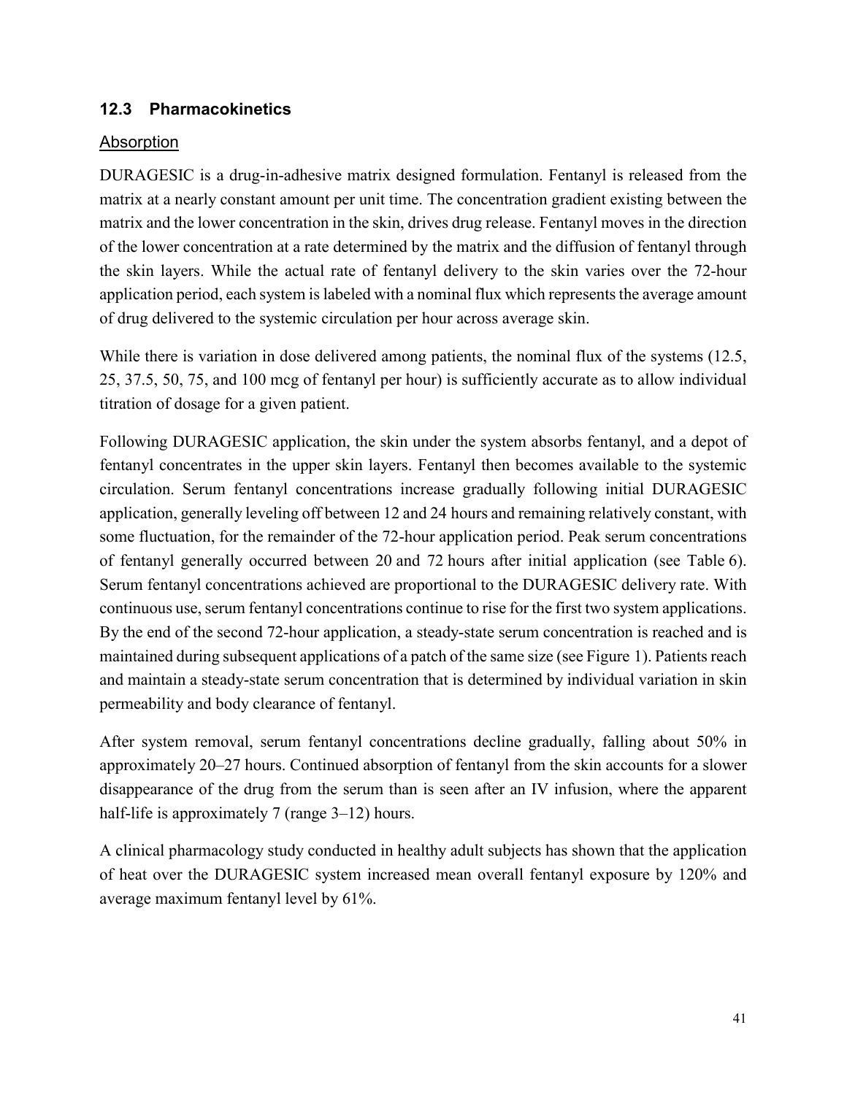#### <span id="page-40-0"></span>**12.3 Pharmacokinetics**

#### Absorption

DURAGESIC is a drug-in-adhesive matrix designed formulation. Fentanyl is released from the matrix at a nearly constant amount per unit time. The concentration gradient existing between the matrix and the lower concentration in the skin, drives drug release. Fentanyl moves in the direction of the lower concentration at a rate determined by the matrix and the diffusion of fentanyl through the skin layers. While the actual rate of fentanyl delivery to the skin varies over the 72-hour application period, each system is labeled with a nominal flux which represents the average amount of drug delivered to the systemic circulation per hour across average skin.

While there is variation in dose delivered among patients, the nominal flux of the systems (12.5, 25, 37.5, 50, 75, and 100 mcg of fentanyl per hour) is sufficiently accurate as to allow individual titration of dosage for a given patient.

Following DURAGESIC application, the skin under the system absorbs fentanyl, and a depot of fentanyl concentrates in the upper skin layers. Fentanyl then becomes available to the systemic circulation. Serum fentanyl concentrations increase gradually following initial DURAGESIC application, generally leveling off between 12 and 24 hours and remaining relatively constant, with some fluctuation, for the remainder of the 72-hour application period. Peak serum concentrations of fentanyl generally occurred between 20 and 72 hours after initial application (see Table 6). Serum fentanyl concentrations achieved are proportional to the DURAGESIC delivery rate. With continuous use, serum fentanyl concentrations continue to rise for the first two system applications. By the end of the second 72-hour application, a steady-state serum concentration is reached and is maintained during subsequent applications of a patch of the same size (see Figure 1). Patients reach and maintain a steady-state serum concentration that is determined by individual variation in skin permeability and body clearance of fentanyl.

After system removal, serum fentanyl concentrations decline gradually, falling about 50% in approximately 20–27 hours. Continued absorption of fentanyl from the skin accounts for a slower disappearance of the drug from the serum than is seen after an IV infusion, where the apparent half-life is approximately 7 (range 3–12) hours.

A clinical pharmacology study conducted in healthy adult subjects has shown that the application of heat over the DURAGESIC system increased mean overall fentanyl exposure by 120% and average maximum fentanyl level by 61%.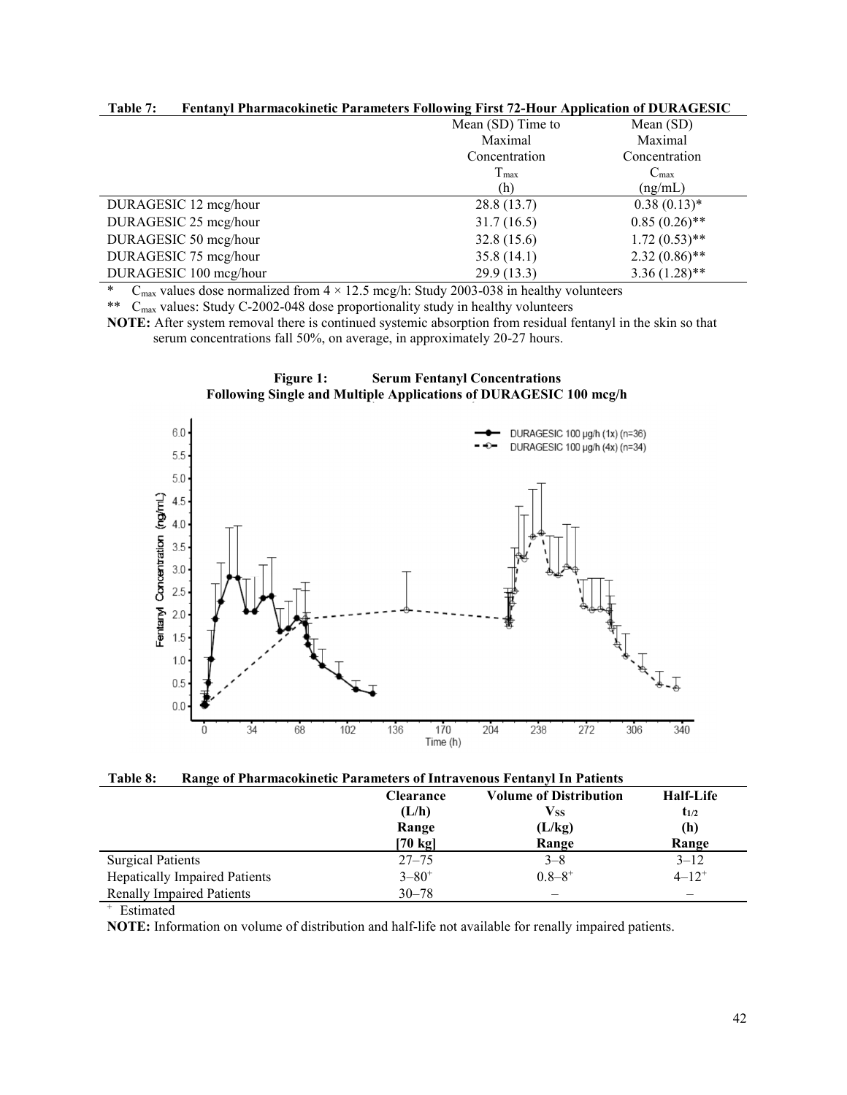|                        | Mean (SD) Time to | Mean (SD)        |
|------------------------|-------------------|------------------|
|                        | Maximal           | Maximal          |
|                        | Concentration     | Concentration    |
|                        | $T_{\rm max}$     | $C_{\text{max}}$ |
|                        | (h)               | (ng/mL)          |
| DURAGESIC 12 mcg/hour  | 28.8(13.7)        | $0.38(0.13)^*$   |
| DURAGESIC 25 mcg/hour  | 31.7(16.5)        | $0.85(0.26)$ **  |
| DURAGESIC 50 mcg/hour  | 32.8(15.6)        | $1.72(0.53)$ **  |
| DURAGESIC 75 mcg/hour  | 35.8(14.1)        | $2.32(0.86)$ **  |
| DURAGESIC 100 mcg/hour | 29.9(13.3)        | $3.36(1.28)$ **  |

#### **Table 7: Fentanyl Pharmacokinetic Parameters Following First 72-Hour Application of DURAGESIC**

\* C<sub>max</sub> values dose normalized from  $4 \times 12.5$  mcg/h: Study 2003-038 in healthy volunteers<br>\*\* C<sub>max</sub> values: Study C-2002-048 dose proportionality study in healthy volunteers

C<sub>max</sub> values: Study C-2002-048 dose proportionality study in healthy volunteers

**NOTE:** After system removal there is continued systemic absorption from residual fentanyl in the skin so that serum concentrations fall 50%, on average, in approximately 20-27 hours.



#### **Figure 1: Serum Fentanyl Concentrations Following Single and Multiple Applications of DURAGESIC 100 mcg/h**

| Table 8: | <b>Range of Pharmacokinetic Parameters of Intravenous Fentanyl In Patients</b> |
|----------|--------------------------------------------------------------------------------|
|----------|--------------------------------------------------------------------------------|

| -                                    | <b>Clearance</b>  | <b>Volume of Distribution</b>       | <b>Half-Life</b>      |
|--------------------------------------|-------------------|-------------------------------------|-----------------------|
|                                      | (L/h)             | $\mathbf{V}_{\mathbf{S}\mathbf{S}}$ | $t_{1/2}$             |
|                                      | Range             | (L/kg)                              | (h)                   |
|                                      | $[70 \text{ kg}]$ | Range                               | Range                 |
| <b>Surgical Patients</b>             | $27 - 75$         | $3 - 8$                             | $3 - 12$              |
| <b>Hepatically Impaired Patients</b> | $3 - 80^{+}$      | $0.8 - 8$ <sup>+</sup>              | $4 - 12$ <sup>+</sup> |
| <b>Renally Impaired Patients</b>     | $30 - 78$         | $\overline{\phantom{0}}$            | -                     |

<sup>+</sup> Estimated

**NOTE:** Information on volume of distribution and half-life not available for renally impaired patients.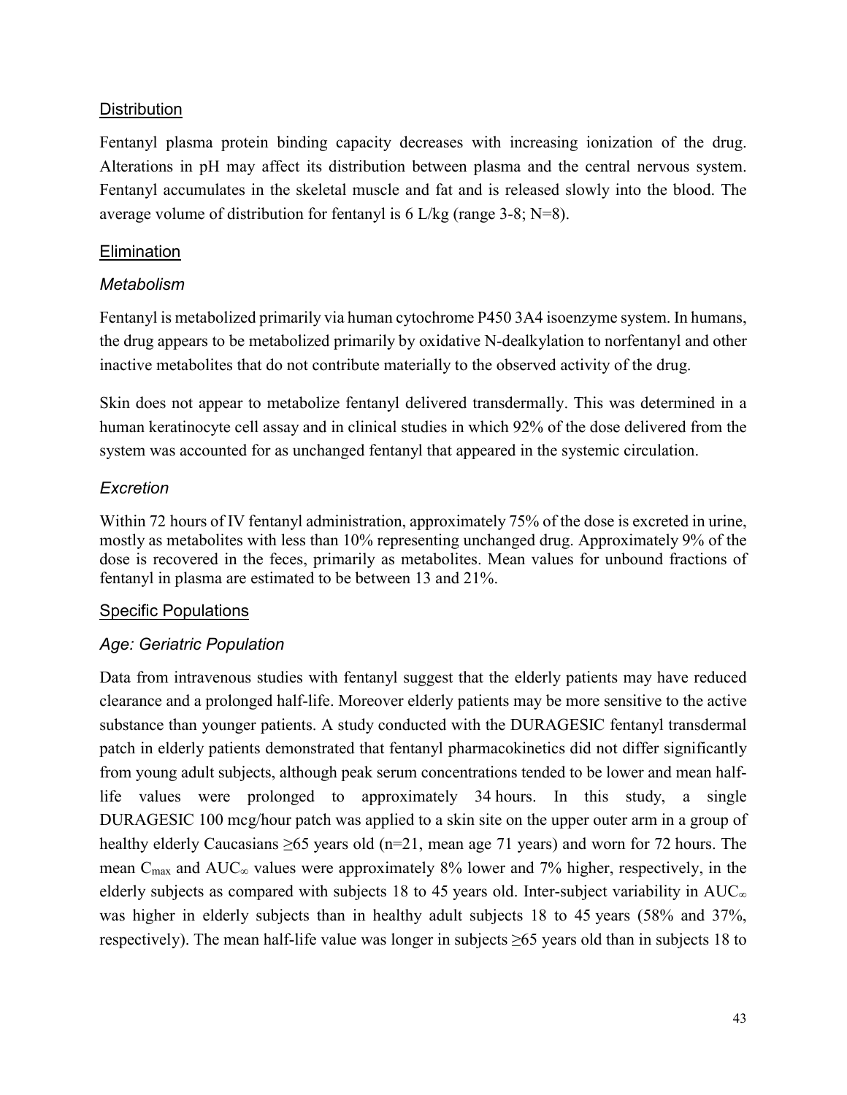#### **Distribution**

Fentanyl plasma protein binding capacity decreases with increasing ionization of the drug. Alterations in pH may affect its distribution between plasma and the central nervous system. Fentanyl accumulates in the skeletal muscle and fat and is released slowly into the blood. The average volume of distribution for fentanyl is  $6$  L/kg (range 3-8; N=8).

#### **Elimination**

## *Metabolism*

Fentanyl is metabolized primarily via human cytochrome P450 3A4 isoenzyme system. In humans, the drug appears to be metabolized primarily by oxidative N-dealkylation to norfentanyl and other inactive metabolites that do not contribute materially to the observed activity of the drug.

Skin does not appear to metabolize fentanyl delivered transdermally. This was determined in a human keratinocyte cell assay and in clinical studies in which 92% of the dose delivered from the system was accounted for as unchanged fentanyl that appeared in the systemic circulation.

# *Excretion*

Within 72 hours of IV fentanyl administration, approximately 75% of the dose is excreted in urine, mostly as metabolites with less than 10% representing unchanged drug. Approximately 9% of the dose is recovered in the feces, primarily as metabolites. Mean values for unbound fractions of fentanyl in plasma are estimated to be between 13 and 21%.

#### Specific Populations

## *Age: Geriatric Population*

Data from intravenous studies with fentanyl suggest that the elderly patients may have reduced clearance and a prolonged half-life. Moreover elderly patients may be more sensitive to the active substance than younger patients. A study conducted with the DURAGESIC fentanyl transdermal patch in elderly patients demonstrated that fentanyl pharmacokinetics did not differ significantly from young adult subjects, although peak serum concentrations tended to be lower and mean halflife values were prolonged to approximately 34 hours. In this study, a single DURAGESIC 100 mcg/hour patch was applied to a skin site on the upper outer arm in a group of healthy elderly Caucasians ≥65 years old (n=21, mean age 71 years) and worn for 72 hours. The mean  $C_{\text{max}}$  and  $AUC_{\infty}$  values were approximately 8% lower and 7% higher, respectively, in the elderly subjects as compared with subjects 18 to 45 years old. Inter-subject variability in  $AUC_{\infty}$ was higher in elderly subjects than in healthy adult subjects 18 to 45 years (58% and 37%, respectively). The mean half-life value was longer in subjects ≥65 years old than in subjects 18 to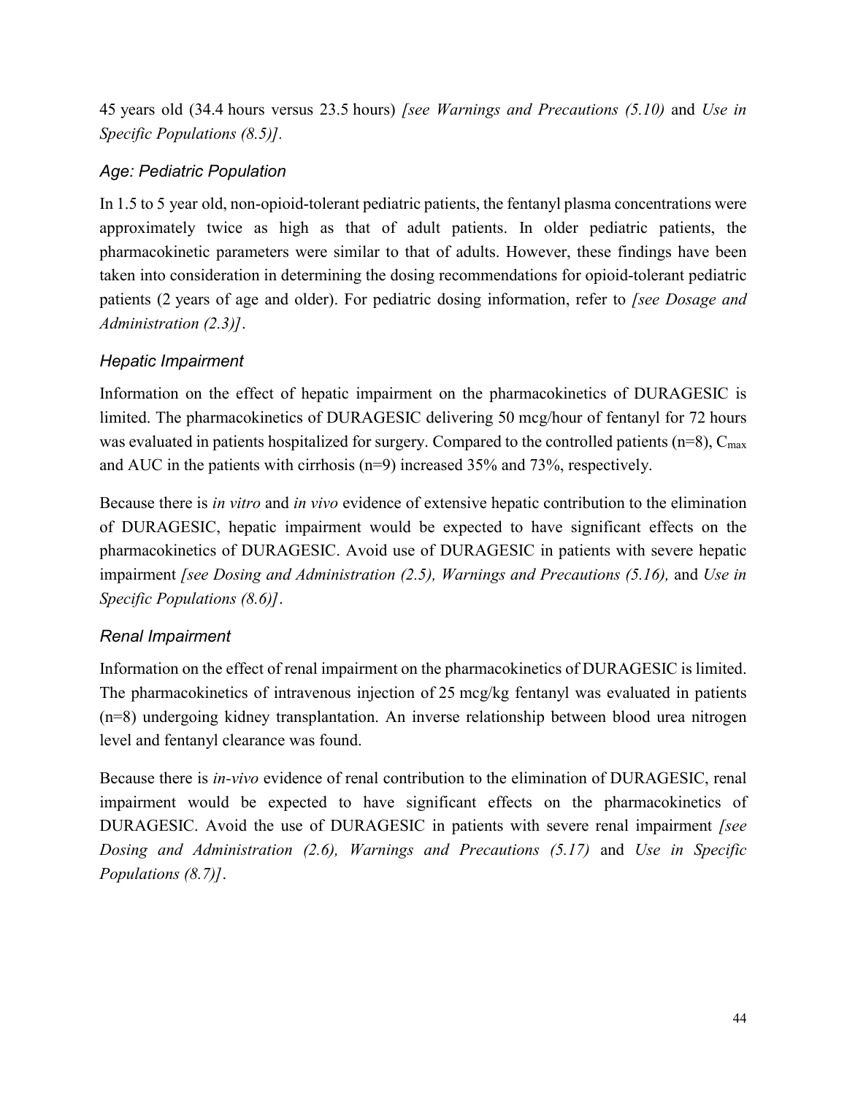45 years old (34.4 hours versus 23.5 hours) *[see Warnings and Precautions (5.10)* and *Use in Specific Populations (8.5)].*

# *Age: Pediatric Population*

In 1.5 to 5 year old, non-opioid-tolerant pediatric patients, the fentanyl plasma concentrations were approximately twice as high as that of adult patients. In older pediatric patients, the pharmacokinetic parameters were similar to that of adults. However, these findings have been taken into consideration in determining the dosing recommendations for opioid-tolerant pediatric patients (2 years of age and older). For pediatric dosing information, refer to *[see Dosage and Administration (2.3)]*.

# *Hepatic Impairment*

Information on the effect of hepatic impairment on the pharmacokinetics of DURAGESIC is limited. The pharmacokinetics of DURAGESIC delivering 50 mcg/hour of fentanyl for 72 hours was evaluated in patients hospitalized for surgery. Compared to the controlled patients ( $n=8$ ),  $C_{\text{max}}$ and AUC in the patients with cirrhosis (n=9) increased 35% and 73%, respectively.

Because there is *in vitro* and *in vivo* evidence of extensive hepatic contribution to the elimination of DURAGESIC, hepatic impairment would be expected to have significant effects on the pharmacokinetics of DURAGESIC. Avoid use of DURAGESIC in patients with severe hepatic impairment *[see Dosing and Administration (2.5), Warnings and Precautions (5.16),* and *Use in Specific Populations (8.6)]*.

# *Renal Impairment*

Information on the effect of renal impairment on the pharmacokinetics of DURAGESIC is limited. The pharmacokinetics of intravenous injection of 25 mcg/kg fentanyl was evaluated in patients (n=8) undergoing kidney transplantation. An inverse relationship between blood urea nitrogen level and fentanyl clearance was found.

Because there is *in-vivo* evidence of renal contribution to the elimination of DURAGESIC, renal impairment would be expected to have significant effects on the pharmacokinetics of DURAGESIC. Avoid the use of DURAGESIC in patients with severe renal impairment *[see Dosing and Administration (2.6), Warnings and Precautions (5.17)* and *Use in Specific Populations (8.7)]*.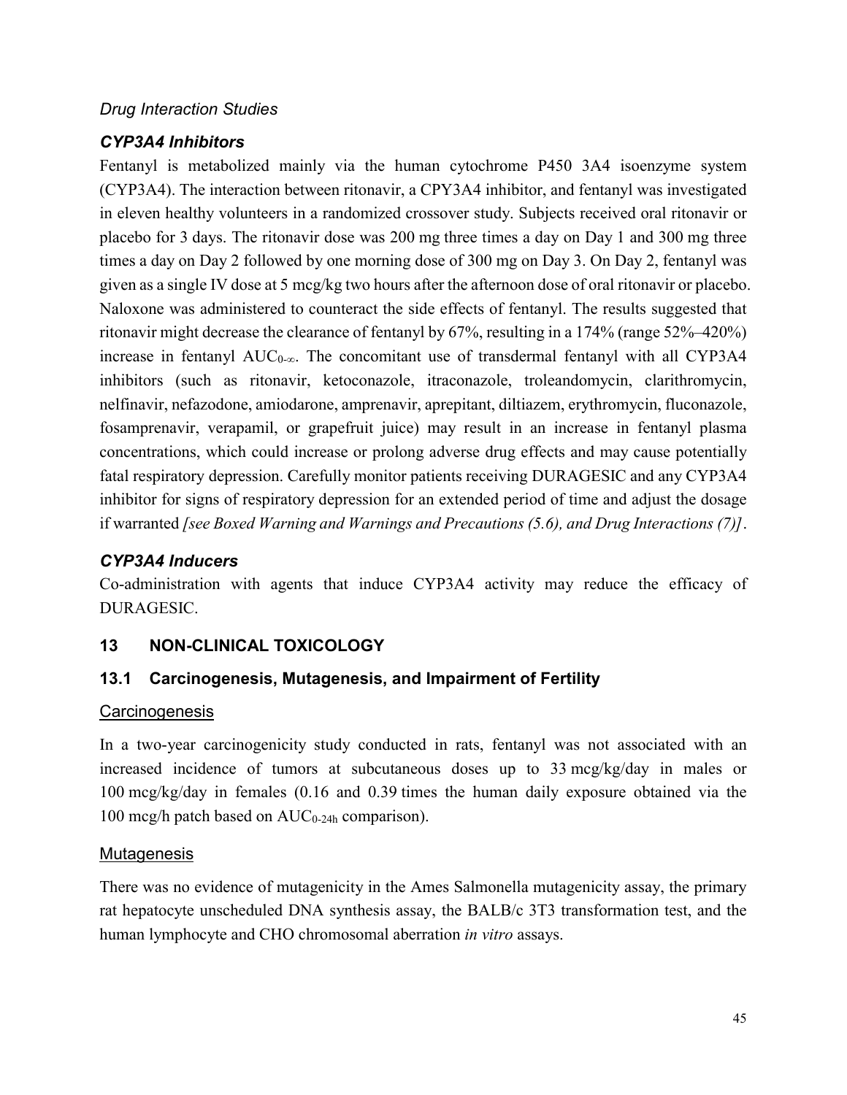#### *Drug Interaction Studies*

# *CYP3A4 Inhibitors*

Fentanyl is metabolized mainly via the human cytochrome P450 3A4 isoenzyme system (CYP3A4). The interaction between ritonavir, a CPY3A4 inhibitor, and fentanyl was investigated in eleven healthy volunteers in a randomized crossover study. Subjects received oral ritonavir or placebo for 3 days. The ritonavir dose was 200 mg three times a day on Day 1 and 300 mg three times a day on Day 2 followed by one morning dose of 300 mg on Day 3. On Day 2, fentanyl was given as a single IV dose at 5 mcg/kg two hours after the afternoon dose of oral ritonavir or placebo. Naloxone was administered to counteract the side effects of fentanyl. The results suggested that ritonavir might decrease the clearance of fentanyl by 67%, resulting in a 174% (range 52%–420%) increase in fentanyl AUC0-∞. The concomitant use of transdermal fentanyl with all CYP3A4 inhibitors (such as ritonavir, ketoconazole, itraconazole, troleandomycin, clarithromycin, nelfinavir, nefazodone, amiodarone, amprenavir, aprepitant, diltiazem, erythromycin, fluconazole, fosamprenavir, verapamil, or grapefruit juice) may result in an increase in fentanyl plasma concentrations, which could increase or prolong adverse drug effects and may cause potentially fatal respiratory depression. Carefully monitor patients receiving DURAGESIC and any CYP3A4 inhibitor for signs of respiratory depression for an extended period of time and adjust the dosage if warranted *[see Boxed Warning and Warnings and Precautions (5.6), and Drug Interactions (7)]*.

## *CYP3A4 Inducers*

Co-administration with agents that induce CYP3A4 activity may reduce the efficacy of DURAGESIC.

# <span id="page-44-1"></span>**13 NON-CLINICAL TOXICOLOGY**

# <span id="page-44-0"></span>**13.1 Carcinogenesis, Mutagenesis, and Impairment of Fertility**

#### **Carcinogenesis**

In a two-year carcinogenicity study conducted in rats, fentanyl was not associated with an increased incidence of tumors at subcutaneous doses up to 33 mcg/kg/day in males or 100 mcg/kg/day in females (0.16 and 0.39 times the human daily exposure obtained via the 100 mcg/h patch based on  $AUC_{0-24h}$  comparison).

#### Mutagenesis

There was no evidence of mutagenicity in the Ames Salmonella mutagenicity assay, the primary rat hepatocyte unscheduled DNA synthesis assay, the BALB/c 3T3 transformation test, and the human lymphocyte and CHO chromosomal aberration *in vitro* assays.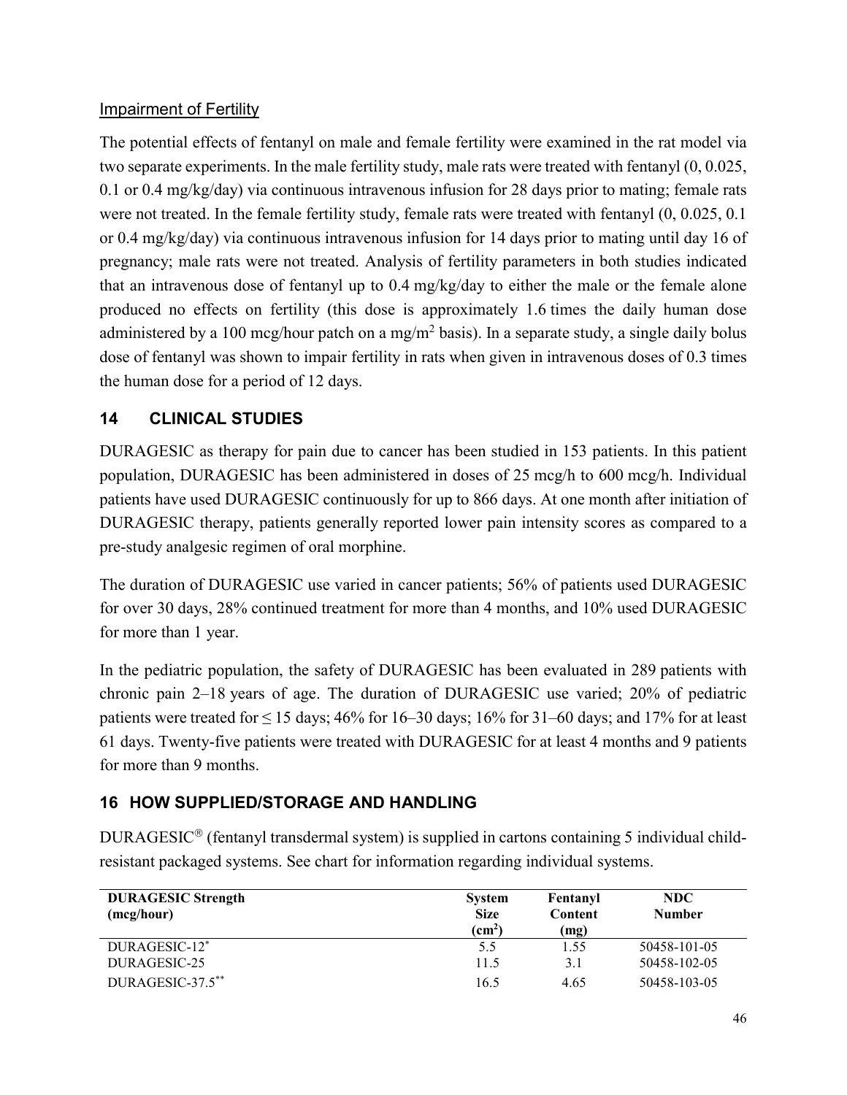#### Impairment of Fertility

The potential effects of fentanyl on male and female fertility were examined in the rat model via two separate experiments. In the male fertility study, male rats were treated with fentanyl (0, 0.025, 0.1 or 0.4 mg/kg/day) via continuous intravenous infusion for 28 days prior to mating; female rats were not treated. In the female fertility study, female rats were treated with fentanyl (0, 0.025, 0.1 or 0.4 mg/kg/day) via continuous intravenous infusion for 14 days prior to mating until day 16 of pregnancy; male rats were not treated. Analysis of fertility parameters in both studies indicated that an intravenous dose of fentanyl up to 0.4 mg/kg/day to either the male or the female alone produced no effects on fertility (this dose is approximately 1.6 times the daily human dose administered by a 100 mcg/hour patch on a mg/m<sup>2</sup> basis). In a separate study, a single daily bolus dose of fentanyl was shown to impair fertility in rats when given in intravenous doses of 0.3 times the human dose for a period of 12 days.

# <span id="page-45-1"></span>**14 CLINICAL STUDIES**

DURAGESIC as therapy for pain due to cancer has been studied in 153 patients. In this patient population, DURAGESIC has been administered in doses of 25 mcg/h to 600 mcg/h. Individual patients have used DURAGESIC continuously for up to 866 days. At one month after initiation of DURAGESIC therapy, patients generally reported lower pain intensity scores as compared to a pre-study analgesic regimen of oral morphine.

The duration of DURAGESIC use varied in cancer patients; 56% of patients used DURAGESIC for over 30 days, 28% continued treatment for more than 4 months, and 10% used DURAGESIC for more than 1 year.

In the pediatric population, the safety of DURAGESIC has been evaluated in 289 patients with chronic pain 2–18 years of age. The duration of DURAGESIC use varied; 20% of pediatric patients were treated for  $\leq 15$  days; 46% for 16–30 days; 16% for 31–60 days; and 17% for at least 61 days. Twenty-five patients were treated with DURAGESIC for at least 4 months and 9 patients for more than 9 months.

# <span id="page-45-0"></span>**16 HOW SUPPLIED/STORAGE AND HANDLING**

 $DURAGESIC^{\circledcirc}$  (fentanyl transdermal system) is supplied in cartons containing 5 individual childresistant packaged systems. See chart for information regarding individual systems.

| <b>DURAGESIC Strength</b><br>(mcg/hour) | <b>System</b><br><b>Size</b><br>$\text{(cm}^2)$ | Fentanyl<br>Content<br>(mg) | NDC<br><b>Number</b> |
|-----------------------------------------|-------------------------------------------------|-----------------------------|----------------------|
| DURAGESIC-12 <sup>*</sup>               | 5.5                                             | 1.55                        | 50458-101-05         |
| DURAGESIC-25                            | 11.5                                            | 3.1                         | 50458-102-05         |
| DURAGESIC-37.5**                        | 16.5                                            | 4.65                        | 50458-103-05         |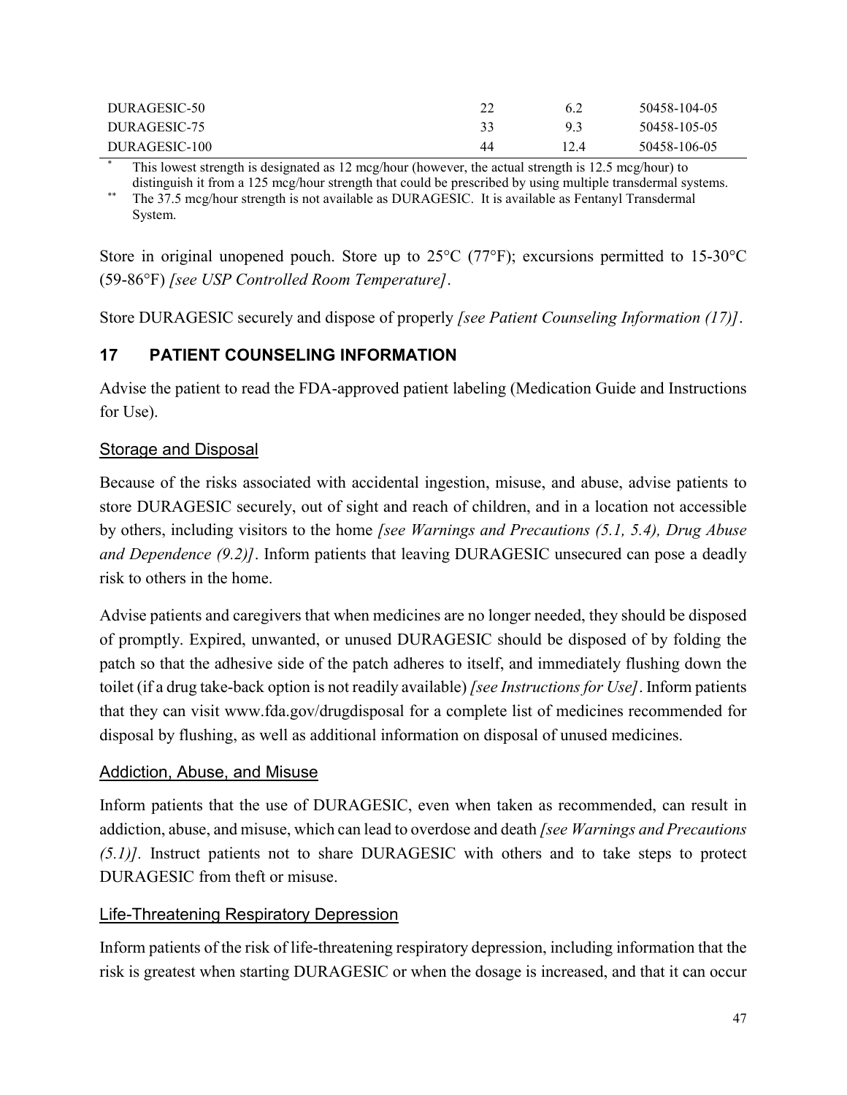| DURAGESIC-50  |    | 6.2  | 50458-104-05 |
|---------------|----|------|--------------|
| DURAGESIC-75  |    | 93   | 50458-105-05 |
| DURAGESIC-100 | 44 | 12.4 | 50458-106-05 |

This lowest strength is designated as 12 mcg/hour (however, the actual strength is 12.5 mcg/hour) to distinguish it from a 125 mcg/hour strength that could be prescribed by using multiple transdermal systems.

The 37.5 mcg/hour strength is not available as DURAGESIC. It is available as Fentanyl Transdermal System.

Store in original unopened pouch. Store up to  $25^{\circ}$ C (77 $^{\circ}$ F); excursions permitted to 15-30 $^{\circ}$ C (59-86°F) *[see USP Controlled Room Temperature]*.

Store DURAGESIC securely and dispose of properly *[see Patient Counseling Information (17)]*.

## <span id="page-46-0"></span>**17 PATIENT COUNSELING INFORMATION**

Advise the patient to read the FDA-approved patient labeling (Medication Guide and Instructions for Use).

#### Storage and Disposal

Because of the risks associated with accidental ingestion, misuse, and abuse, advise patients to store DURAGESIC securely, out of sight and reach of children, and in a location not accessible by others, including visitors to the home *[see Warnings and Precautions (5.1, 5.4), Drug Abuse and Dependence (9.2)]*. Inform patients that leaving DURAGESIC unsecured can pose a deadly risk to others in the home.

Advise patients and caregivers that when medicines are no longer needed, they should be disposed of promptly. Expired, unwanted, or unused DURAGESIC should be disposed of by folding the patch so that the adhesive side of the patch adheres to itself, and immediately flushing down the toilet (if a drug take-back option is not readily available) *[see Instructions for Use]*. Inform patients that they can visit www.fda.gov/drugdisposal for a complete list of medicines recommended for disposal by flushing, as well as additional information on disposal of unused medicines.

#### Addiction, Abuse, and Misuse

Inform patients that the use of DURAGESIC, even when taken as recommended, can result in addiction, abuse, and misuse, which can lead to overdose and death *[see Warnings and Precautions (5.1)].* Instruct patients not to share DURAGESIC with others and to take steps to protect DURAGESIC from theft or misuse.

#### Life-Threatening Respiratory Depression

Inform patients of the risk of life-threatening respiratory depression, including information that the risk is greatest when starting DURAGESIC or when the dosage is increased, and that it can occur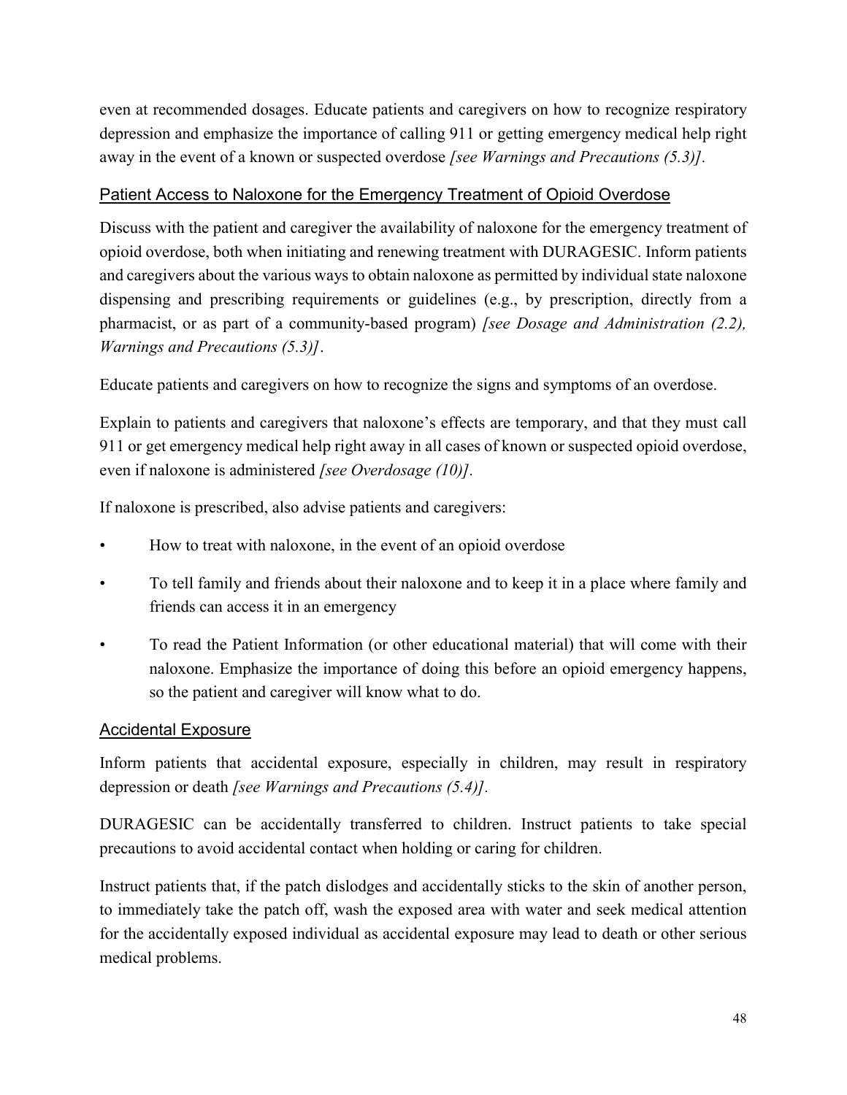even at recommended dosages. Educate patients and caregivers on how to recognize respiratory depression and emphasize the importance of calling 911 or getting emergency medical help right away in the event of a known or suspected overdose *[see Warnings and Precautions (5.3)].*

# Patient Access to Naloxone for the Emergency Treatment of Opioid Overdose

Discuss with the patient and caregiver the availability of naloxone for the emergency treatment of opioid overdose, both when initiating and renewing treatment with DURAGESIC. Inform patients and caregivers about the various ways to obtain naloxone as permitted by individual state naloxone dispensing and prescribing requirements or guidelines (e.g., by prescription, directly from a pharmacist, or as part of a community-based program) *[see Dosage and Administration (2.2), Warnings and Precautions (5.3)]*.

Educate patients and caregivers on how to recognize the signs and symptoms of an overdose.

Explain to patients and caregivers that naloxone's effects are temporary, and that they must call 911 or get emergency medical help right away in all cases of known or suspected opioid overdose, even if naloxone is administered *[see Overdosage (10)].*

If naloxone is prescribed, also advise patients and caregivers:

- How to treat with naloxone, in the event of an opioid overdose
- To tell family and friends about their naloxone and to keep it in a place where family and friends can access it in an emergency
- To read the Patient Information (or other educational material) that will come with their naloxone. Emphasize the importance of doing this before an opioid emergency happens, so the patient and caregiver will know what to do.

## Accidental Exposure

Inform patients that accidental exposure, especially in children, may result in respiratory depression or death *[see Warnings and Precautions (5.4)].*

DURAGESIC can be accidentally transferred to children. Instruct patients to take special precautions to avoid accidental contact when holding or caring for children.

Instruct patients that, if the patch dislodges and accidentally sticks to the skin of another person, to immediately take the patch off, wash the exposed area with water and seek medical attention for the accidentally exposed individual as accidental exposure may lead to death or other serious medical problems.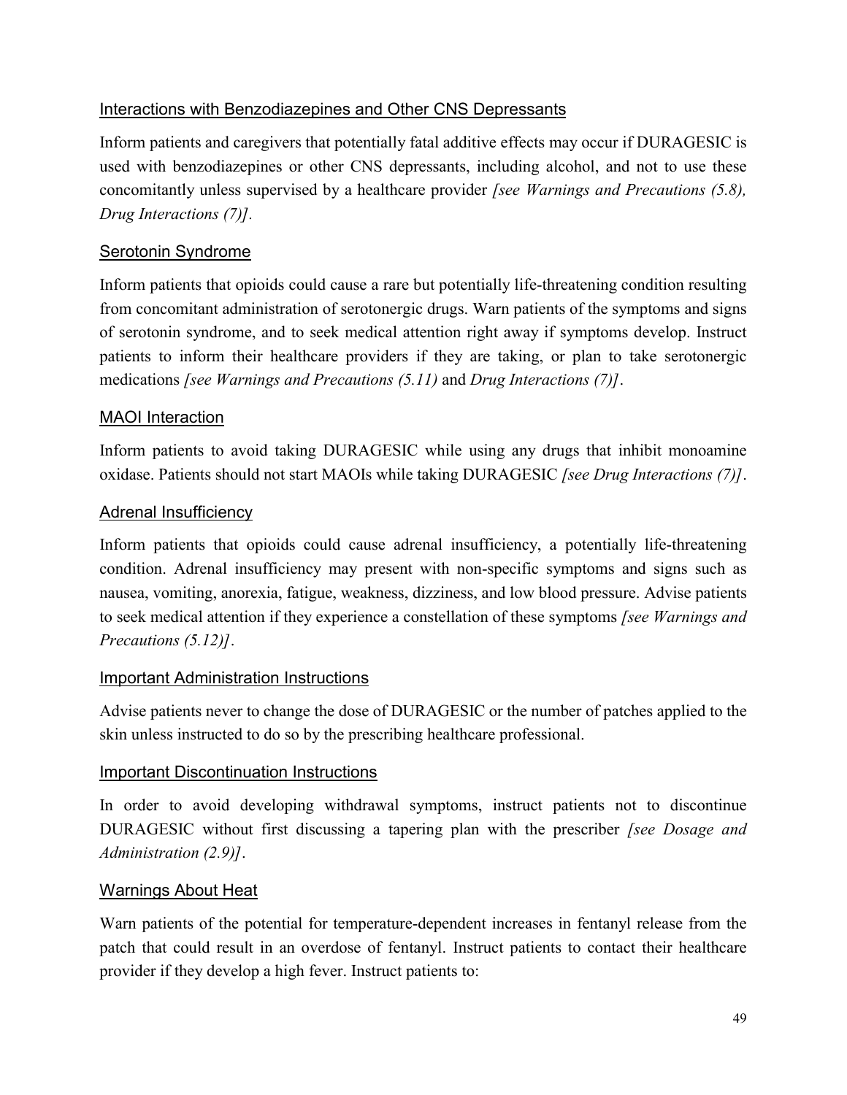## Interactions with Benzodiazepines and Other CNS Depressants

Inform patients and caregivers that potentially fatal additive effects may occur if DURAGESIC is used with benzodiazepines or other CNS depressants, including alcohol, and not to use these concomitantly unless supervised by a healthcare provider *[see Warnings and Precautions (5.8), Drug Interactions (7)].*

#### Serotonin Syndrome

Inform patients that opioids could cause a rare but potentially life-threatening condition resulting from concomitant administration of serotonergic drugs. Warn patients of the symptoms and signs of serotonin syndrome, and to seek medical attention right away if symptoms develop. Instruct patients to inform their healthcare providers if they are taking, or plan to take serotonergic medications *[see Warnings and Precautions (5.11)* and *Drug Interactions (7)]*.

#### MAOI Interaction

Inform patients to avoid taking DURAGESIC while using any drugs that inhibit monoamine oxidase. Patients should not start MAOIs while taking DURAGESIC *[see Drug Interactions (7)]*.

#### Adrenal Insufficiency

Inform patients that opioids could cause adrenal insufficiency, a potentially life-threatening condition. Adrenal insufficiency may present with non-specific symptoms and signs such as nausea, vomiting, anorexia, fatigue, weakness, dizziness, and low blood pressure. Advise patients to seek medical attention if they experience a constellation of these symptoms *[see Warnings and Precautions (5.12)]*.

#### Important Administration Instructions

Advise patients never to change the dose of DURAGESIC or the number of patches applied to the skin unless instructed to do so by the prescribing healthcare professional.

#### Important Discontinuation Instructions

In order to avoid developing withdrawal symptoms, instruct patients not to discontinue DURAGESIC without first discussing a tapering plan with the prescriber *[see Dosage and Administration (2.9)]*.

#### Warnings About Heat

Warn patients of the potential for temperature-dependent increases in fentanyl release from the patch that could result in an overdose of fentanyl. Instruct patients to contact their healthcare provider if they develop a high fever. Instruct patients to: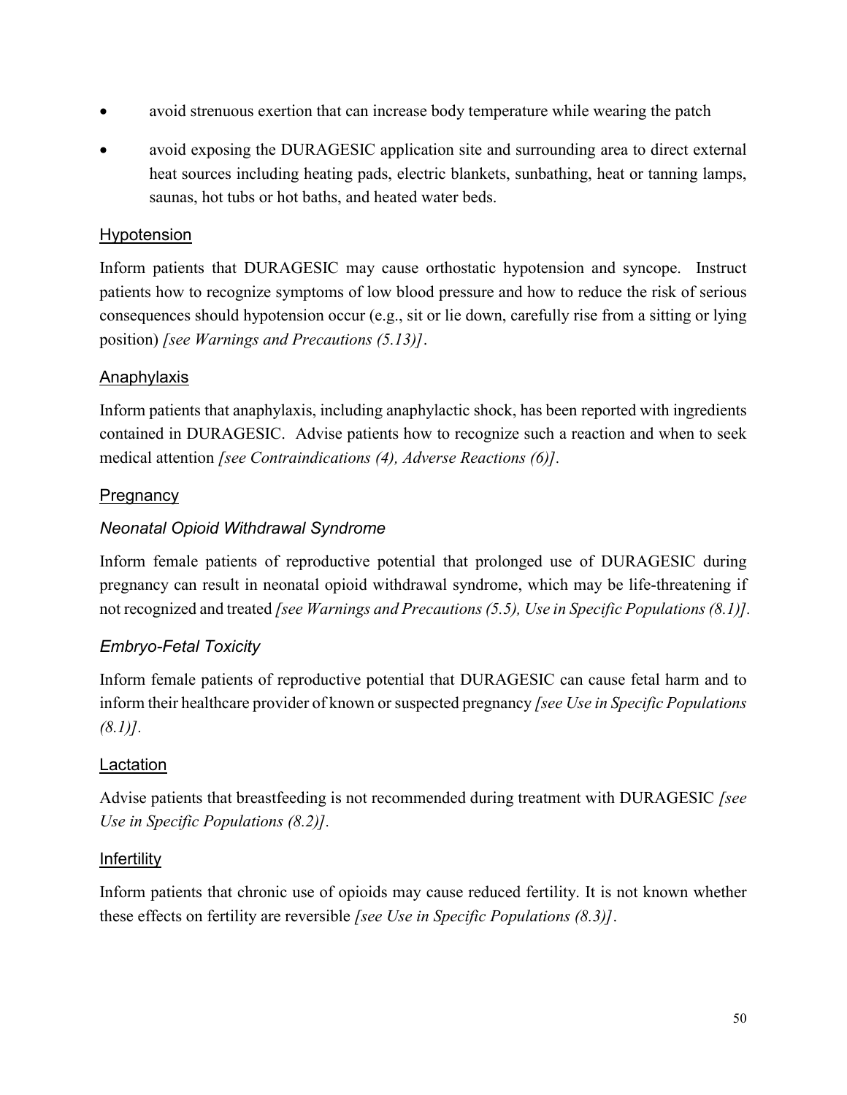- avoid strenuous exertion that can increase body temperature while wearing the patch
- avoid exposing the DURAGESIC application site and surrounding area to direct external heat sources including heating pads, electric blankets, sunbathing, heat or tanning lamps, saunas, hot tubs or hot baths, and heated water beds.

#### **Hypotension**

Inform patients that DURAGESIC may cause orthostatic hypotension and syncope. Instruct patients how to recognize symptoms of low blood pressure and how to reduce the risk of serious consequences should hypotension occur (e.g., sit or lie down, carefully rise from a sitting or lying position) *[see Warnings and Precautions (5.13)]*.

## Anaphylaxis

Inform patients that anaphylaxis, including anaphylactic shock, has been reported with ingredients contained in DURAGESIC. Advise patients how to recognize such a reaction and when to seek medical attention *[see Contraindications (4), Adverse Reactions (6)].*

## **Pregnancy**

# *Neonatal Opioid Withdrawal Syndrome*

Inform female patients of reproductive potential that prolonged use of DURAGESIC during pregnancy can result in neonatal opioid withdrawal syndrome, which may be life-threatening if not recognized and treated *[see Warnings and Precautions (5.5), Use in Specific Populations (8.1)].*

## *Embryo-Fetal Toxicity*

Inform female patients of reproductive potential that DURAGESIC can cause fetal harm and to inform their healthcare provider of known or suspected pregnancy *[see Use in Specific Populations (8.1)].*

## Lactation

Advise patients that breastfeeding is not recommended during treatment with DURAGESIC *[see Use in Specific Populations (8.2)].*

## Infertility

Inform patients that chronic use of opioids may cause reduced fertility. It is not known whether these effects on fertility are reversible *[see Use in Specific Populations (8.3)]*.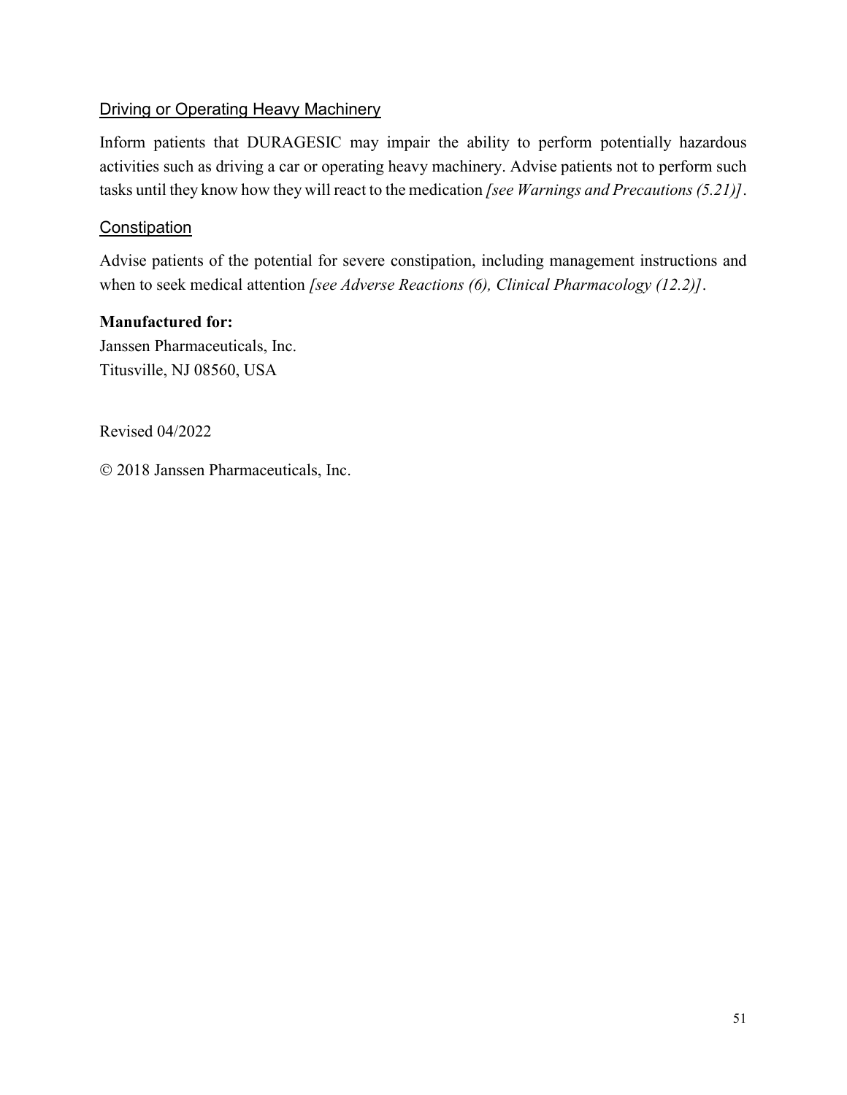#### Driving or Operating Heavy Machinery

Inform patients that DURAGESIC may impair the ability to perform potentially hazardous activities such as driving a car or operating heavy machinery. Advise patients not to perform such tasks until they know how they will react to the medication *[see Warnings and Precautions (5.21)]*.

#### **Constipation**

Advise patients of the potential for severe constipation, including management instructions and when to seek medical attention *[see Adverse Reactions (6), Clinical Pharmacology (12.2)]*.

#### **Manufactured for:**

Janssen Pharmaceuticals, Inc. Titusville, NJ 08560, USA

Revised 04/2022

2018 Janssen Pharmaceuticals, Inc.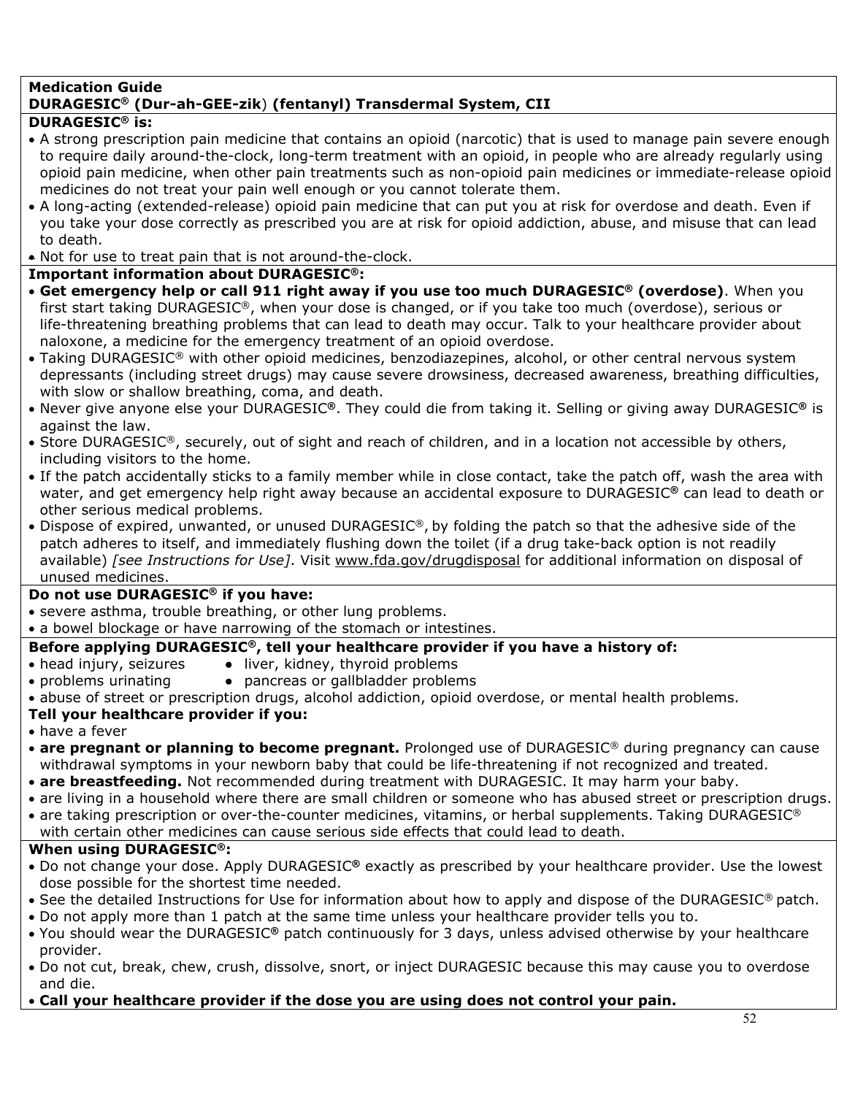#### **Medication Guide DURAGESIC® (Dur-ah-GEE-zik**) **(fentanyl) Transdermal System, CII**

#### **DURAGESIC® is:**

- A strong prescription pain medicine that contains an opioid (narcotic) that is used to manage pain severe enough to require daily around-the-clock, long-term treatment with an opioid, in people who are already regularly using opioid pain medicine, when other pain treatments such as non-opioid pain medicines or immediate-release opioid medicines do not treat your pain well enough or you cannot tolerate them.
- A long-acting (extended-release) opioid pain medicine that can put you at risk for overdose and death. Even if you take your dose correctly as prescribed you are at risk for opioid addiction, abuse, and misuse that can lead to death.
- Not for use to treat pain that is not around-the-clock.

#### **Important information about DURAGESIC®:**

- **Get emergency help or call 911 right away if you use too much DURAGESIC® (overdose)**. When you first start taking DURAGESIC®, when your dose is changed, or if you take too much (overdose), serious or life-threatening breathing problems that can lead to death may occur. Talk to your healthcare provider about naloxone, a medicine for the emergency treatment of an opioid overdose.
- Taking DURAGESIC® with other opioid medicines, benzodiazepines, alcohol, or other central nervous system depressants (including street drugs) may cause severe drowsiness, decreased awareness, breathing difficulties, with slow or shallow breathing, coma, and death.
- Never give anyone else your DURAGESIC**®**. They could die from taking it. Selling or giving away DURAGESIC**®** is against the law.
- Store DURAGESIC<sup>®</sup>, securely, out of sight and reach of children, and in a location not accessible by others, including visitors to the home.
- If the patch accidentally sticks to a family member while in close contact, take the patch off, wash the area with water, and get emergency help right away because an accidental exposure to DURAGESIC**®** can lead to death or other serious medical problems.
- Dispose of expired, unwanted, or unused DURAGESIC®, by folding the patch so that the adhesive side of the patch adheres to itself, and immediately flushing down the toilet (if a drug take-back option is not readily available) *[see Instructions for Use]*. Visit www.fda.gov/drugdisposal for additional information on disposal of unused medicines.

#### **Do not use DURAGESIC® if you have:**

- severe asthma, trouble breathing, or other lung problems.
- a bowel blockage or have narrowing of the stomach or intestines.

#### **Before applying DURAGESIC®, tell your healthcare provider if you have a history of:**

- 
- head injury, seizures liver, kidney, thyroid problems
- problems urinating pancreas or gallbladder problems
- abuse of street or prescription drugs, alcohol addiction, opioid overdose, or mental health problems.

#### **Tell your healthcare provider if you:**

- have a fever
- **are pregnant or planning to become pregnant.** Prolonged use of DURAGESIC® during pregnancy can cause withdrawal symptoms in your newborn baby that could be life-threatening if not recognized and treated.
- **are breastfeeding.** Not recommended during treatment with DURAGESIC. It may harm your baby.
- are living in a household where there are small children or someone who has abused street or prescription drugs.
- are taking prescription or over-the-counter medicines, vitamins, or herbal supplements. Taking DURAGESIC® with certain other medicines can cause serious side effects that could lead to death.

#### **When using DURAGESIC®:**

- Do not change your dose. Apply DURAGESIC**®** exactly as prescribed by your healthcare provider. Use the lowest dose possible for the shortest time needed.
- See the detailed Instructions for Use for information about how to apply and dispose of the DURAGESIC® patch.
- Do not apply more than 1 patch at the same time unless your healthcare provider tells you to.
- You should wear the DURAGESIC**®** patch continuously for 3 days, unless advised otherwise by your healthcare provider.
- Do not cut, break, chew, crush, dissolve, snort, or inject DURAGESIC because this may cause you to overdose and die.
- **Call your healthcare provider if the dose you are using does not control your pain.**